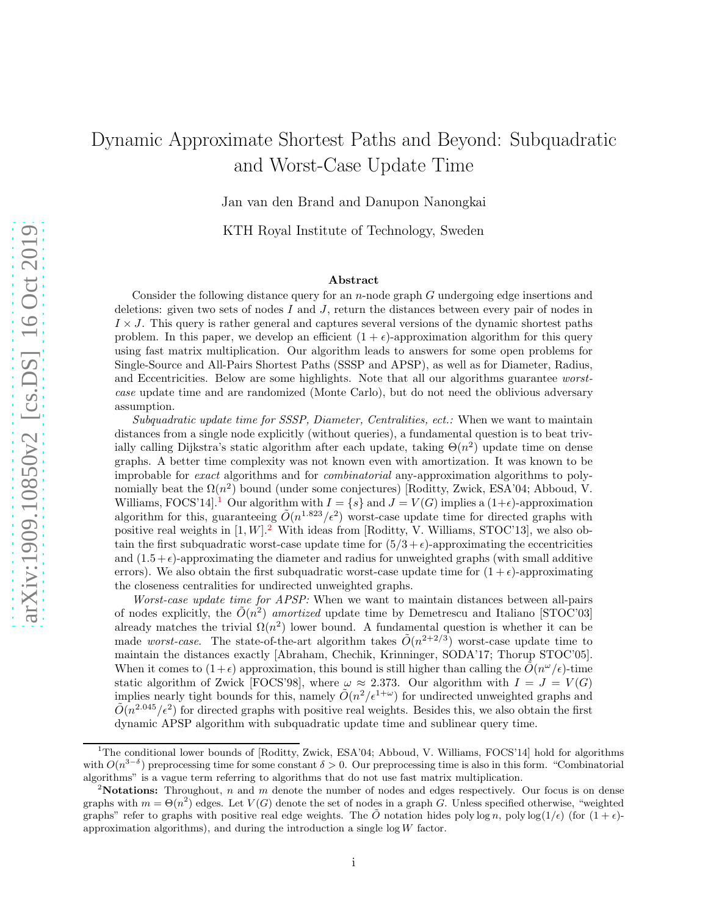# Dynamic Approximate Shortest Paths and Beyond: Subquadratic and Worst-Case Update Time

Jan van den Brand and Danupon Nanongkai

KTH Royal Institute of Technology, Sweden

#### Abstract

Consider the following distance query for an n-node graph G undergoing edge insertions and deletions: given two sets of nodes  $I$  and  $J$ , return the distances between every pair of nodes in  $I \times J$ . This query is rather general and captures several versions of the dynamic shortest paths problem. In this paper, we develop an efficient  $(1 + \epsilon)$ -approximation algorithm for this query using fast matrix multiplication. Our algorithm leads to answers for some open problems for Single-Source and All-Pairs Shortest Paths (SSSP and APSP), as well as for Diameter, Radius, and Eccentricities. Below are some highlights. Note that all our algorithms guarantee worstcase update time and are randomized (Monte Carlo), but do not need the oblivious adversary assumption.

Subquadratic update time for SSSP, Diameter, Centralities, ect.: When we want to maintain distances from a single node explicitly (without queries), a fundamental question is to beat trivially calling Dijkstra's static algorithm after each update, taking  $\Theta(n^2)$  update time on dense graphs. A better time complexity was not known even with amortization. It was known to be improbable for exact algorithms and for combinatorial any-approximation algorithms to polynomially beat the  $\Omega(n^2)$  bound (under some conjectures) [Roditty, Zwick, ESA'04; Abboud, V. Williams, FOCS'[1](#page-0-0)4].<sup>1</sup> Our algorithm with  $I = \{s\}$  and  $J = V(G)$  implies a  $(1+\epsilon)$ -approximation algorithm for this, guaranteeing  $\tilde{O}(n^{1.823}/\epsilon^2)$  worst-case update time for directed graphs with positive real weights in  $[1, W]$ .<sup>[2](#page-0-1)</sup> With ideas from [Roditty, V. Williams, STOC'13], we also obtain the first subquadratic worst-case update time for  $(5/3 + \epsilon)$ -approximating the eccentricities and  $(1.5+\epsilon)$ -approximating the diameter and radius for unweighted graphs (with small additive errors). We also obtain the first subquadratic worst-case update time for  $(1 + \epsilon)$ -approximating the closeness centralities for undirected unweighted graphs.

Worst-case update time for APSP: When we want to maintain distances between all-pairs of nodes explicitly, the  $\tilde{O}(n^2)$  amortized update time by Demetrescu and Italiano [STOC'03] already matches the trivial  $\Omega(n^2)$  lower bound. A fundamental question is whether it can be made *worst-case*. The state-of-the-art algorithm takes  $\tilde{O}(n^{2+2/3})$  worst-case update time to maintain the distances exactly [Abraham, Chechik, Krinninger, SODA'17; Thorup STOC'05]. When it comes to  $(1+\epsilon)$  approximation, this bound is still higher than calling the  $\tilde{O}(n^{\omega}/\epsilon)$ -time static algorithm of Zwick [FOCS'98], where  $\omega \approx 2.373$ . Our algorithm with  $I = J = V(G)$ implies nearly tight bounds for this, namely  $\tilde{O}(n^2/\epsilon^{1+\omega})$  for undirected unweighted graphs and  $\tilde{O}(n^{2.045}/\epsilon^2)$  for directed graphs with positive real weights. Besides this, we also obtain the first dynamic APSP algorithm with subquadratic update time and sublinear query time.

<span id="page-0-0"></span><sup>&</sup>lt;sup>1</sup>The conditional lower bounds of [Roditty, Zwick, ESA'04; Abboud, V. Williams, FOCS'14] hold for algorithms with  $O(n^{3-\delta})$  preprocessing time for some constant  $\delta > 0$ . Our preprocessing time is also in this form. "Combinatorial" algorithms" is a vague term referring to algorithms that do not use fast matrix multiplication.

<span id="page-0-1"></span><sup>&</sup>lt;sup>2</sup>Notations: Throughout, n and m denote the number of nodes and edges respectively. Our focus is on dense graphs with  $m = \Theta(n^2)$  edges. Let  $V(G)$  denote the set of nodes in a graph G. Unless specified otherwise, "weighted" graphs" refer to graphs with positive real edge weights. The  $\tilde{O}$  notation hides poly log n, poly log(1/ $\epsilon$ ) (for  $(1 + \epsilon)$ approximation algorithms), and during the introduction a single  $log W$  factor.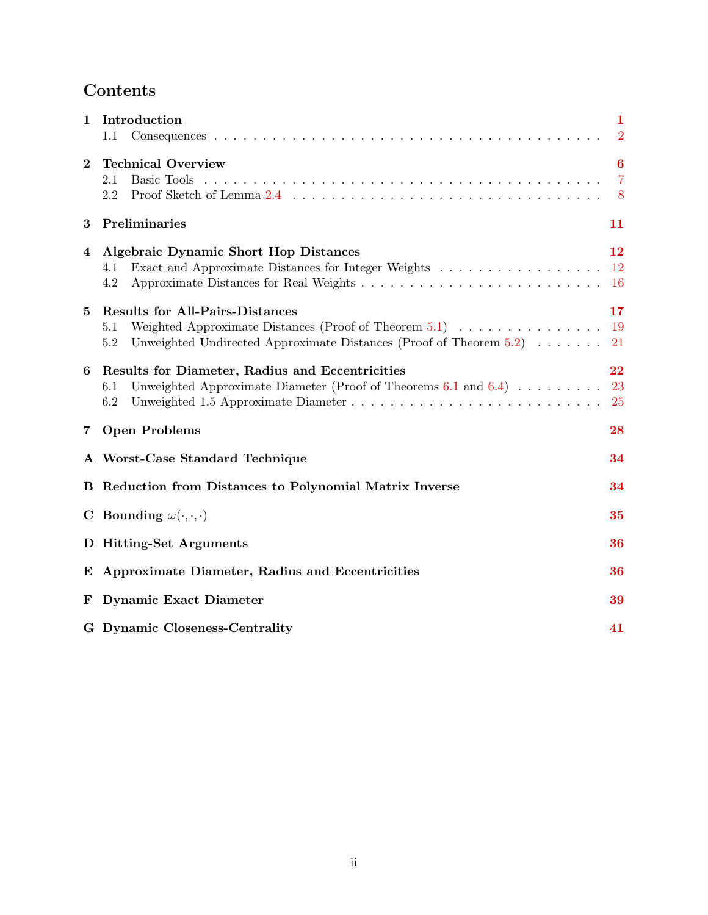# Contents

| 1        | Introduction<br>1.1                                                                                                                                                                                                    | 1<br>$\overline{2}$              |
|----------|------------------------------------------------------------------------------------------------------------------------------------------------------------------------------------------------------------------------|----------------------------------|
| $\bf{2}$ | <b>Technical Overview</b><br>Basic Tools<br>2.1<br>$2.2\,$                                                                                                                                                             | 6<br>$\overline{7}$<br>8         |
| 3        | Preliminaries                                                                                                                                                                                                          | 11                               |
| 4        | <b>Algebraic Dynamic Short Hop Distances</b><br>Exact and Approximate Distances for Integer Weights<br>4.1<br>4.2                                                                                                      | 12<br><sup>12</sup><br><b>16</b> |
| 5        | <b>Results for All-Pairs-Distances</b><br>Weighted Approximate Distances (Proof of Theorem 5.1) $\dots \dots \dots \dots \dots$<br>5.1<br>Unweighted Undirected Approximate Distances (Proof of Theorem $5.2$ )<br>5.2 | 17<br>19<br>21                   |
| 6        | Results for Diameter, Radius and Eccentricities<br>Unweighted Approximate Diameter (Proof of Theorems 6.1 and 6.4) $\dots \dots$<br>6.1<br>6.2                                                                         | 22<br>23<br><b>25</b>            |
| 7        | <b>Open Problems</b>                                                                                                                                                                                                   | 28                               |
|          | A Worst-Case Standard Technique                                                                                                                                                                                        | 34                               |
|          | <b>B</b> Reduction from Distances to Polynomial Matrix Inverse                                                                                                                                                         | 34                               |
|          | C Bounding $\omega(\cdot,\cdot,\cdot)$                                                                                                                                                                                 | 35                               |
|          | D Hitting-Set Arguments                                                                                                                                                                                                | 36                               |
|          | E Approximate Diameter, Radius and Eccentricities                                                                                                                                                                      | 36                               |
| F        | <b>Dynamic Exact Diameter</b>                                                                                                                                                                                          | 39                               |
|          | G Dynamic Closeness-Centrality                                                                                                                                                                                         | 41                               |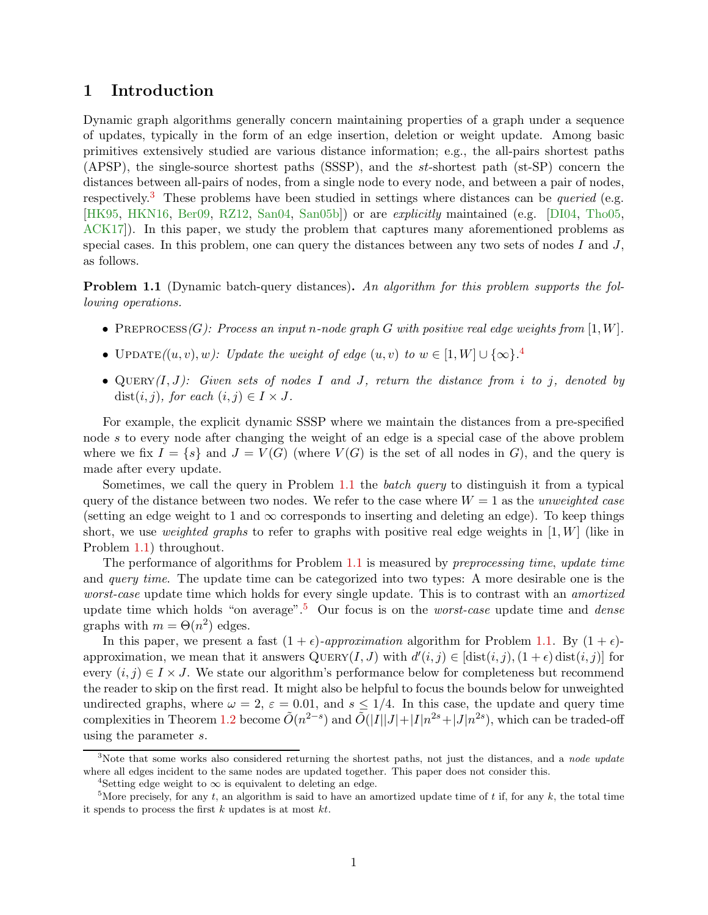### <span id="page-2-6"></span><span id="page-2-0"></span>1 Introduction

Dynamic graph algorithms generally concern maintaining properties of a graph under a sequence of updates, typically in the form of an edge insertion, deletion or weight update. Among basic primitives extensively studied are various distance information; e.g., the all-pairs shortest paths (APSP), the single-source shortest paths (SSSP), and the st-shortest path (st-SP) concern the distances between all-pairs of nodes, from a single node to every node, and between a pair of nodes, respectively.<sup>[3](#page-2-1)</sup> These problems have been studied in settings where distances can be *queried* (e.g. [\[HK95,](#page-31-0) [HKN16,](#page-32-0) [Ber09,](#page-30-0) [RZ12,](#page-33-0) [San04,](#page-33-1) [San05b\]](#page-33-2)) or are explicitly maintained (e.g. [\[DI04,](#page-31-1) [Tho05,](#page-33-3) [ACK17\]](#page-30-1)). In this paper, we study the problem that captures many aforementioned problems as special cases. In this problem, one can query the distances between any two sets of nodes  $I$  and  $J$ , as follows.

<span id="page-2-3"></span>**Problem 1.1** (Dynamic batch-query distances). An algorithm for this problem supports the following operations.

- PREPROCESS(G): Process an input n-node graph G with positive real edge weights from [1, W].
- UPDATE $((u, v), w)$ : Update the weight of edge  $(u, v)$  to  $w \in [1, W] \cup {\infty}$ .
- QUERY $(I, J)$ : Given sets of nodes I and J, return the distance from i to j, denoted by dist $(i, j)$ , for each  $(i, j) \in I \times J$ .

For example, the explicit dynamic SSSP where we maintain the distances from a pre-specified node s to every node after changing the weight of an edge is a special case of the above problem where we fix  $I = \{s\}$  and  $J = V(G)$  (where  $V(G)$  is the set of all nodes in G), and the query is made after every update.

Sometimes, we call the query in Problem [1.1](#page-2-3) the batch query to distinguish it from a typical query of the distance between two nodes. We refer to the case where  $W = 1$  as the unweighted case (setting an edge weight to 1 and  $\infty$  corresponds to inserting and deleting an edge). To keep things short, we use *weighted graphs* to refer to graphs with positive real edge weights in [1, W] (like in Problem [1.1\)](#page-2-3) throughout.

The performance of algorithms for Problem [1.1](#page-2-3) is measured by preprocessing time, update time and *query time*. The update time can be categorized into two types: A more desirable one is the worst-case update time which holds for every single update. This is to contrast with an *amortized* update time which holds "on average".<sup>[5](#page-2-4)</sup> Our focus is on the *worst-case* update time and *dense* graphs with  $m = \Theta(n^2)$  edges.

In this paper, we present a fast  $(1 + \epsilon)$ -approximation algorithm for Problem [1.1.](#page-2-3) By  $(1 + \epsilon)$ approximation, we mean that it answers  $QUERY(I, J)$  with  $d'(i, j) \in [\text{dist}(i, j), (1 + \epsilon) \text{dist}(i, j)]$  for every  $(i, j) \in I \times J$ . We state our algorithm's performance below for completeness but recommend the reader to skip on the first read. It might also be helpful to focus the bounds below for unweighted undirected graphs, where  $\omega = 2$ ,  $\varepsilon = 0.01$ , and  $s \le 1/4$ . In this case, the update and query time complexities in Theorem [1.2](#page-2-5) become  $\tilde{O}(n^{2-s})$  and  $\tilde{O}(|I||J|+|I|n^{2s}+|J|n^{2s})$ , which can be traded-off using the parameter s.

<span id="page-2-5"></span><sup>&</sup>lt;sup>3</sup>Note that some works also considered returning the shortest paths, not just the distances, and a node update where all edges incident to the same nodes are updated together. This paper does not consider this.

<span id="page-2-2"></span><span id="page-2-1"></span><sup>&</sup>lt;sup>4</sup>Setting edge weight to  $\infty$  is equivalent to deleting an edge.

<span id="page-2-4"></span><sup>&</sup>lt;sup>5</sup>More precisely, for any t, an algorithm is said to have an amortized update time of t if, for any k, the total time it spends to process the first  $k$  updates is at most  $kt$ .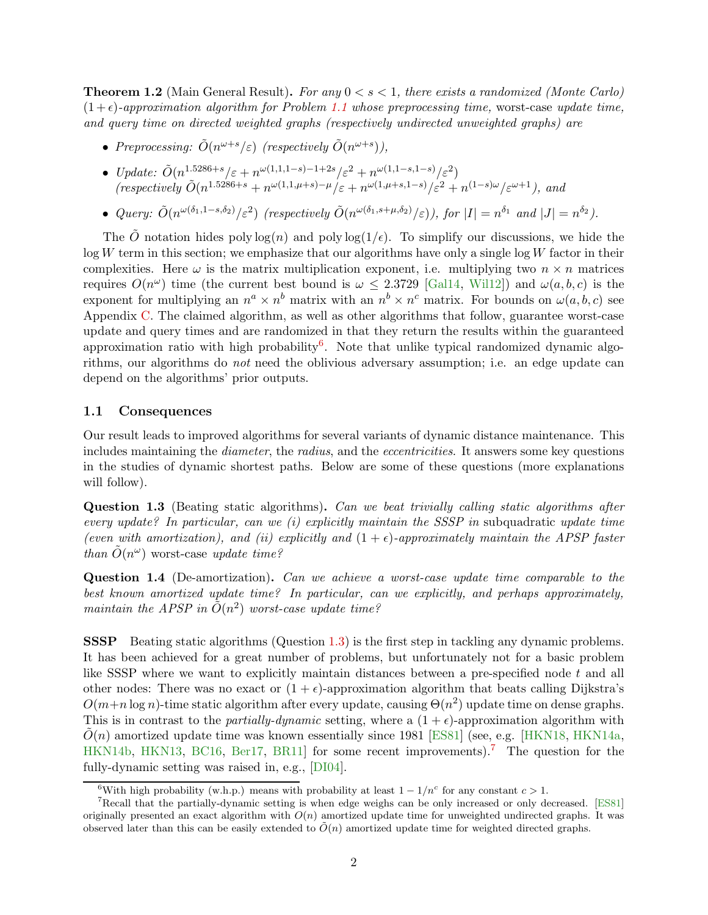<span id="page-3-5"></span>**Theorem 1.2** (Main General Result). For any  $0 < s < 1$ , there exists a randomized (Monte Carlo)  $(1+\epsilon)$ -approximation algorithm for Problem [1.1](#page-2-3) whose preprocessing time, worst-case update time, and query time on directed weighted graphs (respectively undirected unweighted graphs) are

- Preprocessing:  $\tilde{O}(n^{\omega+s}/\varepsilon)$  (respectively  $\tilde{O}(n^{\omega+s})$ ),
- Update:  $\tilde{O}(n^{1.5286+s}/\varepsilon+n^{\omega(1,1,1-s)-1+2s}/\varepsilon^2+n^{\omega(1,1-s,1-s)}/\varepsilon^2)$  $(respectively \tilde{O}(n^{1.5286+s}+n^{\omega(1,1,\mu+s)-\mu}/\varepsilon+n^{\omega(1,\mu+s,1-s)}/\varepsilon^2+n^{(1-s)\omega}/\varepsilon^{\omega+1}),$  and
- Query:  $\tilde{O}(n^{\omega(\delta_1, 1-s,\delta_2)}/\varepsilon^2)$  (respectively  $\tilde{O}(n^{\omega(\delta_1,s+\mu,\delta_2)}/\varepsilon)$ ), for  $|I| = n^{\delta_1}$  and  $|J| = n^{\delta_2}$ ).

The  $\tilde{O}$  notation hides poly  $\log(n)$  and poly  $\log(1/\epsilon)$ . To simplify our discussions, we hide the  $log W$  term in this section; we emphasize that our algorithms have only a single  $log W$  factor in their complexities. Here  $\omega$  is the matrix multiplication exponent, i.e. multiplying two  $n \times n$  matrices requires  $O(n^{\omega})$  time (the current best bound is  $\omega \leq 2.3729$  [\[Gal14,](#page-31-2) [Wil12\]](#page-33-4)) and  $\omega(a, b, c)$  is the exponent for multiplying an  $n^a \times n^b$  matrix with an  $n^b \times n^c$  matrix. For bounds on  $\omega(a, b, c)$  see Appendix [C.](#page-36-0) The claimed algorithm, as well as other algorithms that follow, guarantee worst-case update and query times and are randomized in that they return the results within the guaranteed approximation ratio with high probability<sup>[6](#page-3-1)</sup>. Note that unlike typical randomized dynamic algorithms, our algorithms do not need the oblivious adversary assumption; i.e. an edge update can depend on the algorithms' prior outputs.

#### <span id="page-3-0"></span>1.1 Consequences

Our result leads to improved algorithms for several variants of dynamic distance maintenance. This includes maintaining the *diameter*, the *radius*, and the *eccentricities*. It answers some key questions in the studies of dynamic shortest paths. Below are some of these questions (more explanations will follow).

<span id="page-3-2"></span>Question 1.3 (Beating static algorithms). Can we beat trivially calling static algorithms after every update? In particular, can we (i) explicitly maintain the SSSP in subquadratic update time (even with amortization), and (ii) explicitly and  $(1 + \epsilon)$ -approximately maintain the APSP faster than  $\tilde{O}(n^{\omega})$  worst-case update time?

<span id="page-3-4"></span>Question 1.4 (De-amortization). Can we achieve a worst-case update time comparable to the best known amortized update time? In particular, can we explicitly, and perhaps approximately, maintain the APSP in  $\tilde{O}(n^2)$  worst-case update time?

SSSP Beating static algorithms (Question [1.3\)](#page-3-2) is the first step in tackling any dynamic problems. It has been achieved for a great number of problems, but unfortunately not for a basic problem like SSSP where we want to explicitly maintain distances between a pre-specified node  $t$  and all other nodes: There was no exact or  $(1 + \epsilon)$ -approximation algorithm that beats calling Dijkstra's  $O(m+n \log n)$ -time static algorithm after every update, causing  $\Theta(n^2)$  update time on dense graphs. This is in contrast to the *partially-dynamic* setting, where a  $(1 + \epsilon)$ -approximation algorithm with  $O(n)$  amortized update time was known essentially since 1981 [\[ES81\]](#page-31-3) (see, e.g. [\[HKN18,](#page-32-1) [HKN14a,](#page-32-2) [HKN14b,](#page-32-3) [HKN13,](#page-31-4) [BC16,](#page-30-2) [Ber17,](#page-30-3) BR11 for some recent improvements).<sup>[7](#page-3-3)</sup> The question for the fully-dynamic setting was raised in, e.g., [\[DI04\]](#page-31-1).

<span id="page-3-1"></span><sup>&</sup>lt;sup>6</sup>With high probability (w.h.p.) means with probability at least  $1 - 1/n^c$  for any constant  $c > 1$ .

<span id="page-3-3"></span><sup>7</sup>Recall that the partially-dynamic setting is when edge weighs can be only increased or only decreased. [\[ES81\]](#page-31-3) originally presented an exact algorithm with  $O(n)$  amortized update time for unweighted undirected graphs. It was observed later than this can be easily extended to  $O(n)$  amortized update time for weighted directed graphs.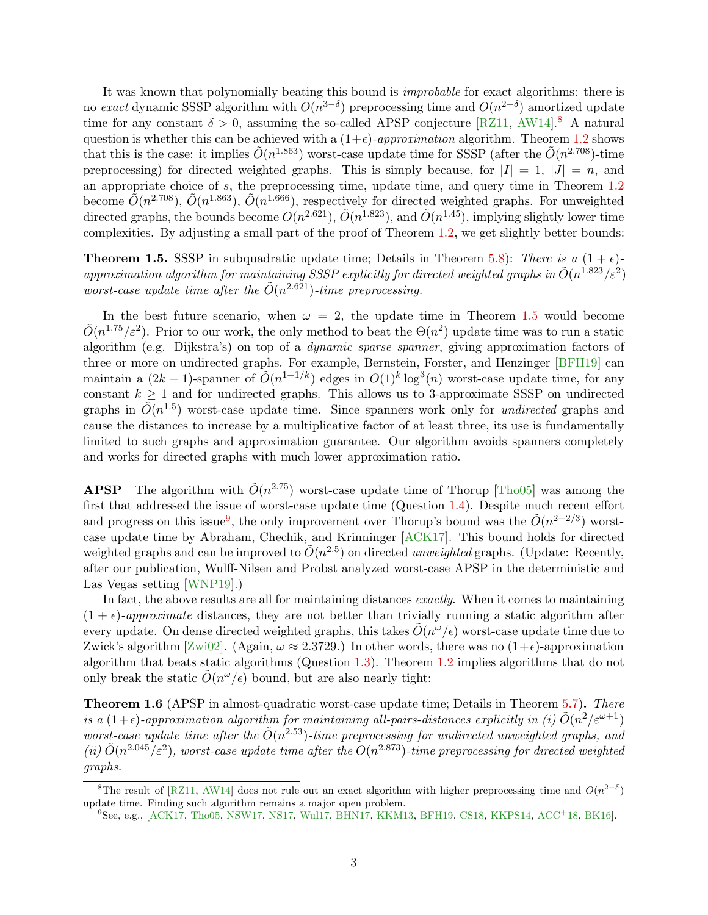<span id="page-4-3"></span>It was known that polynomially beating this bound is improbable for exact algorithms: there is no exact dynamic SSSP algorithm with  $O(n^{3-\delta})$  preprocessing time and  $O(n^{2-\delta})$  amortized update time for any constant  $\delta > 0$ , assuming the so-called APSP conjecture [\[RZ11,](#page-33-5) [AW14\]](#page-30-5).<sup>[8](#page-4-0)</sup> A natural question is whether this can be achieved with a  $(1+\epsilon)$ -approximation algorithm. Theorem [1.2](#page-2-5) shows that this is the case: it implies  $\tilde{O}(n^{1.863})$  worst-case update time for SSSP (after the  $\tilde{O}(n^{2.708})$ -time preprocessing) for directed weighted graphs. This is simply because, for  $|I| = 1$ ,  $|J| = n$ , and an appropriate choice of s, the preprocessing time, update time, and query time in Theorem [1.2](#page-2-5) become  $\tilde{O}(n^{2.708})$ ,  $\tilde{O}(n^{1.863})$ ,  $\tilde{O}(n^{1.666})$ , respectively for directed weighted graphs. For unweighted directed graphs, the bounds become  $O(n^{2.621})$ ,  $\tilde{O}(n^{1.823})$ , and  $\tilde{O}(n^{1.45})$ , implying slightly lower time complexities. By adjusting a small part of the proof of Theorem [1.2,](#page-2-5) we get slightly better bounds:

<span id="page-4-1"></span>**Theorem 1.5.** SSSP in subquadratic update time; Details in Theorem [5.8\)](#page-21-0): There is a  $(1 + \epsilon)$ approximation algorithm for maintaining SSSP explicitly for directed weighted graphs in  $\tilde{O}(n^{1.823}/\varepsilon^2)$ worst-case update time after the  $\tilde{O}(n^{2.621})$ -time preprocessing.

In the best future scenario, when  $\omega = 2$ , the update time in Theorem [1.5](#page-4-1) would become  $\tilde{O}(n^{1.75}/\varepsilon^2)$ . Prior to our work, the only method to beat the  $\Theta(n^2)$  update time was to run a static algorithm (e.g. Dijkstra's) on top of a dynamic sparse spanner, giving approximation factors of three or more on undirected graphs. For example, Bernstein, Forster, and Henzinger [\[BFH19\]](#page-30-6) can maintain a  $(2k-1)$ -spanner of  $\tilde{O}(n^{1+1/k})$  edges in  $O(1)^k \log^3(n)$  worst-case update time, for any constant  $k \geq 1$  and for undirected graphs. This allows us to 3-approximate SSSP on undirected graphs in  $\tilde{O}(n^{1.5})$  worst-case update time. Since spanners work only for *undirected* graphs and cause the distances to increase by a multiplicative factor of at least three, its use is fundamentally limited to such graphs and approximation guarantee. Our algorithm avoids spanners completely and works for directed graphs with much lower approximation ratio.

**APSP** The algorithm with  $\tilde{O}(n^{2.75})$  worst-case update time of Thorup [\[Tho05\]](#page-33-3) was among the first that addressed the issue of worst-case update time (Question [1.4\)](#page-3-4). Despite much recent effort and progress on this issue<sup>[9](#page-4-2)</sup>, the only improvement over Thorup's bound was the  $\tilde{O}(n^{2+2/3})$  worstcase update time by Abraham, Chechik, and Krinninger [\[ACK17\]](#page-30-1). This bound holds for directed weighted graphs and can be improved to  $\tilde{O}(n^{2.5})$  on directed unweighted graphs. (Update: Recently, after our publication, Wulff-Nilsen and Probst analyzed worst-case APSP in the deterministic and Las Vegas setting [\[WNP19\]](#page-34-0).)

In fact, the above results are all for maintaining distances *exactly*. When it comes to maintaining  $(1 + \epsilon)$ -approximate distances, they are not better than trivially running a static algorithm after every update. On dense directed weighted graphs, this takes  $\tilde{O}(n^{\omega}/\epsilon)$  worst-case update time due to Zwick's algorithm [\[Zwi02\]](#page-34-1). (Again,  $\omega \approx 2.3729$ .) In other words, there was no  $(1+\epsilon)$ -approximation algorithm that beats static algorithms (Question [1.3\)](#page-3-2). Theorem [1.2](#page-2-5) implies algorithms that do not only break the static  $\tilde{O}(n^{\omega}/\epsilon)$  bound, but are also nearly tight:

Theorem 1.6 (APSP in almost-quadratic worst-case update time; Details in Theorem [5.7\)](#page-21-1). There is a  $(1+\epsilon)$ -approximation algorithm for maintaining all-pairs-distances explicitly in (i)  $\tilde{O}(n^2/\varepsilon^{\omega+1})$ worst-case update time after the  $\tilde{O}(n^{2.53})$ -time preprocessing for undirected unweighted graphs, and (ii)  $\tilde{O}(n^{2.045}/\varepsilon^2)$ , worst-case update time after the  $O(n^{2.873})$ -time preprocessing for directed weighted graphs.

<sup>&</sup>lt;sup>8</sup>The result of [\[RZ11,](#page-33-5) [AW14\]](#page-30-5) does not rule out an exact algorithm with higher preprocessing time and  $O(n^{2-\delta})$ update time. Finding such algorithm remains a major open problem.

<span id="page-4-2"></span><span id="page-4-0"></span><sup>9</sup> See, e.g., [\[ACK17,](#page-30-1) [Tho05,](#page-33-3) [NSW17,](#page-32-4) [NS17,](#page-32-5) [Wul17,](#page-34-2) [BHN17,](#page-30-7) [KKM13,](#page-32-6) [BFH19,](#page-30-6) [CS18,](#page-31-5) [KKPS14,](#page-32-7) [ACC](#page-29-1)<sup>+</sup>18, [BK16\]](#page-30-8).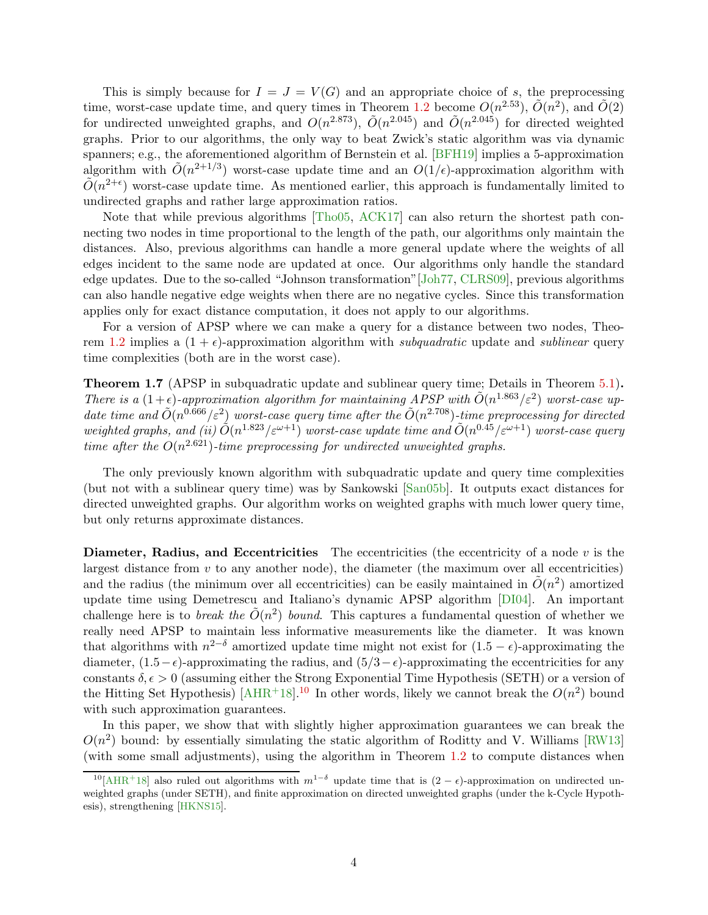<span id="page-5-1"></span>This is simply because for  $I = J = V(G)$  and an appropriate choice of s, the preprocessing time, worst-case update time, and query times in Theorem [1.2](#page-2-5) become  $O(n^{2.53})$ ,  $\tilde{O}(n^2)$ , and  $\tilde{O}(2)$ for undirected unweighted graphs, and  $O(n^{2.873})$ ,  $\tilde{O}(n^{2.045})$  and  $\tilde{O}(n^{2.045})$  for directed weighted graphs. Prior to our algorithms, the only way to beat Zwick's static algorithm was via dynamic spanners; e.g., the aforementioned algorithm of Bernstein et al. [\[BFH19\]](#page-30-6) implies a 5-approximation algorithm with  $\tilde{O}(n^{2+1/3})$  worst-case update time and an  $O(1/\epsilon)$ -approximation algorithm with  $\tilde{O}(n^{2+\epsilon})$  worst-case update time. As mentioned earlier, this approach is fundamentally limited to undirected graphs and rather large approximation ratios.

Note that while previous algorithms [\[Tho05,](#page-33-3) [ACK17\]](#page-30-1) can also return the shortest path connecting two nodes in time proportional to the length of the path, our algorithms only maintain the distances. Also, previous algorithms can handle a more general update where the weights of all edges incident to the same node are updated at once. Our algorithms only handle the standard edge updates. Due to the so-called "Johnson transformation"[\[Joh77,](#page-32-8) [CLRS09\]](#page-31-6), previous algorithms can also handle negative edge weights when there are no negative cycles. Since this transformation applies only for exact distance computation, it does not apply to our algorithms.

For a version of APSP where we can make a query for a distance between two nodes, Theo-rem [1.2](#page-2-5) implies a  $(1 + \epsilon)$ -approximation algorithm with subquadratic update and sublinear query time complexities (both are in the worst case).

Theorem 1.7 (APSP in subquadratic update and sublinear query time; Details in Theorem [5.1\)](#page-18-1). There is a  $(1+\epsilon)$ -approximation algorithm for maintaining APSP with  $\tilde{O}(n^{1.863}/\epsilon^2)$  worst-case update time and  $\tilde{O}(n^{0.666}/\varepsilon^2)$  worst-case query time after the  $\tilde{O}(n^{2.708})$ -time preprocessing for directed weighted graphs, and (ii)  $\tilde{O}(n^{1.823}/\varepsilon^{\omega+1})$  worst-case update time and  $\tilde{O}(n^{0.45}/\varepsilon^{\omega+1})$  worst-case query time after the  $O(n^{2.621})$ -time preprocessing for undirected unweighted graphs.

The only previously known algorithm with subquadratic update and query time complexities (but not with a sublinear query time) was by Sankowski [\[San05b\]](#page-33-2). It outputs exact distances for directed unweighted graphs. Our algorithm works on weighted graphs with much lower query time, but only returns approximate distances.

**Diameter, Radius, and Eccentricities** The eccentricities (the eccentricity of a node  $v$  is the largest distance from  $v$  to any another node), the diameter (the maximum over all eccentricities) and the radius (the minimum over all eccentricities) can be easily maintained in  $\tilde{O}(n^2)$  amortized update time using Demetrescu and Italiano's dynamic APSP algorithm [\[DI04\]](#page-31-1). An important challenge here is to *break the*  $\tilde{O}(n^2)$  *bound.* This captures a fundamental question of whether we really need APSP to maintain less informative measurements like the diameter. It was known that algorithms with  $n^{2-\delta}$  amortized update time might not exist for  $(1.5 - \epsilon)$ -approximating the diameter,  $(1.5-\epsilon)$ -approximating the radius, and  $(5/3-\epsilon)$ -approximating the eccentricities for any constants  $\delta, \epsilon > 0$  (assuming either the Strong Exponential Time Hypothesis (SETH) or a version of the Hitting Set Hypothesis) [\[AHR](#page-30-9)<sup>+</sup>18].<sup>[10](#page-5-0)</sup> In other words, likely we cannot break the  $O(n^2)$  bound with such approximation guarantees.

In this paper, we show that with slightly higher approximation guarantees we can break the  $O(n^2)$  bound: by essentially simulating the static algorithm of Roditty and V. Williams [\[RW13\]](#page-33-6) (with some small adjustments), using the algorithm in Theorem [1.2](#page-2-5) to compute distances when

<span id="page-5-0"></span><sup>&</sup>lt;sup>10</sup>[\[AHR](#page-30-9)<sup>+</sup>18] also ruled out algorithms with  $m^{1-\delta}$  update time that is  $(2-\epsilon)$ -approximation on undirected unweighted graphs (under SETH), and finite approximation on directed unweighted graphs (under the k-Cycle Hypothesis), strengthening [\[HKNS15\]](#page-32-9).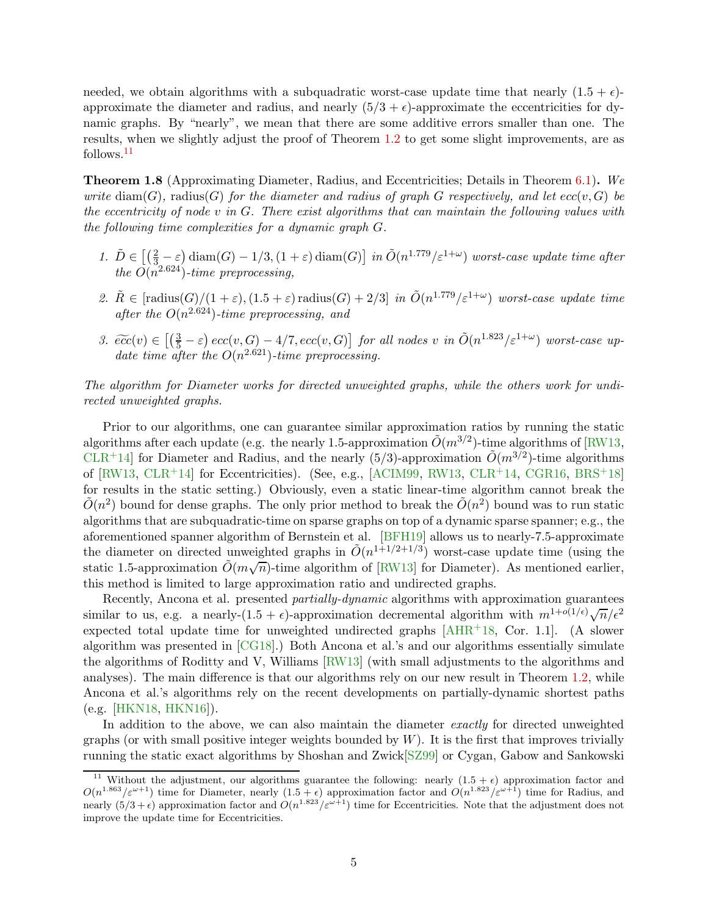<span id="page-6-1"></span>needed, we obtain algorithms with a subquadratic worst-case update time that nearly  $(1.5 + \epsilon)$ approximate the diameter and radius, and nearly  $(5/3 + \epsilon)$ -approximate the eccentricities for dynamic graphs. By "nearly", we mean that there are some additive errors smaller than one. The results, when we slightly adjust the proof of Theorem [1.2](#page-2-5) to get some slight improvements, are as follows.[11](#page-6-0)

Theorem 1.8 (Approximating Diameter, Radius, and Eccentricities; Details in Theorem [6.1\)](#page-23-1). We write  $\text{diam}(G)$ , radius(G) for the diameter and radius of graph G respectively, and let  $ecc(v, G)$  be the eccentricity of node v in G. There exist algorithms that can maintain the following values with the following time complexities for a dynamic graph G.

- 1.  $\tilde{D} \in \left[ \left( \frac{2}{3} \varepsilon \right) \text{diam}(G) 1/3, (1 + \varepsilon) \text{diam}(G) \right]$  in  $\tilde{O}(n^{1.779}/\varepsilon^{1+\omega})$  worst-case update time after the  $O(n^{2.624})$ -time preprocessing,
- 2.  $\tilde{R} \in [\text{radius}(G)/(1+\varepsilon), (1.5+\varepsilon) \text{ radius}(G) + 2/3]$  in  $\tilde{O}(n^{1.779}/\varepsilon^{1+\omega})$  worst-case update time after the  $O(n^{2.624})$ -time preprocessing, and
- 3.  $\widetilde{ecc}(v) \in \left[\left(\frac{3}{5} \varepsilon\right) ecc(v, G) 4/7, ecc(v, G)\right]$  for all nodes v in  $\widetilde{O}(n^{1.823}/\varepsilon^{1+\omega})$  worst-case update time after the  $O(n^{2.621})$ -time preprocessing.

The algorithm for Diameter works for directed unweighted graphs, while the others work for undirected unweighted graphs.

Prior to our algorithms, one can guarantee similar approximation ratios by running the static algorithms after each update (e.g. the nearly 1.5-approximation  $\tilde{O}(m^{3/2})$ -time algorithms of [\[RW13,](#page-33-6) [CLR](#page-31-7)<sup>+</sup>14] for Diameter and Radius, and the nearly (5/3)-approximation  $\tilde{O}(m^{3/2})$ -time algorithms of [\[RW13,](#page-33-6) [CLR](#page-31-7)+14] for Eccentricities). (See, e.g., [\[ACIM99,](#page-29-2) [RW13,](#page-33-6) [CLR](#page-31-7)+14, [CGR16,](#page-31-8) [BRS](#page-30-10)+18] for results in the static setting.) Obviously, even a static linear-time algorithm cannot break the  $\tilde{O}(n^2)$  bound for dense graphs. The only prior method to break the  $\tilde{O}(n^2)$  bound was to run static algorithms that are subquadratic-time on sparse graphs on top of a dynamic sparse spanner; e.g., the aforementioned spanner algorithm of Bernstein et al. [\[BFH19\]](#page-30-6) allows us to nearly-7.5-approximate the diameter on directed unweighted graphs in  $\tilde{O}(n^{1+1/2+1/3})$  worst-case update time (using the static 1.5-approximation  $\tilde{O}(m\sqrt{n})$ -time algorithm of [\[RW13\]](#page-33-6) for Diameter). As mentioned earlier, this method is limited to large approximation ratio and undirected graphs.

Recently, Ancona et al. presented *partially-dynamic* algorithms with approximation guarantees similar to us, e.g. a nearly- $(1.5 + \epsilon)$ -approximation decremental algorithm with  $m^{1+o(1/\epsilon)}\sqrt{n}/\epsilon^2$ expected total update time for unweighted undirected graphs  $[AHR^+18, Cor. 1.1]$ . (A slower algorithm was presented in [\[CG18\]](#page-30-11).) Both Ancona et al.'s and our algorithms essentially simulate the algorithms of Roditty and V, Williams [\[RW13\]](#page-33-6) (with small adjustments to the algorithms and analyses). The main difference is that our algorithms rely on our new result in Theorem [1.2,](#page-2-5) while Ancona et al.'s algorithms rely on the recent developments on partially-dynamic shortest paths (e.g. [\[HKN18,](#page-32-1) [HKN16\]](#page-32-0)).

In addition to the above, we can also maintain the diameter exactly for directed unweighted graphs (or with small positive integer weights bounded by  $W$ ). It is the first that improves trivially running the static exact algorithms by Shoshan and Zwick[\[SZ99\]](#page-33-7) or Cygan, Gabow and Sankowski

<span id="page-6-0"></span><sup>&</sup>lt;sup>11</sup> Without the adjustment, our algorithms guarantee the following: nearly  $(1.5 + \epsilon)$  approximation factor and  $O(n^{1.863}/\varepsilon^{\omega+1})$  time for Diameter, nearly  $(1.5 + \epsilon)$  approximation factor and  $O(n^{1.823}/\varepsilon^{\omega+1})$  time for Radius, and nearly  $(5/3 + \epsilon)$  approximation factor and  $O(n^{1.823}/\epsilon^{\omega+1})$  time for Eccentricities. Note that the adjustment does not improve the update time for Eccentricities.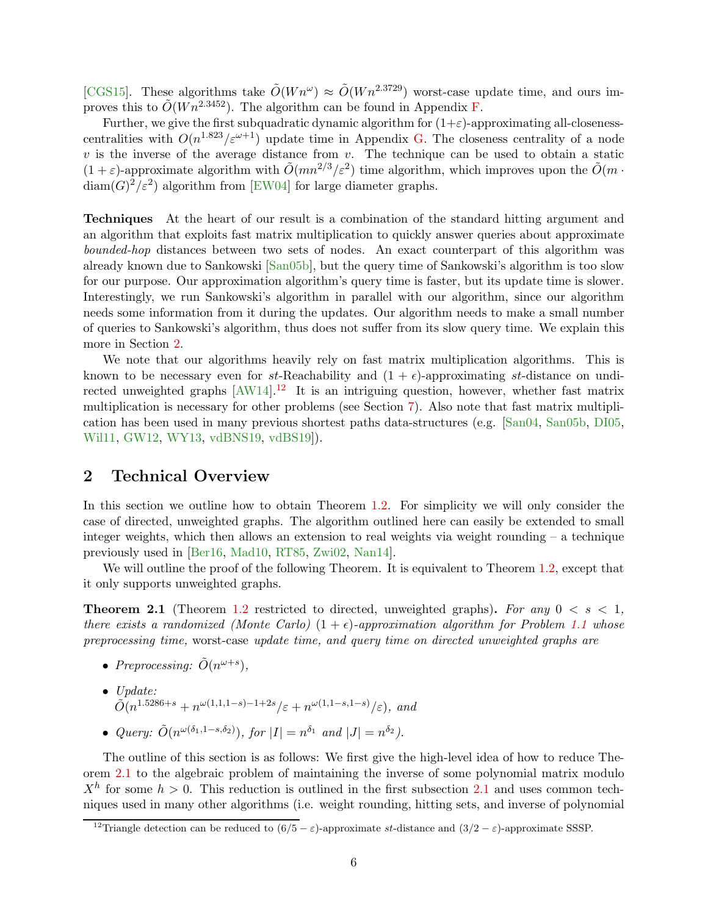<span id="page-7-3"></span>[\[CGS15\]](#page-31-9). These algorithms take  $\tilde{O}(Wn^{\omega}) \approx \tilde{O}(Wn^{2.3729})$  worst-case update time, and ours improves this to  $\tilde{O}(W n^{2.3452})$ . The algorithm can be found in Appendix [F.](#page-40-0)

Further, we give the first subquadratic dynamic algorithm for  $(1+\varepsilon)$ -approximating all-closenesscentralities with  $O(n^{1.823}/\varepsilon^{\omega+1})$  update time in Appendix [G.](#page-42-0) The closeness centrality of a node v is the inverse of the average distance from v. The technique can be used to obtain a static  $(1+\varepsilon)$ -approximate algorithm with  $\tilde{O}(mn^{2/3}/\varepsilon^2)$  time algorithm, which improves upon the  $\tilde{O}(m \cdot n^2)$  $\text{diam}(G)^2/\varepsilon^2$  algorithm from [\[EW04\]](#page-31-10) for large diameter graphs.

Techniques At the heart of our result is a combination of the standard hitting argument and an algorithm that exploits fast matrix multiplication to quickly answer queries about approximate bounded-hop distances between two sets of nodes. An exact counterpart of this algorithm was already known due to Sankowski [\[San05b\]](#page-33-2), but the query time of Sankowski's algorithm is too slow for our purpose. Our approximation algorithm's query time is faster, but its update time is slower. Interestingly, we run Sankowski's algorithm in parallel with our algorithm, since our algorithm needs some information from it during the updates. Our algorithm needs to make a small number of queries to Sankowski's algorithm, thus does not suffer from its slow query time. We explain this more in Section [2.](#page-7-0)

We note that our algorithms heavily rely on fast matrix multiplication algorithms. This is known to be necessary even for st-Reachability and  $(1 + \epsilon)$ -approximating st-distance on undirected unweighted graphs  $[AW14]$ <sup>[12](#page-7-1)</sup> It is an intriguing question, however, whether fast matrix multiplication is necessary for other problems (see Section [7\)](#page-29-0). Also note that fast matrix multiplication has been used in many previous shortest paths data-structures (e.g. [\[San04,](#page-33-1) [San05b,](#page-33-2) [DI05,](#page-31-11) [Wil11,](#page-33-8) [GW12,](#page-31-12) [WY13,](#page-34-3) [vdBNS19,](#page-33-9) [vdBS19\]](#page-33-10)).

### <span id="page-7-0"></span>2 Technical Overview

In this section we outline how to obtain Theorem [1.2.](#page-2-5) For simplicity we will only consider the case of directed, unweighted graphs. The algorithm outlined here can easily be extended to small integer weights, which then allows an extension to real weights via weight rounding  $-$  a technique previously used in [\[Ber16,](#page-30-12) [Mad10,](#page-32-10) [RT85,](#page-32-11) [Zwi02,](#page-34-1) [Nan14\]](#page-32-12).

<span id="page-7-2"></span>We will outline the proof of the following Theorem. It is equivalent to Theorem [1.2,](#page-2-5) except that it only supports unweighted graphs.

**Theorem 2.1** (Theorem [1.2](#page-2-5) restricted to directed, unweighted graphs). For any  $0 < s < 1$ , there exists a randomized (Monte Carlo)  $(1 + \epsilon)$ -approximation algorithm for Problem [1.1](#page-2-3) whose preprocessing time, worst-case update time, and query time on directed unweighted graphs are

- Preprocessing:  $\tilde{O}(n^{\omega+s}),$
- Update:  $\tilde{O}(n^{1.5286+s}+n^{\omega(1,1,1-s)-1+2s}/\varepsilon+n^{\omega(1,1-s,1-s)}/\varepsilon),$  and
- Query:  $\tilde{O}(n^{\omega(\delta_1, 1-s,\delta_2)}),$  for  $|I| = n^{\delta_1}$  and  $|J| = n^{\delta_2}$ .

The outline of this section is as follows: We first give the high-level idea of how to reduce Theorem [2.1](#page-7-2) to the algebraic problem of maintaining the inverse of some polynomial matrix modulo  $X<sup>h</sup>$  for some  $h > 0$ . This reduction is outlined in the first subsection [2.1](#page-8-0) and uses common techniques used in many other algorithms (i.e. weight rounding, hitting sets, and inverse of polynomial

<span id="page-7-1"></span><sup>&</sup>lt;sup>12</sup>Triangle detection can be reduced to  $(6/5 - \varepsilon)$ -approximate st-distance and  $(3/2 - \varepsilon)$ -approximate SSSP.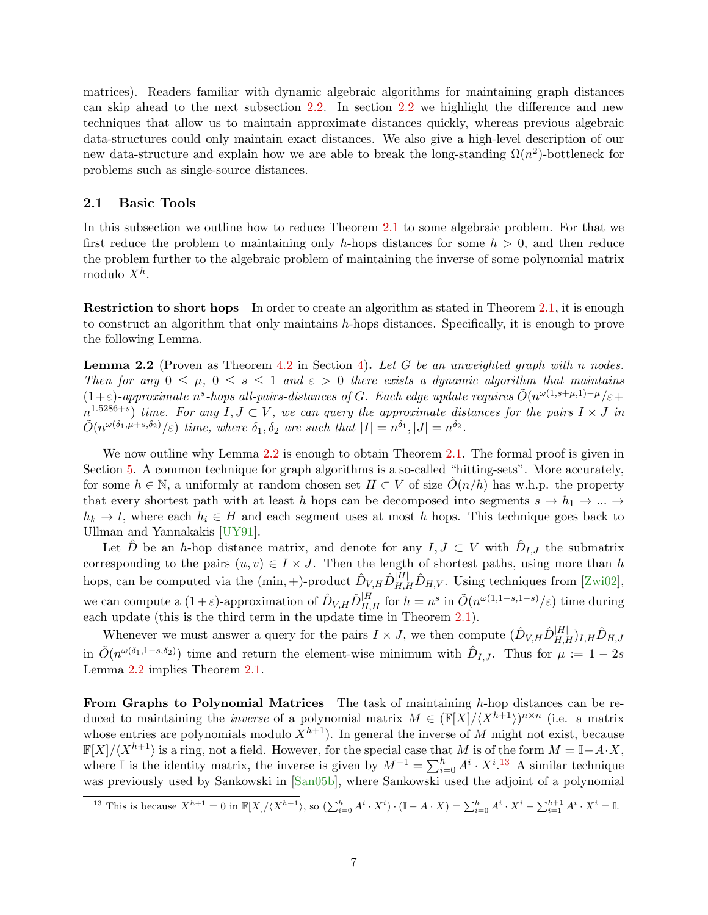<span id="page-8-3"></span>matrices). Readers familiar with dynamic algebraic algorithms for maintaining graph distances can skip ahead to the next subsection [2.2.](#page-9-1) In section [2.2](#page-9-1) we highlight the difference and new techniques that allow us to maintain approximate distances quickly, whereas previous algebraic data-structures could only maintain exact distances. We also give a high-level description of our new data-structure and explain how we are able to break the long-standing  $\Omega(n^2)$ -bottleneck for problems such as single-source distances.

#### <span id="page-8-0"></span>2.1 Basic Tools

In this subsection we outline how to reduce Theorem [2.1](#page-7-2) to some algebraic problem. For that we first reduce the problem to maintaining only h-hops distances for some  $h > 0$ , and then reduce the problem further to the algebraic problem of maintaining the inverse of some polynomial matrix modulo  $X^h$ .

Restriction to short hops In order to create an algorithm as stated in Theorem [2.1,](#page-7-2) it is enough to construct an algorithm that only maintains h-hops distances. Specifically, it is enough to prove the following Lemma.

<span id="page-8-1"></span>**Lemma 2.2** (Proven as Theorem [4.2](#page-13-2) in Section [4\)](#page-13-0). Let G be an unweighted graph with n nodes. Then for any  $0 \leq \mu$ ,  $0 \leq s \leq 1$  and  $\varepsilon > 0$  there exists a dynamic algorithm that maintains  $(1+\varepsilon)$ -approximate n<sup>s</sup>-hops all-pairs-distances of G. Each edge update requires  $\tilde{O}(n^{\omega(1,s+\mu,1)-\mu}/\varepsilon+\mu)$  $n^{1.5286+s}$ ) time. For any  $I, J \subset V$ , we can query the approximate distances for the pairs  $I \times J$  in  $\tilde{O}(n^{\omega(\delta_1,\mu+s,\delta_2)}/\varepsilon)$  time, where  $\delta_1, \delta_2$  are such that  $|I|=n^{\delta_1}, |J|=n^{\delta_2}$ .

We now outline why Lemma [2.2](#page-8-1) is enough to obtain Theorem [2.1.](#page-7-2) The formal proof is given in Section [5.](#page-18-0) A common technique for graph algorithms is a so-called "hitting-sets". More accurately, for some  $h \in \mathbb{N}$ , a uniformly at random chosen set  $H \subset V$  of size  $\tilde{O}(n/h)$  has w.h.p. the property that every shortest path with at least h hops can be decomposed into segments  $s \to h_1 \to \dots \to$  $h_k \to t$ , where each  $h_i \in H$  and each segment uses at most h hops. This technique goes back to Ullman and Yannakakis [\[UY91\]](#page-33-11).

Let  $\hat{D}$  be an h-hop distance matrix, and denote for any  $I, J \subset V$  with  $\hat{D}_{I,J}$  the submatrix corresponding to the pairs  $(u, v) \in I \times J$ . Then the length of shortest paths, using more than h hops, can be computed via the  $(\min, +)$ -product  $\hat{D}_{V,H} \hat{D}_{H,H}^{[H]} \hat{D}_{H,V}$ . Using techniques from [\[Zwi02\]](#page-34-1), we can compute a  $(1+\varepsilon)$ -approximation of  $\hat{D}_{V,H} \hat{D}_{H,H}^{|H|}$  for  $h = n^s$  in  $\tilde{O}(n^{\omega(1,1-s,1-s)}/\varepsilon)$  time during each update (this is the third term in the update time in Theorem [2.1\)](#page-7-2).

Whenever we must answer a query for the pairs  $I \times J$ , we then compute  $(\hat{D}_{V,H} \hat{D}_{H,H}^{|H|})_{I,H} \hat{D}_{H,J}$ in  $\tilde{O}(n^{\omega(\delta_1,1-s,\delta_2)})$  time and return the element-wise minimum with  $\hat{D}_{I,J}$ . Thus for  $\mu:=1-2s$ Lemma [2.2](#page-8-1) implies Theorem [2.1.](#page-7-2)

From Graphs to Polynomial Matrices The task of maintaining h-hop distances can be reduced to maintaining the *inverse* of a polynomial matrix  $M \in (\mathbb{F}[X]/\langle X^{h+1} \rangle)^{n \times n}$  (i.e. a matrix whose entries are polynomials modulo  $X^{h+1}$ ). In general the inverse of M might not exist, because  $\mathbb{F}[X]/\langle X^{h+1}\rangle$  is a ring, not a field. However, for the special case that M is of the form  $M = \mathbb{I} - A \cdot X$ , where I is the identity matrix, the inverse is given by  $M^{-1} = \sum_{i=0}^{h} A^i \cdot X^{i}$ .<sup>[13](#page-8-2)</sup> A similar technique was previously used by Sankowski in [\[San05b\]](#page-33-2), where Sankowski used the adjoint of a polynomial

<span id="page-8-2"></span><sup>&</sup>lt;sup>13</sup> This is because  $X^{h+1} = 0$  in  $\mathbb{F}[X]/\langle X^{h+1} \rangle$ , so  $(\sum_{i=0}^{h} A^i \cdot X^i) \cdot (\mathbb{I} - A \cdot X) = \sum_{i=0}^{h} A^i \cdot X^i - \sum_{i=1}^{h+1} A^i \cdot X^i = \mathbb{I}$ .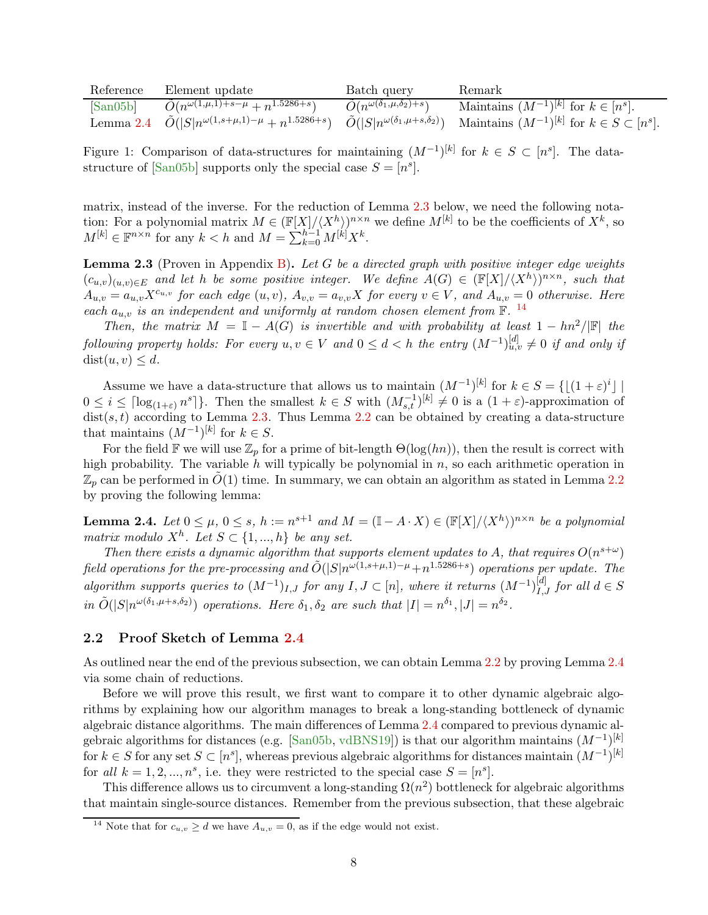<span id="page-9-5"></span>

| Reference                     | Element update                                                                                                       | Batch query                                      | Remark                                                   |
|-------------------------------|----------------------------------------------------------------------------------------------------------------------|--------------------------------------------------|----------------------------------------------------------|
| $\lceil \text{San05b} \rceil$ | $\tilde{O}(n^{\omega(1,\mu,1)+s-\mu}+n^{1.5286+s})$                                                                  | $\tilde{O}(n^{\omega(\delta_1,\mu,\delta_2)+s})$ | Maintains $(M^{-1})^{[k]}$ for $k \in [n^s]$ .           |
|                               | Lemma 2.4 $\tilde{O}( S n^{\omega(1,s+\mu,1)-\mu}+n^{1.5286+s})$ $\tilde{O}( S n^{\omega(\delta_1,\mu+s,\delta_2)})$ |                                                  | Maintains $(M^{-1})^{[k]}$ for $k \in S \subset [n^s]$ . |

<span id="page-9-4"></span>Figure 1: Comparison of data-structures for maintaining  $(M^{-1})^{[k]}$  for  $k \in S \subset [n^s]$ . The datastructure of  $[\text{San05b}]$  supports only the special case  $S = [n^s]$ .

matrix, instead of the inverse. For the reduction of Lemma [2.3](#page-9-2) below, we need the following notation: For a polynomial matrix  $M \in (\mathbb{F}[X]/\langle X^h \rangle)^{n \times n}$  we define  $M^{[k]}$  to be the coefficients of  $X^k$ , so  $M^{[k]} \in \mathbb{F}^{n \times n}$  for any  $k < h$  and  $M = \sum_{k=0}^{h-1} M^{[k]} X^k$ .

<span id="page-9-2"></span>**Lemma 2.3** (Proven in Appendix [B\)](#page-35-1). Let G be a directed graph with positive integer edge weights  $(c_{u,v})_{(u,v)\in E}$  and let h be some positive integer. We define  $A(G) \in (\mathbb{F}[X]/\langle X^h \rangle)^{n\times n}$ , such that  $A_{u,v} = a_{u,v} X^{c_{u,v}}$  for each edge  $(u, v)$ ,  $A_{v,v} = a_{v,v} X$  for every  $v \in V$ , and  $A_{u,v} = 0$  otherwise. Here each  $a_{u,v}$  is an independent and uniformly at random chosen element from  $\mathbb{F}$ . <sup>[14](#page-9-3)</sup>

Then, the matrix  $M = \mathbb{I} - A(G)$  is invertible and with probability at least  $1 - \frac{hn^2}{\mathbb{I} \cdot \mathbb{I}}$  the following property holds: For every  $u, v \in V$  and  $0 \le d < h$  the entry  $(M^{-1})_{u,v}^{[d]} \ne 0$  if and only if  $dist(u, v) \leq d$ .

Assume we have a data-structure that allows us to maintain  $(M^{-1})^{[k]}$  for  $k \in S = \{[(1+\varepsilon)^i] \}$  $\prod_{i=1}^n$  $0 \leq i \leq \lceil \log_{(1+\varepsilon)} n^s \rceil$ . Then the smallest  $k \in S$  with  $(M_{s,t}^{-1})^{[k]} \neq 0$  is a  $(1+\varepsilon)$ -approximation of  $dist(s, t)$  according to Lemma [2.3.](#page-9-2) Thus Lemma [2.2](#page-8-1) can be obtained by creating a data-structure that maintains  $(M^{-1})^{[k]}$  for  $k \in S$ .

For the field F we will use  $\mathbb{Z}_p$  for a prime of bit-length  $\Theta(\log(hn))$ , then the result is correct with high probability. The variable h will typically be polynomial in  $n$ , so each arithmetic operation in  $\mathbb{Z}_p$  can be performed in  $\dot{O}(1)$  time. In summary, we can obtain an algorithm as stated in Lemma [2.2](#page-8-1) by proving the following lemma:

<span id="page-9-0"></span>**Lemma 2.4.** Let  $0 \leq \mu$ ,  $0 \leq s$ ,  $h := n^{s+1}$  and  $M = (\mathbb{I} - A \cdot X) \in (\mathbb{F}[X]/\langle X^h \rangle)^{n \times n}$  be a polynomial matrix modulo  $X^h$ . Let  $S \subset \{1, ..., h\}$  be any set.

Then there exists a dynamic algorithm that supports element updates to A, that requires  $O(n^{s+\omega})$ field operations for the pre-processing and  $\tilde{O}(|S|n^{\omega(1,s+\mu,1)-\mu}+n^{1.5286+s})$  operations per update. The algorithm supports queries to  $(M^{-1})_{I,J}$  for any  $I, J \subset [n]$ , where it returns  $(M^{-1})_{I,J}^{[d]}$  for all  $d \in S$ in  $\tilde{O}(|S|n^{\omega(\delta_1,\mu+s,\delta_2)})$  operations. Here  $\delta_1, \delta_2$  are such that  $|I|=n^{\delta_1}, |J|=n^{\delta_2}$ .

### <span id="page-9-1"></span>2.2 Proof Sketch of Lemma [2.4](#page-9-0)

As outlined near the end of the previous subsection, we can obtain Lemma [2.2](#page-8-1) by proving Lemma [2.4](#page-9-0) via some chain of reductions.

Before we will prove this result, we first want to compare it to other dynamic algebraic algorithms by explaining how our algorithm manages to break a long-standing bottleneck of dynamic algebraic distance algorithms. The main differences of Lemma [2.4](#page-9-0) compared to previous dynamic al-gebraic algorithms for distances (e.g. [\[San05b,](#page-33-2) [vdBNS19\]](#page-33-9)) is that our algorithm maintains  $(M^{-1})^{[k]}$ for  $k \in S$  for any set  $S \subset [n^s]$ , whereas previous algebraic algorithms for distances maintain  $(M^{-1})^{[k]}$ for all  $k = 1, 2, ..., n^s$ , i.e. they were restricted to the special case  $S = [n^s]$ .

This difference allows us to circumvent a long-standing  $\Omega(n^2)$  bottleneck for algebraic algorithms that maintain single-source distances. Remember from the previous subsection, that these algebraic

<span id="page-9-3"></span><sup>&</sup>lt;sup>14</sup> Note that for  $c_{u,v} \ge d$  we have  $A_{u,v} = 0$ , as if the edge would not exist.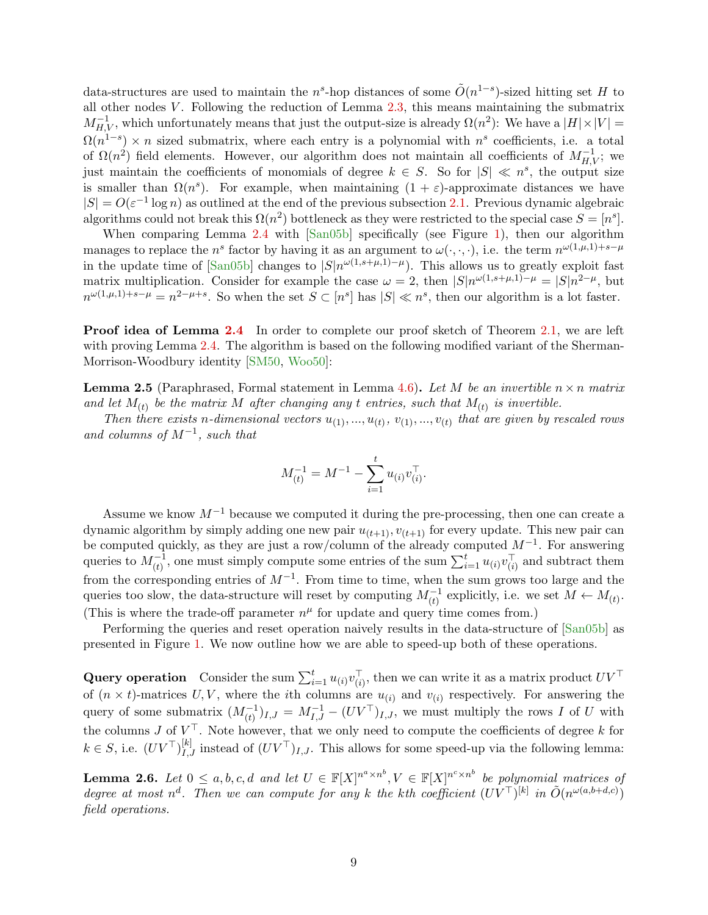<span id="page-10-1"></span>data-structures are used to maintain the n<sup>s</sup>-hop distances of some  $\tilde{O}(n^{1-s})$ -sized hitting set H to all other nodes  $V$ . Following the reduction of Lemma  $2.3$ , this means maintaining the submatrix  $M_{H,V}^{-1}$ , which unfortunately means that just the output-size is already  $\Omega(n^2)$ : We have a  $|H| \times |V|$  =  $\Omega(n^{1-s}) \times n$  sized submatrix, where each entry is a polynomial with  $n^s$  coefficients, i.e. a total of  $\Omega(n^2)$  field elements. However, our algorithm does not maintain all coefficients of  $M_{H,V}^{-1}$ ; we just maintain the coefficients of monomials of degree  $k \in S$ . So for  $|S| \ll n^s$ , the output size is smaller than  $\Omega(n^s)$ . For example, when maintaining  $(1 + \varepsilon)$ -approximate distances we have  $|S| = O(\varepsilon^{-1} \log n)$  as outlined at the end of the previous subsection [2.1.](#page-8-0) Previous dynamic algebraic algorithms could not break this  $\Omega(n^2)$  bottleneck as they were restricted to the special case  $S = [n^s]$ .

When comparing Lemma [2.4](#page-9-0) with [\[San05b\]](#page-33-2) specifically (see Figure [1\)](#page-9-4), then our algorithm manages to replace the n<sup>s</sup> factor by having it as an argument to  $\omega(\cdot,\cdot,\cdot)$ , i.e. the term  $n^{\omega(1,\mu,1)+s-\mu}$ in the update time of [\[San05b\]](#page-33-2) changes to  $|S|n^{\omega(1,s+\mu,1)-\mu}$ . This allows us to greatly exploit fast matrix multiplication. Consider for example the case  $\omega = 2$ , then  $|S|n^{\omega(1,s+\mu,1)-\mu} = |S|n^{2-\mu}$ , but  $n^{\omega(1,\mu,1)+s-\mu} = n^{2-\mu+s}$ . So when the set  $S \subset [n^s]$  has  $|S| \ll n^s$ , then our algorithm is a lot faster.

**Proof idea of Lemma [2.4](#page-9-0)** In order to complete our proof sketch of Theorem [2.1,](#page-7-2) we are left with proving Lemma [2.4.](#page-9-0) The algorithm is based on the following modified variant of the Sherman-Morrison-Woodbury identity [\[SM50,](#page-33-12) [Woo50\]](#page-34-4):

**Lemma 2.5** (Paraphrased, Formal statement in Lemma [4.6\)](#page-14-0). Let M be an invertible  $n \times n$  matrix and let  $M_{(t)}$  be the matrix M after changing any t entries, such that  $M_{(t)}$  is invertible.

Then there exists n-dimensional vectors  $u_{(1)},...,u_{(t)}, v_{(1)},...,v_{(t)}$  that are given by rescaled rows and columns of  $M^{-1}$ , such that

$$
M_{(t)}^{-1} = M^{-1} - \sum_{i=1}^{t} u_{(i)} v_{(i)}^{\top}.
$$

Assume we know  $M^{-1}$  because we computed it during the pre-processing, then one can create a dynamic algorithm by simply adding one new pair  $u_{(t+1)}, v_{(t+1)}$  for every update. This new pair can be computed quickly, as they are just a row/column of the already computed  $M^{-1}$ . For answering queries to  $M_{(t)}^{-1}$ , one must simply compute some entries of the sum  $\sum_{i=1}^{t} u_{(i)} v_{(i)}^{\top}$  and subtract them from the corresponding entries of  $M^{-1}$ . From time to time, when the sum grows too large and the queries too slow, the data-structure will reset by computing  $M_{(t)}^{-1}$  explicitly, i.e. we set  $M \leftarrow M_{(t)}$ . (This is where the trade-off parameter  $n^{\mu}$  for update and query time comes from.)

Performing the queries and reset operation naively results in the data-structure of [\[San05b\]](#page-33-2) as presented in Figure [1.](#page-9-4) We now outline how we are able to speed-up both of these operations.

Query operation Consider the sum  $\sum_{i=1}^t u_{(i)} v_{(i)}^\top$ , then we can write it as a matrix product  $UV^\top$ of  $(n \times t)$ -matrices U, V, where the *i*th columns are  $u_{(i)}$  and  $v_{(i)}$  respectively. For answering the query of some submatrix  $(M_{(t)}^{-1})_{I,J} = M_{I,J}^{-1} - (UV^{\top})_{I,J}$ , we must multiply the rows I of U with the columns J of  $V^{\perp}$ . Note however, that we only need to compute the coefficients of degree k for  $k \in S$ , i.e.  $(UV^{\top})_{I,J}^{[k]}$  instead of  $(UV^{\top})_{I,J}$ . This allows for some speed-up via the following lemma:

<span id="page-10-0"></span>**Lemma 2.6.** Let  $0 \leq a, b, c, d$  and let  $U \in \mathbb{F}[X]^{n^a \times n^b}, V \in \mathbb{F}[X]^{n^c \times n^b}$  be polynomial matrices of degree at most n<sup>d</sup>. Then we can compute for any k the kth coefficient  $(UV^{\top})^{[k]}$  in  $\tilde{O}(n^{\omega(a,b+d,c)})$ field operations.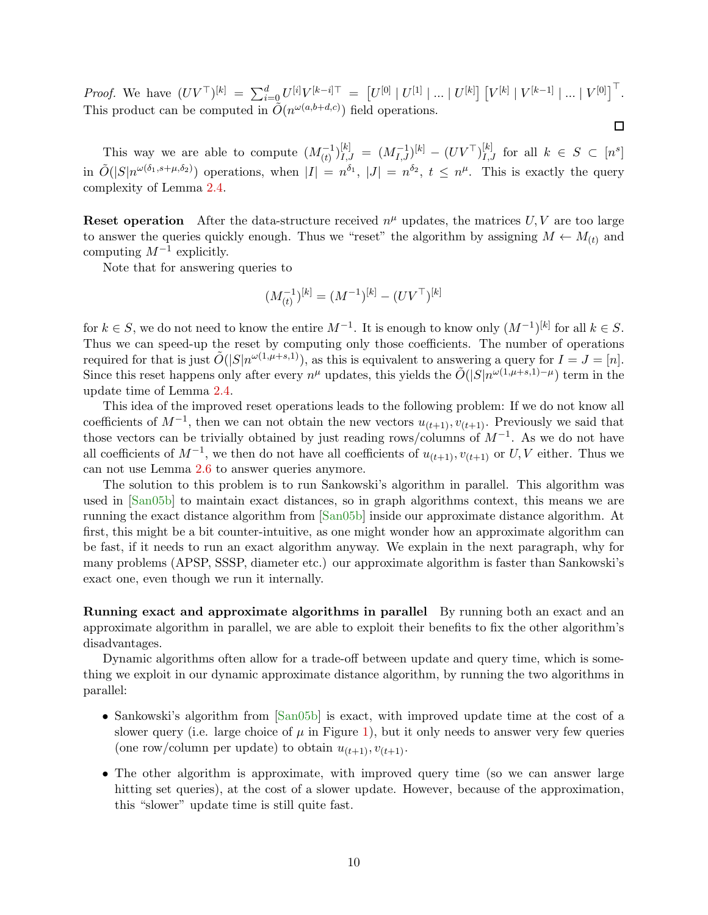<span id="page-11-0"></span>Proof. We have  $(UV^{\top})^{[k]} = \sum_{i=0}^{d} U^{[i]}V^{[k-i]\top} = [U^{[0]} | U^{[1]} | \dots | U^{[k]}] [V^{[k]} | V^{[k-1]} | \dots | V^{[0]}]$ . This product can be computed in  $\tilde{O}(n^{\omega(a,b+d,c)})$  field operations.

 $\Box$ 

This way we are able to compute  $(M_{(t)}^{-1})_{I,J}^{[k]} = (M_{I,J}^{-1})^{[k]} - (UV^{\top})_{I,J}^{[k]}$  for all  $k \in S \subset [n^s]$ in  $\tilde{O}(|S|n^{\omega(\delta_1,s+\mu,\delta_2)})$  operations, when  $|I|=n^{\delta_1}$ ,  $|J|=n^{\delta_2}$ ,  $t \leq n^{\mu}$ . This is exactly the query complexity of Lemma [2.4.](#page-9-0)

**Reset operation** After the data-structure received  $n^{\mu}$  updates, the matrices U, V are too large to answer the queries quickly enough. Thus we "reset" the algorithm by assigning  $M \leftarrow M_{(t)}$  and computing  $M^{-1}$  explicitly.

Note that for answering queries to

$$
(M_{(t)}^{-1})^{[k]} = (M^{-1})^{[k]} - (UV^{\top})^{[k]}
$$

for  $k \in S$ , we do not need to know the entire  $M^{-1}$ . It is enough to know only  $(M^{-1})^{[k]}$  for all  $k \in S$ . Thus we can speed-up the reset by computing only those coefficients. The number of operations required for that is just  $\tilde{O}(|S|n^{\omega(1,\mu+s,1)})$ , as this is equivalent to answering a query for  $I = J = [n]$ . Since this reset happens only after every  $n^{\mu}$  updates, this yields the  $\tilde{O}(|S|n^{\omega(1,\mu+s,1)-\mu})$  term in the update time of Lemma [2.4.](#page-9-0)

This idea of the improved reset operations leads to the following problem: If we do not know all coefficients of  $M^{-1}$ , then we can not obtain the new vectors  $u_{(t+1)}, v_{(t+1)}$ . Previously we said that those vectors can be trivially obtained by just reading rows/columns of  $M^{-1}$ . As we do not have all coefficients of  $M^{-1}$ , we then do not have all coefficients of  $u_{(t+1)}, v_{(t+1)}$  or U, V either. Thus we can not use Lemma [2.6](#page-10-0) to answer queries anymore.

The solution to this problem is to run Sankowski's algorithm in parallel. This algorithm was used in [\[San05b\]](#page-33-2) to maintain exact distances, so in graph algorithms context, this means we are running the exact distance algorithm from [\[San05b\]](#page-33-2) inside our approximate distance algorithm. At first, this might be a bit counter-intuitive, as one might wonder how an approximate algorithm can be fast, if it needs to run an exact algorithm anyway. We explain in the next paragraph, why for many problems (APSP, SSSP, diameter etc.) our approximate algorithm is faster than Sankowski's exact one, even though we run it internally.

Running exact and approximate algorithms in parallel By running both an exact and an approximate algorithm in parallel, we are able to exploit their benefits to fix the other algorithm's disadvantages.

Dynamic algorithms often allow for a trade-off between update and query time, which is something we exploit in our dynamic approximate distance algorithm, by running the two algorithms in parallel:

- Sankowski's algorithm from [\[San05b\]](#page-33-2) is exact, with improved update time at the cost of a slower query (i.e. large choice of  $\mu$  in Figure [1\)](#page-9-4), but it only needs to answer very few queries (one row/column per update) to obtain  $u_{(t+1)}, v_{(t+1)}$ .
- The other algorithm is approximate, with improved query time (so we can answer large hitting set queries), at the cost of a slower update. However, because of the approximation, this "slower" update time is still quite fast.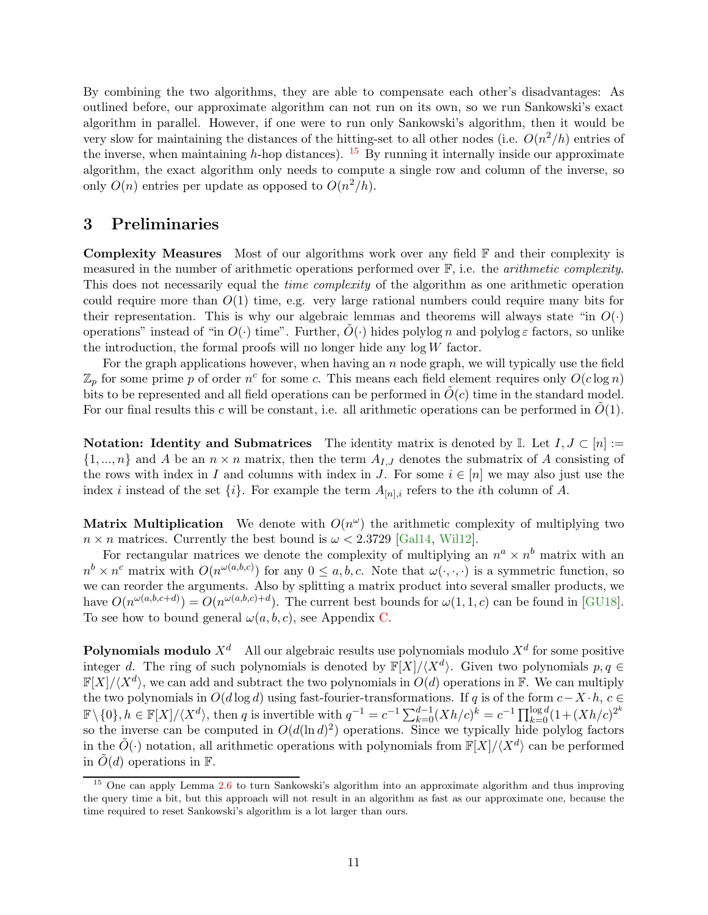<span id="page-12-2"></span>By combining the two algorithms, they are able to compensate each other's disadvantages: As outlined before, our approximate algorithm can not run on its own, so we run Sankowski's exact algorithm in parallel. However, if one were to run only Sankowski's algorithm, then it would be very slow for maintaining the distances of the hitting-set to all other nodes (i.e.  $O(n^2/h)$  entries of the inverse, when maintaining h-hop distances). <sup>[15](#page-12-1)</sup> By running it internally inside our approximate algorithm, the exact algorithm only needs to compute a single row and column of the inverse, so only  $O(n)$  entries per update as opposed to  $O(n^2/h)$ .

### <span id="page-12-0"></span>3 Preliminaries

**Complexity Measures** Most of our algorithms work over any field  $\mathbb{F}$  and their complexity is measured in the number of arithmetic operations performed over  $\mathbb{F}$ , i.e. the *arithmetic complexity*. This does not necessarily equal the *time complexity* of the algorithm as one arithmetic operation could require more than  $O(1)$  time, e.g. very large rational numbers could require many bits for their representation. This is why our algebraic lemmas and theorems will always state "in  $O(\cdot)$ " operations" instead of "in  $O(\cdot)$  time". Further,  $O(\cdot)$  hides polylog n and polylog  $\varepsilon$  factors, so unlike the introduction, the formal proofs will no longer hide any  $log W$  factor.

For the graph applications however, when having an  $n$  node graph, we will typically use the field  $\mathbb{Z}_p$  for some prime p of order  $n^c$  for some c. This means each field element requires only  $O(c \log n)$ bits to be represented and all field operations can be performed in  $\tilde{O}(c)$  time in the standard model. For our final results this c will be constant, i.e. all arithmetic operations can be performed in  $O(1)$ .

**Notation:** Identity and Submatrices The identity matrix is denoted by I. Let  $I, J \subset [n]$  :=  $\{1, ..., n\}$  and A be an  $n \times n$  matrix, then the term  $A_{I,J}$  denotes the submatrix of A consisting of the rows with index in I and columns with index in J. For some  $i \in [n]$  we may also just use the index *i* instead of the set  $\{i\}$ . For example the term  $A_{[n],i}$  refers to the *i*th column of A.

Matrix Multiplication We denote with  $O(n^{\omega})$  the arithmetic complexity of multiplying two  $n \times n$  matrices. Currently the best bound is  $\omega < 2.3729$  [\[Gal14,](#page-31-2) [Wil12\]](#page-33-4).

For rectangular matrices we denote the complexity of multiplying an  $n^a \times n^b$  matrix with an  $n^b \times n^c$  matrix with  $O(n^{\omega(a,b,c)})$  for any  $0 \le a, b, c$ . Note that  $\omega(\cdot,\cdot,\cdot)$  is a symmetric function, so we can reorder the arguments. Also by splitting a matrix product into several smaller products, we have  $O(n^{\omega(a,b,c+d)}) = O(n^{\omega(a,b,c)+d})$ . The current best bounds for  $\omega(1,1,c)$  can be found in [\[GU18\]](#page-31-13). To see how to bound general  $\omega(a, b, c)$ , see Appendix [C.](#page-36-0)

**Polynomials modulo**  $X^d$  – All our algebraic results use polynomials modulo  $X^d$  for some positive integer d. The ring of such polynomials is denoted by  $\mathbb{F}[X]/\langle X^d \rangle$ . Given two polynomials  $p, q \in$  $\mathbb{F}[X]/\langle X^d \rangle$ , we can add and subtract the two polynomials in  $O(d)$  operations in F. We can multiply the two polynomials in  $O(d \log d)$  using fast-fourier-transformations. If q is of the form  $c-X \cdot h$ ,  $c \in$  $\mathbb{F}\setminus\{0\}, h \in \mathbb{F}[X]/\langle X^d \rangle$ , then q is invertible with  $q^{-1} = c^{-1} \sum_{k=0}^{d-1} (Xh/c)^k = c^{-1} \prod_{k=0}^{\log d} (1 + (Xh/c)^{2^k})$ so the inverse can be computed in  $O(d(\ln d)^2)$  operations. Since we typically hide polylog factors in the  $\tilde{O}(\cdot)$  notation, all arithmetic operations with polynomials from  $\mathbb{F}[X]/\langle X^d \rangle$  can be performed in  $O(d)$  operations in  $\mathbb{F}$ .

<span id="page-12-1"></span><sup>15</sup> One can apply Lemma [2.6](#page-10-0) to turn Sankowski's algorithm into an approximate algorithm and thus improving the query time a bit, but this approach will not result in an algorithm as fast as our approximate one, because the time required to reset Sankowski's algorithm is a lot larger than ours.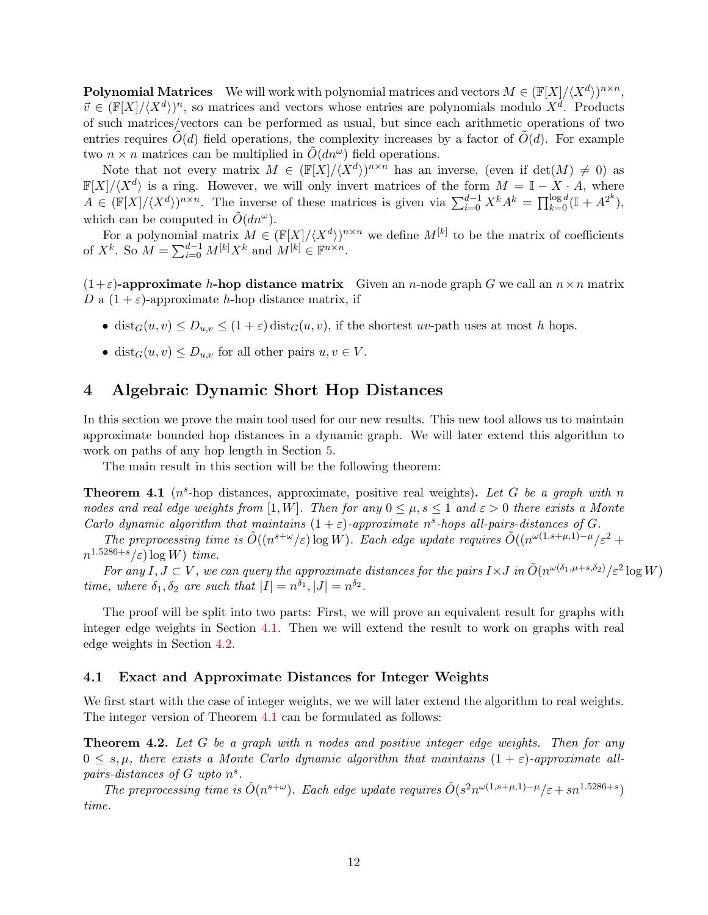**Polynomial Matrices** We will work with polynomial matrices and vectors  $M \in (\mathbb{F}[X]/\langle X^d \rangle)^{n \times n}$ ,  $\vec{v} \in (\mathbb{F}[X]/\langle X^d \rangle)^n$ , so matrices and vectors whose entries are polynomials modulo  $X^d$ . Products of such matrices/vectors can be performed as usual, but since each arithmetic operations of two entries requires  $O(d)$  field operations, the complexity increases by a factor of  $O(d)$ . For example two  $n \times n$  matrices can be multiplied in  $\tilde{O}(dn^{\omega})$  field operations.

Note that not every matrix  $M \in (\mathbb{F}[X]/\langle X^d \rangle)^{n \times n}$  has an inverse, (even if  $\det(M) \neq 0$ ) as  $\mathbb{F}[X]/\langle X^d \rangle$  is a ring. However, we will only invert matrices of the form  $M = \mathbb{I} - X \cdot A$ , where  $A \in (\mathbb{F}[X]/\langle X^d \rangle)^{n \times n}$ . The inverse of these matrices is given via  $\sum_{i=0}^{d-1} X^k A^k = \prod_{k=0}^{\log d} (\mathbb{I} + A^{2^k}),$ which can be computed in  $\tilde{O}(dn^{\omega}).$ 

For a polynomial matrix  $M \in (\mathbb{F}[X]/\langle X^d \rangle)^{n \times n}$  we define  $M^{[k]}$  to be the matrix of coefficients of  $X^k$ . So  $M = \sum_{i=0}^{d-1} M^{[k]} X^k$  and  $M^{[k]} \in \mathbb{F}^{n \times n}$ .

 $(1+\varepsilon)$ -approximate h-hop distance matrix Given an n-node graph G we call an  $n \times n$  matrix D a  $(1+\varepsilon)$ -approximate h-hop distance matrix, if

- dist<sub>G</sub> $(u, v) \le D_{u,v} \le (1 + \varepsilon)$  dist<sub>G</sub> $(u, v)$ , if the shortest uv-path uses at most h hops.
- dist $_G(u, v) \leq D_{u,v}$  for all other pairs  $u, v \in V$ .

### <span id="page-13-0"></span>4 Algebraic Dynamic Short Hop Distances

In this section we prove the main tool used for our new results. This new tool allows us to maintain approximate bounded hop distances in a dynamic graph. We will later extend this algorithm to work on paths of any hop length in Section [5.](#page-18-0)

<span id="page-13-3"></span>The main result in this section will be the following theorem:

**Theorem 4.1** ( $n^s$ -hop distances, approximate, positive real weights). Let G be a graph with n nodes and real edge weights from [1, W]. Then for any  $0 \leq \mu$ ,  $s \leq 1$  and  $\varepsilon > 0$  there exists a Monte Carlo dynamic algorithm that maintains  $(1 + \varepsilon)$ -approximate n<sup>s</sup>-hops all-pairs-distances of G.

The preprocessing time is  $\tilde{O}((n^{s+\omega}/\varepsilon) \log W)$ . Each edge update requires  $\tilde{O}((n^{\omega(1,s+\mu,1)-\mu}/\varepsilon^2 +$  $n^{1.5286+s}/\varepsilon)$  log W) time.

For any  $I, J \subset V$ , we can query the approximate distances for the pairs  $I \times J$  in  $\tilde{O}(n^{\omega(\delta_1,\mu+s,\delta_2)}/\varepsilon^2 \log W)$ time, where  $\delta_1, \delta_2$  are such that  $|I| = n^{\delta_1}, |J| = n^{\delta_2}$ .

The proof will be split into two parts: First, we will prove an equivalent result for graphs with integer edge weights in Section [4.1.](#page-13-1) Then we will extend the result to work on graphs with real edge weights in Section [4.2.](#page-17-0)

#### <span id="page-13-1"></span>4.1 Exact and Approximate Distances for Integer Weights

<span id="page-13-2"></span>We first start with the case of integer weights, we we will later extend the algorithm to real weights. The integer version of Theorem [4.1](#page-13-3) can be formulated as follows:

**Theorem 4.2.** Let G be a graph with n nodes and positive integer edge weights. Then for any  $0 \leq s, \mu$ , there exists a Monte Carlo dynamic algorithm that maintains  $(1 + \varepsilon)$ -approximate allpairs-distances of  $G$  upto  $n<sup>s</sup>$ .

The preprocessing time is  $\tilde{O}(n^{s+\omega})$ . Each edge update requires  $\tilde{O}(s^2 n^{\omega(1,s+\mu,1)-\mu}/\varepsilon + s n^{1.5286+s})$ time.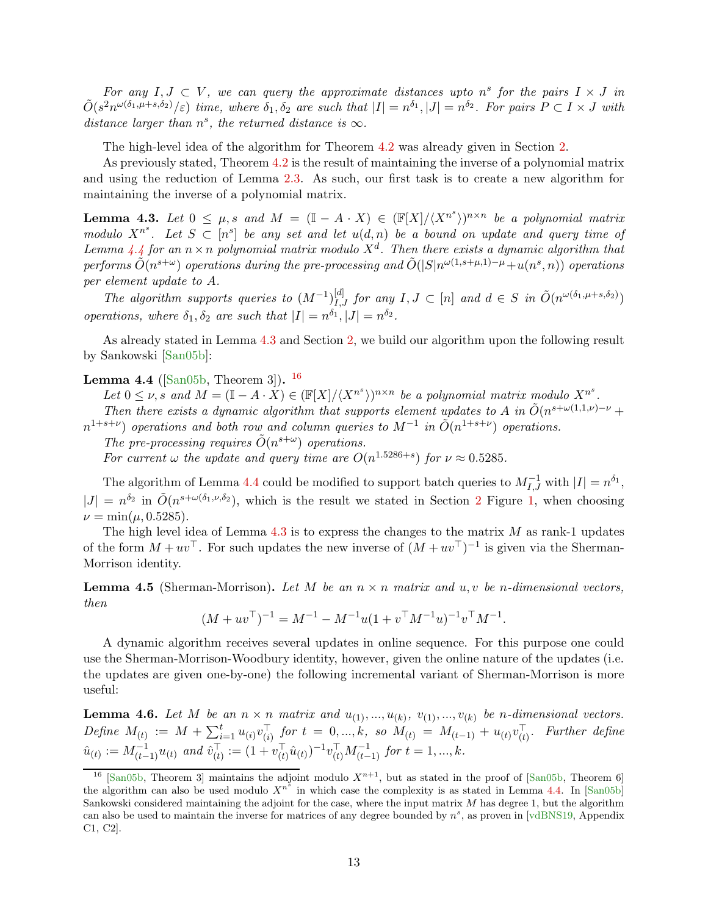<span id="page-14-5"></span>For any  $I, J \subset V$ , we can query the approximate distances upto n<sup>s</sup> for the pairs  $I \times J$  in  $\tilde{O}(s^2 n^{\omega(\delta_1,\mu+s,\delta_2)}/\varepsilon)$  time, where  $\delta_1, \delta_2$  are such that  $|I|=n^{\delta_1}, |J|=n^{\delta_2}$ . For pairs  $P\subset I\times J$  with distance larger than  $n^s$ , the returned distance is  $\infty$ .

The high-level idea of the algorithm for Theorem [4.2](#page-13-2) was already given in Section [2.](#page-7-0)

As previously stated, Theorem [4.2](#page-13-2) is the result of maintaining the inverse of a polynomial matrix and using the reduction of Lemma [2.3.](#page-9-2) As such, our first task is to create a new algorithm for maintaining the inverse of a polynomial matrix.

<span id="page-14-2"></span>**Lemma 4.3.** Let  $0 \leq \mu$ , s and  $M = (\mathbb{I} - A \cdot X) \in (\mathbb{F}[X]/\langle X^{n^s} \rangle)^{n \times n}$  be a polynomial matrix modulo  $X^{n^s}$ . Let  $S \subset [n^s]$  be any set and let  $u(d, n)$  be a bound on update and query time of Lemma [4.4](#page-14-1) for an  $n \times n$  polynomial matrix modulo  $X^d$ . Then there exists a dynamic algorithm that performs  $\tilde{O}(n^{s+\omega})$  operations during the pre-processing and  $\tilde{O}(|S|n^{\omega(1,s+\mu,1)-\mu}+u(n^s,n))$  operations per element update to A.

The algorithm supports queries to  $(M^{-1})_{I,J}^{[d]}$  for any  $I, J \subset [n]$  and  $d \in S$  in  $\tilde{O}(n^{\omega(\delta_1,\mu+s,\delta_2)})$ operations, where  $\delta_1, \delta_2$  are such that  $|I| = n^{\delta_1}, |J| = n^{\delta_2}$ .

<span id="page-14-1"></span>As already stated in Lemma [4.3](#page-14-2) and Section [2,](#page-7-0) we build our algorithm upon the following result by Sankowski [\[San05b\]](#page-33-2):

**Lemma 4.4** ([\[San05b,](#page-33-2) Theorem 3]).  $16$ 

Let  $0 \leq \nu$ , s and  $M = (\mathbb{I} - A \cdot X) \in (\mathbb{F}[X]/\langle X^{n^s} \rangle)^{n \times n}$  be a polynomial matrix modulo  $X^{n^s}$ .

Then there exists a dynamic algorithm that supports element updates to A in  $\tilde{O}(n^{s+\omega(1,1,\nu)-\nu} +$  $n^{1+s+\nu}$ ) operations and both row and column queries to  $M^{-1}$  in  $\tilde{O}(n^{1+s+\nu})$  operations.

The pre-processing requires  $\tilde{O}(n^{s+\omega})$  operations.

For current  $\omega$  the update and query time are  $O(n^{1.5286+s})$  for  $\nu \approx 0.5285$ .

The algorithm of Lemma [4.4](#page-14-1) could be modified to support batch queries to  $M_{I,J}^{-1}$  with  $|I| = n^{\delta_1}$ ,  $|J| = n^{\delta_2}$  $|J| = n^{\delta_2}$  $|J| = n^{\delta_2}$  in  $\tilde{O}(n^{s+\omega(\delta_1,\nu,\delta_2)})$  $\tilde{O}(n^{s+\omega(\delta_1,\nu,\delta_2)})$  $\tilde{O}(n^{s+\omega(\delta_1,\nu,\delta_2)})$ , which is the result we stated in Section 2 Figure 1, when choosing  $\nu = \min(\mu, 0.5285).$ 

The high level idea of Lemma  $4.3$  is to express the changes to the matrix  $M$  as rank-1 updates of the form  $M + uv^{\top}$ . For such updates the new inverse of  $(M + uv^{\top})^{-1}$  is given via the Sherman-Morrison identity.

<span id="page-14-4"></span>**Lemma 4.5** (Sherman-Morrison). Let M be an  $n \times n$  matrix and u, v be n-dimensional vectors, then

$$
(M + uvT)-1 = M-1 – M-1u(1 + vTM-1u)-1vTM-1.
$$

A dynamic algorithm receives several updates in online sequence. For this purpose one could use the Sherman-Morrison-Woodbury identity, however, given the online nature of the updates (i.e. the updates are given one-by-one) the following incremental variant of Sherman-Morrison is more useful:

<span id="page-14-0"></span>**Lemma 4.6.** Let M be an  $n \times n$  matrix and  $u_{(1)},...,u_{(k)}, v_{(1)},...,v_{(k)}$  be n-dimensional vectors.  $Define M_{(t)} := M + \sum_{i=1}^{t} u_{(i)} v_{(i)}^{\top} for t = 0, ..., k, so M_{(t)} = M_{(t-1)} + u_{(t)} v_{(t)}^{\top}.$  Further define  $\hat{u}_{(t)} := M_{(t-1)}^{-1} u_{(t)}$  and  $\hat{v}_{(t)}^{\top} := (1 + v_{(t)}^{\top} \hat{u}_{(t)})^{-1} v_{(t)}^{\top} M_{(t-1)}^{-1}$  for  $t = 1, ..., k$ .

<span id="page-14-3"></span><sup>&</sup>lt;sup>16</sup> [\[San05b,](#page-33-2) Theorem 3] maintains the adjoint modulo  $X^{n+1}$ , but as stated in the proof of [\[San05b,](#page-33-2) Theorem 6] the algorithm can also be used modulo  $X^{n^s}$  in which case the complexity is as stated in Lemma [4.4.](#page-14-1) In [\[San05b\]](#page-33-2) Sankowski considered maintaining the adjoint for the case, where the input matrix  $M$  has degree 1, but the algorithm can also be used to maintain the inverse for matrices of any degree bounded by  $n^s$ , as proven in [\[vdBNS19,](#page-33-9) Appendix C1, C2].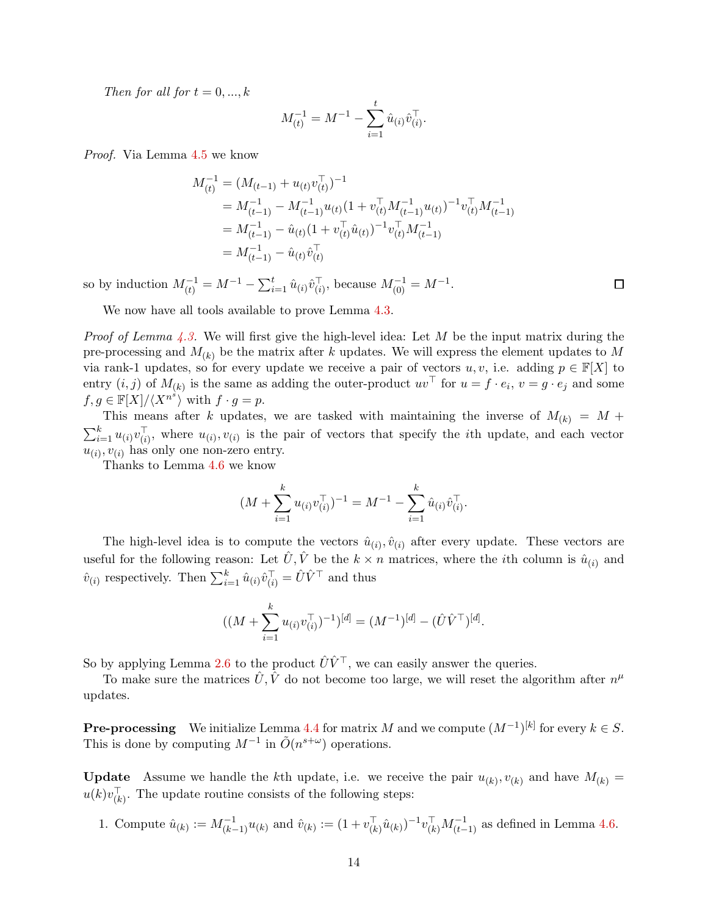Then for all for  $t = 0, ..., k$ 

$$
M_{(t)}^{-1} = M^{-1} - \sum_{i=1}^{t} \hat{u}_{(i)} \hat{v}_{(i)}^{\top}.
$$

Proof. Via Lemma [4.5](#page-14-4) we know

$$
M_{(t)}^{-1} = (M_{(t-1)} + u_{(t)}v_{(t)}^{\top})^{-1}
$$
  
=  $M_{(t-1)}^{-1} - M_{(t-1)}^{-1}u_{(t)}(1 + v_{(t)}^{\top}M_{(t-1)}^{-1}u_{(t)})^{-1}v_{(t)}^{\top}M_{(t-1)}^{-1}$   
=  $M_{(t-1)}^{-1} - \hat{u}_{(t)}(1 + v_{(t)}^{\top}\hat{u}_{(t)})^{-1}v_{(t)}^{\top}M_{(t-1)}^{-1}$   
=  $M_{(t-1)}^{-1} - \hat{u}_{(t)}\hat{v}_{(t)}^{\top}$ 

so by induction  $M_{(t)}^{-1} = M^{-1} - \sum_{i=1}^{t} \hat{u}_{(i)} \hat{v}_{(i)}^{\top}$ , because  $M_{(0)}^{-1} = M^{-1}$ .

We now have all tools available to prove Lemma [4.3.](#page-14-2)

*Proof of Lemma [4.3.](#page-14-2)* We will first give the high-level idea: Let  $M$  be the input matrix during the pre-processing and  $M_{(k)}$  be the matrix after k updates. We will express the element updates to M via rank-1 updates, so for every update we receive a pair of vectors  $u, v$ , i.e. adding  $p \in \mathbb{F}[X]$  to entry  $(i, j)$  of  $M_{(k)}$  is the same as adding the outer-product  $uv^{\top}$  for  $u = f \cdot e_i$ ,  $v = g \cdot e_j$  and some  $f, g \in \mathbb{F}[X]/\langle X^{n^s} \rangle$  with  $f \cdot g = p$ .

This means after k updates, we are tasked with maintaining the inverse of  $M_{(k)} = M +$  $\sum_{i=1}^k u_{(i)}v_{(i)}^{\top}$ , where  $u_{(i)}, v_{(i)}$  is the pair of vectors that specify the *i*th update, and each vector  $u_{(i)}$ ,  $v_{(i)}$  has only one non-zero entry.

Thanks to Lemma [4.6](#page-14-0) we know

$$
(M + \sum_{i=1}^{k} u_{(i)} v_{(i)}^{\top})^{-1} = M^{-1} - \sum_{i=1}^{k} \hat{u}_{(i)} \hat{v}_{(i)}^{\top}.
$$

The high-level idea is to compute the vectors  $\hat{u}_{(i)}$ ,  $\hat{v}_{(i)}$  after every update. These vectors are useful for the following reason: Let  $\hat{U}, \hat{V}$  be the  $k \times n$  matrices, where the *i*th column is  $\hat{u}_{(i)}$  and  $\hat{v}_{(i)}$  respectively. Then  $\sum_{i=1}^{k} \hat{u}_{(i)} \hat{v}_{(i)}^{\top} = \hat{U} \hat{V}^{\top}$  and thus

$$
((M + \sum_{i=1}^{k} u_{(i)} v_{(i)}^{\top})^{-1})^{[d]} = (M^{-1})^{[d]} - (\hat{U}\hat{V}^{\top})^{[d]}.
$$

So by applying Lemma [2.6](#page-10-0) to the product  $\hat{U}\hat{V}^{\top}$ , we can easily answer the queries.

To make sure the matrices  $\hat{U}, \hat{V}$  do not become too large, we will reset the algorithm after  $n^{\mu}$ updates.

**Pre-processing** We initialize Lemma [4.4](#page-14-1) for matrix M and we compute  $(M^{-1})^{[k]}$  for every  $k \in S$ . This is done by computing  $M^{-1}$  in  $\tilde{O}(n^{s+\omega})$  operations.

**Update** Assume we handle the k<sup>th</sup> update, i.e. we receive the pair  $u_{(k)}, v_{(k)}$  and have  $M_{(k)} =$  $u(k)v_{(k)}^{\dagger}$ . The update routine consists of the following steps:

1. Compute  $\hat{u}_{(k)} := M_{(k-1)}^{-1} u_{(k)}$  and  $\hat{v}_{(k)} := (1 + v_{(k)}^{\top} \hat{u}_{(k)})^{-1} v_{(k)}^{\top} M_{(t-1)}^{-1}$  as defined in Lemma [4.6.](#page-14-0)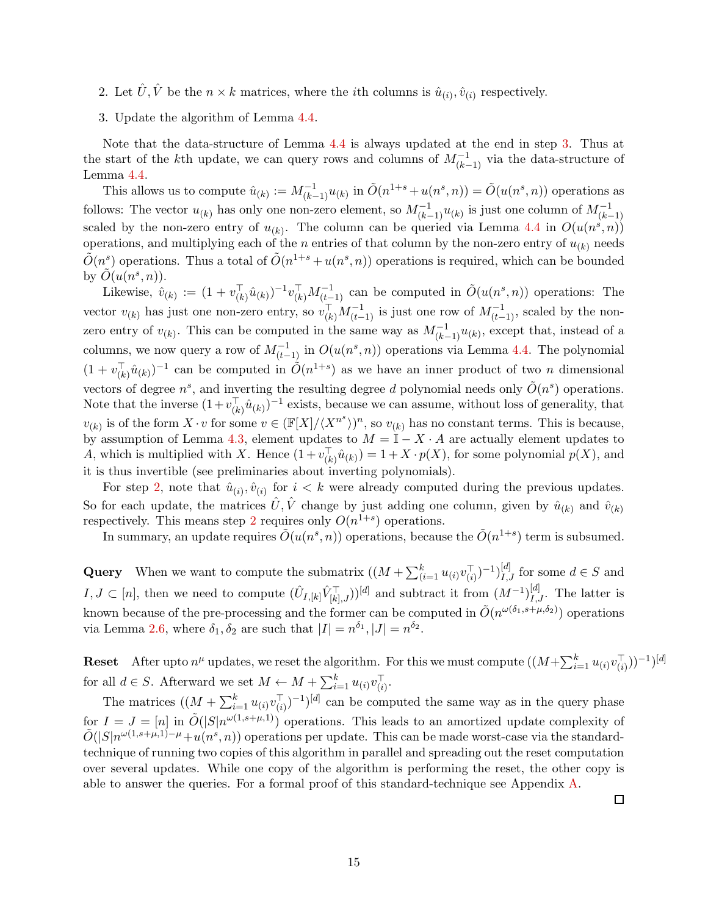- <span id="page-16-1"></span><span id="page-16-0"></span>2. Let  $\hat{U}, \hat{V}$  be the  $n \times k$  matrices, where the *i*th columns is  $\hat{u}_{(i)}, \hat{v}_{(i)}$  respectively.
- 3. Update the algorithm of Lemma [4.4.](#page-14-1)

Note that the data-structure of Lemma [4.4](#page-14-1) is always updated at the end in step [3.](#page-16-0) Thus at the start of the kth update, we can query rows and columns of  $M_{(k-1)}^{-1}$  via the data-structure of Lemma [4.4.](#page-14-1)

This allows us to compute  $\hat{u}_{(k)} := M_{(k-1)}^{-1} u_{(k)}$  in  $\tilde{O}(n^{1+s} + u(n^s, n)) = \tilde{O}(u(n^s, n))$  operations as follows: The vector  $u_{(k)}$  has only one non-zero element, so  $M_{(k-1)}^{-1}u_{(k)}$  is just one column of  $M_{(k-1)}^{-1}$ scaled by the non-zero entry of  $u_{(k)}$ . The column can be queried via Lemma [4.4](#page-14-1) in  $O(u(n^s, n))$ operations, and multiplying each of the *n* entries of that column by the non-zero entry of  $u_{(k)}$  needs  $\tilde{O}(n^s)$  operations. Thus a total of  $\tilde{O}(n^{1+s} + u(n^s, n))$  operations is required, which can be bounded by  $\tilde{O}(u(n^s, n)).$ 

Likewise,  $\hat{v}_{(k)} := (1 + v_{(k)}^{\top} \hat{u}_{(k)})^{-1} v_{(k)}^{\top} M_{(\underbrace{t-1})}^{-1}$  can be computed in  $\tilde{O}(u(n^s, n))$  operations: The vector  $v_{(k)}$  has just one non-zero entry, so  $v_{(k)}^{\top} M_{(t-1)}^{-1}$  is just one row of  $M_{(t-1)}^{-1}$ , scaled by the nonzero entry of  $v_{(k)}$ . This can be computed in the same way as  $M_{(k-1)}^{-1}u_{(k)}$ , except that, instead of a columns, we now query a row of  $M_{(t-1)}^{-1}$  in  $O(u(n^s, n))$  operations via Lemma [4.4.](#page-14-1) The polynomial  $(1 + v_{(k)}^{\top} \hat{u}_{(k)})^{-1}$  can be computed in  $\tilde{O}(n^{1+s})$  as we have an inner product of two *n* dimensional vectors of degree  $n^s$ , and inverting the resulting degree d polynomial needs only  $\tilde{O}(n^s)$  operations. Note that the inverse  $(1+v_{(k)}^{\top}\hat{u}_{(k)})^{-1}$  exists, because we can assume, without loss of generality, that  $v_{(k)}$  is of the form  $X \cdot v$  for some  $v \in (\mathbb{F}[X]/\langle X^{n^s} \rangle)^n$ , so  $v_{(k)}$  has no constant terms. This is because, by assumption of Lemma [4.3,](#page-14-2) element updates to  $M = \mathbb{I} - X \cdot A$  are actually element updates to A, which is multiplied with X. Hence  $(1 + v_{(k)}^{\dagger} \hat{u}_{(k)}) = 1 + X \cdot p(X)$ , for some polynomial  $p(X)$ , and it is thus invertible (see preliminaries about inverting polynomials).

For step [2,](#page-16-1) note that  $\hat{u}_{(i)}$ ,  $\hat{v}_{(i)}$  for  $i < k$  were already computed during the previous updates. So for each update, the matrices  $\hat{U}, \hat{V}$  change by just adding one column, given by  $\hat{u}_{(k)}$  and  $\hat{v}_{(k)}$ respectively. This means step [2](#page-16-1) requires only  $O(n^{1+s})$  operations.

In summary, an update requires  $\tilde{O}(u(n^s, n))$  operations, because the  $\tilde{O}(n^{1+s})$  term is subsumed.

Query When we want to compute the submatrix  $((M + \sum_{i=1}^{k} u_{(i)}v_{(i)}^{\top})^{-1})_{I,J}^{[d]}$  for some  $d \in S$  and  $I, J \subset [n]$ , then we need to compute  $(\hat{U}_{I,[k]} \hat{V}_{[k],J}^{\top})^{[d]}$  and subtract it from  $(M^{-1})_{I,J}^{[d]}$ . The latter is known because of the pre-processing and the former can be computed in  $\tilde{O}(n^{\omega(\delta_1,s+\mu,\delta_2)})$  operations via Lemma [2.6,](#page-10-0) where  $\delta_1, \delta_2$  are such that  $|I| = n^{\delta_1}, |J| = n^{\delta_2}$ .

**Reset** After upto  $n^{\mu}$  updates, we reset the algorithm. For this we must compute  $((M + \sum_{i=1}^{k} u_{(i)}v_{(i)}^{\top}))^{-1})^{[d]}$ for all  $d \in S$ . Afterward we set  $M \leftarrow M + \sum_{i=1}^{k} u_{(i)} v_{(i)}^{\top}$ .

The matrices  $((M + \sum_{i=1}^{k} u_{(i)}v_{(i)}^{\top})^{-1})^{[d]}$  can be computed the same way as in the query phase for  $I = J = [n]$  in  $\tilde{O}(|S|n^{\omega(1,s+\mu,1)})$  operations. This leads to an amortized update complexity of  $\tilde{O}(|S|n^{\omega(1,s+\mu,1)-\mu}+u(n^s,n))$  operations per update. This can be made worst-case via the standardtechnique of running two copies of this algorithm in parallel and spreading out the reset computation over several updates. While one copy of the algorithm is performing the reset, the other copy is able to answer the queries. For a formal proof of this standard-technique see Appendix [A.](#page-35-0)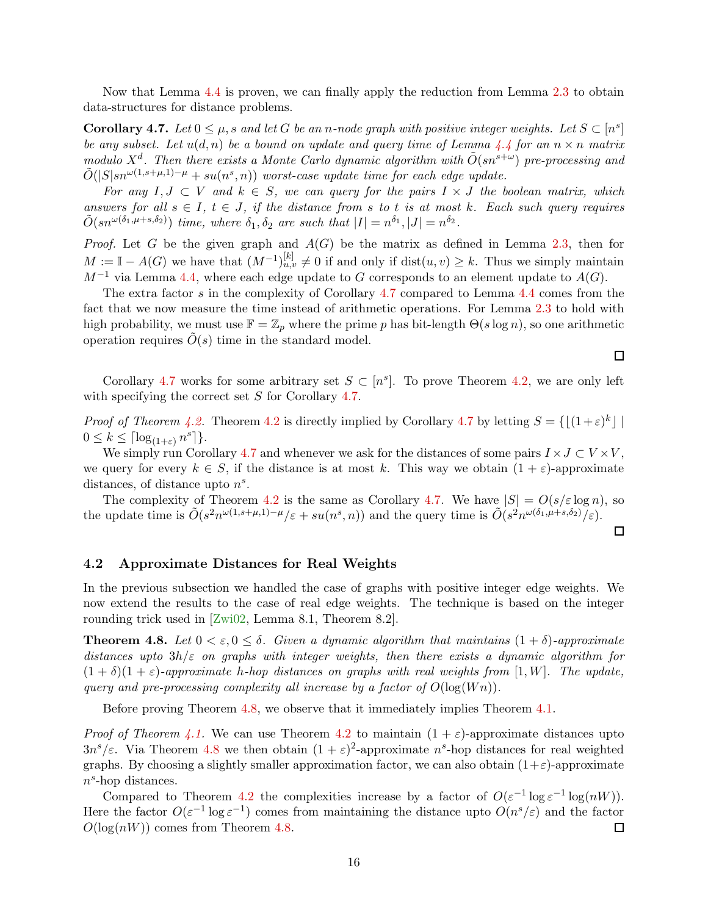<span id="page-17-4"></span><span id="page-17-1"></span>Now that Lemma [4.4](#page-14-1) is proven, we can finally apply the reduction from Lemma [2.3](#page-9-2) to obtain data-structures for distance problems.

**Corollary 4.7.** Let  $0 \leq \mu$ , s and let G be an n-node graph with positive integer weights. Let  $S \subset [n^s]$ be any subset. Let  $u(d, n)$  be a bound on update and query time of Lemma [4.4](#page-14-1) for an  $n \times n$  matrix modulo  $X^d$ . Then there exists a Monte Carlo dynamic algorithm with  $\tilde{O}(sn^{s+\omega})$  pre-processing and  $\tilde{O}(|S|sn^{\omega(1,s+\mu,1)-\mu}+su(n^s,n))$  worst-case update time for each edge update.

For any  $I, J \subset V$  and  $k \in S$ , we can query for the pairs  $I \times J$  the boolean matrix, which answers for all  $s \in I$ ,  $t \in J$ , if the distance from s to t is at most k. Each such query requires  $\tilde{O}(sn^{\omega(\delta_1,\mu+s,\delta_2)})$  time, where  $\delta_1, \delta_2$  are such that  $|I|=n^{\delta_1}, |J|=n^{\delta_2}$ .

*Proof.* Let G be the given graph and  $A(G)$  be the matrix as defined in Lemma [2.3,](#page-9-2) then for  $M := \mathbb{I} - A(G)$  we have that  $(M^{-1})_{u,v}^{[k]} \neq 0$  if and only if  $dist(u, v) \geq k$ . Thus we simply maintain  $M^{-1}$  via Lemma [4.4,](#page-14-1) where each edge update to G corresponds to an element update to  $A(G)$ .

The extra factor s in the complexity of Corollary [4.7](#page-17-1) compared to Lemma [4.4](#page-14-1) comes from the fact that we now measure the time instead of arithmetic operations. For Lemma [2.3](#page-9-2) to hold with high probability, we must use  $\mathbb{F} = \mathbb{Z}_p$  where the prime p has bit-length  $\Theta(s \log n)$ , so one arithmetic operation requires  $\tilde{O}(s)$  time in the standard model.

Corollary [4.7](#page-17-1) works for some arbitrary set  $S \subset [n^s]$ . To prove Theorem [4.2,](#page-13-2) we are only left with specifying the correct set S for Corollary [4.7.](#page-17-1)

*Proof of Theorem [4.2.](#page-13-2)* Theorem [4.2](#page-13-2) is directly implied by Corollary [4.7](#page-17-1) by letting  $S = \{ \lfloor (1+\varepsilon)^k \rfloor \mid \lceil k \rceil \}$  $0 \leq k \leq \lceil \log_{(1+\varepsilon)} n^s \rceil \}.$ 

We simply run Corollary [4.7](#page-17-1) and whenever we ask for the distances of some pairs  $I \times J \subset V \times V$ , we query for every  $k \in S$ , if the distance is at most k. This way we obtain  $(1 + \varepsilon)$ -approximate distances, of distance upto  $n<sup>s</sup>$ .

The complexity of Theorem [4.2](#page-13-2) is the same as Corollary [4.7.](#page-17-1) We have  $|S| = O(s/\varepsilon \log n)$ , so the update time is  $\tilde{O}(s^2 n^{\omega(1,s+\mu,1)-\mu}/\varepsilon + su(n^s,n))$  and the query time is  $\tilde{O}(s^2 n^{\omega(\delta_1,\mu+s,\delta_2)}/\varepsilon)$ .

#### <span id="page-17-0"></span>4.2 Approximate Distances for Real Weights

In the previous subsection we handled the case of graphs with positive integer edge weights. We now extend the results to the case of real edge weights. The technique is based on the integer rounding trick used in [\[Zwi02,](#page-34-1) Lemma 8.1, Theorem 8.2].

<span id="page-17-2"></span>**Theorem 4.8.** Let  $0 < \varepsilon, 0 \leq \delta$ . Given a dynamic algorithm that maintains  $(1 + \delta)$ -approximate distances upto  $3h/\varepsilon$  on graphs with integer weights, then there exists a dynamic algorithm for  $(1 + \delta)(1 + \varepsilon)$ -approximate h-hop distances on graphs with real weights from [1, W]. The update, query and pre-processing complexity all increase by a factor of  $O(\log (W n))$ .

Before proving Theorem [4.8,](#page-17-2) we observe that it immediately implies Theorem [4.1.](#page-13-3)

*Proof of Theorem [4.1.](#page-13-3)* We can use Theorem [4.2](#page-13-2) to maintain  $(1 + \varepsilon)$ -approximate distances upto  $3n^{s}/\varepsilon$ . Via Theorem [4.8](#page-17-2) we then obtain  $(1+\varepsilon)^{2}$ -approximate  $n^{s}$ -hop distances for real weighted graphs. By choosing a slightly smaller approximation factor, we can also obtain  $(1+\varepsilon)$ -approximate  $n<sup>s</sup>$ -hop distances.

<span id="page-17-3"></span>Compared to Theorem [4.2](#page-13-2) the complexities increase by a factor of  $O(\varepsilon^{-1} \log \varepsilon^{-1} \log(nW)).$ Here the factor  $O(\varepsilon^{-1} \log \varepsilon^{-1})$  comes from maintaining the distance upto  $O(n^s/\varepsilon)$  and the factor  $O(log(nW))$  comes from Theorem [4.8.](#page-17-2)  $\Box$ 

 $\Box$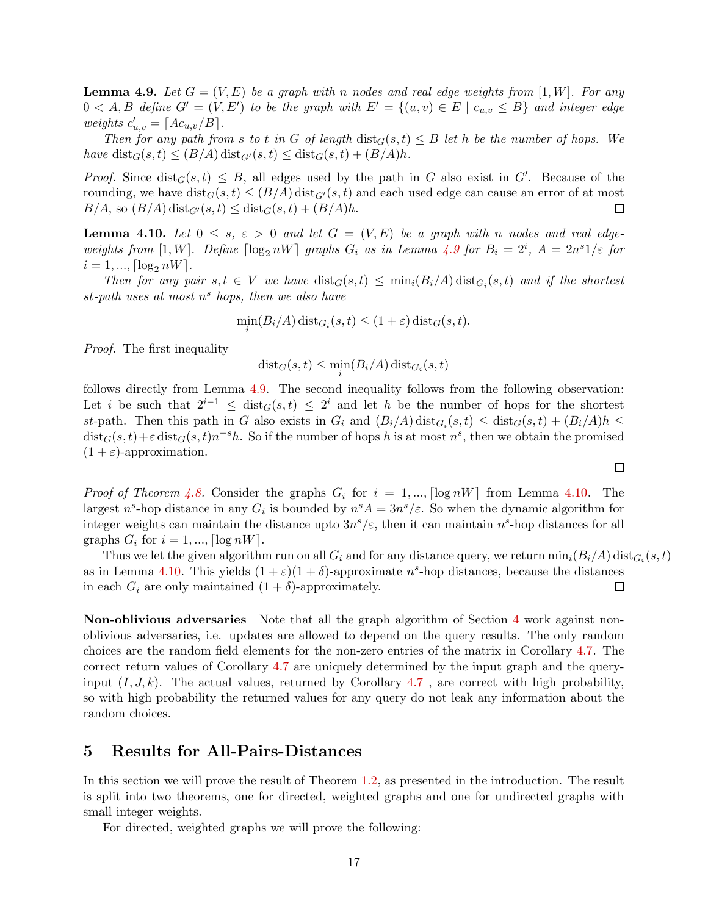**Lemma 4.9.** Let  $G = (V, E)$  be a graph with n nodes and real edge weights from [1, W]. For any  $0 < A, B$  define  $G' = (V, E')$  to be the graph with  $E' = \{(u, v) \in E \mid c_{u,v} \leq B\}$  and integer edge weights  $c'_{u,v} = \lceil A c_{u,v} / B \rceil$ .

Then for any path from s to t in G of length  $dist_G(s,t) \leq B$  let h be the number of hops. We have  $dist_G(s,t) \leq (B/A) \text{dist}_{G'}(s,t) \leq dist_G(s,t) + (B/A)h$ .

*Proof.* Since  $dist_G(s,t) \leq B$ , all edges used by the path in G also exist in G'. Because of the rounding, we have  $dist_G(s, t) \leq (B/A) dist_{G'}(s, t)$  and each used edge can cause an error of at most  $B/A$ , so  $(B/A) dist_{G'}(s, t) \leq dist_G(s, t) + (B/A)h$ .  $B/A$ , so  $(B/A)$  dist<sub>G'</sub> $(s, t) \leq$  dist<sub>G</sub> $(s, t) + (B/A)h$ .

<span id="page-18-2"></span>**Lemma 4.10.** Let  $0 \leq s$ ,  $\varepsilon > 0$  and let  $G = (V, E)$  be a graph with n nodes and real edgeweights from [1,W]. Define  $\lceil \log_2 nW \rceil$  graphs  $G_i$  as in Lemma [4.9](#page-17-3) for  $B_i = 2^i$ ,  $A = 2n^s 1/\varepsilon$  for  $i = 1, ..., \lfloor \log_2 nW \rfloor$ .

Then for any pair  $s, t \in V$  we have  $dist_G(s,t) \leq min_i(B_i/A) dist_{G_i}(s,t)$  and if the shortest  $st$ -path uses at most  $n<sup>s</sup>$  hops, then we also have

$$
\min_i(B_i/A)\operatorname{dist}_{G_i}(s,t) \le (1+\varepsilon)\operatorname{dist}_G(s,t).
$$

Proof. The first inequality

 $\operatorname{dist}_{G}(s,t) \leq \min_{i} (B_{i}/A) \operatorname{dist}_{G_{i}}(s,t)$ 

follows directly from Lemma [4.9.](#page-17-3) The second inequality follows from the following observation: Let i be such that  $2^{i-1} \leq dist_G(s,t) \leq 2^i$  and let h be the number of hops for the shortest st-path. Then this path in G also exists in  $G_i$  and  $(B_i/A)$  dist $_{G_i}(s,t) \leq \text{dist}_G(s,t) + (B_i/A)h \leq$  $dist_G(s,t)+\varepsilon dist_G(s,t)n^{-s}h$ . So if the number of hops h is at most  $n^s$ , then we obtain the promised  $(1 + \varepsilon)$ -approximation.

*Proof of Theorem [4.8.](#page-17-2)* Consider the graphs  $G_i$  for  $i = 1, ..., \lfloor \log nW \rfloor$  from Lemma [4.10.](#page-18-2) The largest  $n^s$ -hop distance in any  $G_i$  is bounded by  $n^s A = 3n^s/\varepsilon$ . So when the dynamic algorithm for integer weights can maintain the distance upto  $3n^{s}/\varepsilon$ , then it can maintain  $n^{s}$ -hop distances for all graphs  $G_i$  for  $i = 1, ..., \lceil \log nW \rceil$ .

Thus we let the given algorithm run on all  $G_i$  and for any distance query, we return  $\min_i(B_i/A)\operatorname{dist}_{G_i}(s,t)$ as in Lemma [4.10.](#page-18-2) This yields  $(1+\varepsilon)(1+\delta)$ -approximate  $n^s$ -hop distances, because the distances in each  $G_i$  are only maintained  $(1 + \delta)$ -approximately. 囗

Non-oblivious adversaries Note that all the graph algorithm of Section [4](#page-13-0) work against nonoblivious adversaries, i.e. updates are allowed to depend on the query results. The only random choices are the random field elements for the non-zero entries of the matrix in Corollary [4.7.](#page-17-1) The correct return values of Corollary [4.7](#page-17-1) are uniquely determined by the input graph and the queryinput  $(I, J, k)$ . The actual values, returned by Corollary [4.7](#page-17-1), are correct with high probability, so with high probability the returned values for any query do not leak any information about the random choices.

### <span id="page-18-0"></span>5 Results for All-Pairs-Distances

In this section we will prove the result of Theorem [1.2,](#page-2-5) as presented in the introduction. The result is split into two theorems, one for directed, weighted graphs and one for undirected graphs with small integer weights.

<span id="page-18-1"></span>For directed, weighted graphs we will prove the following: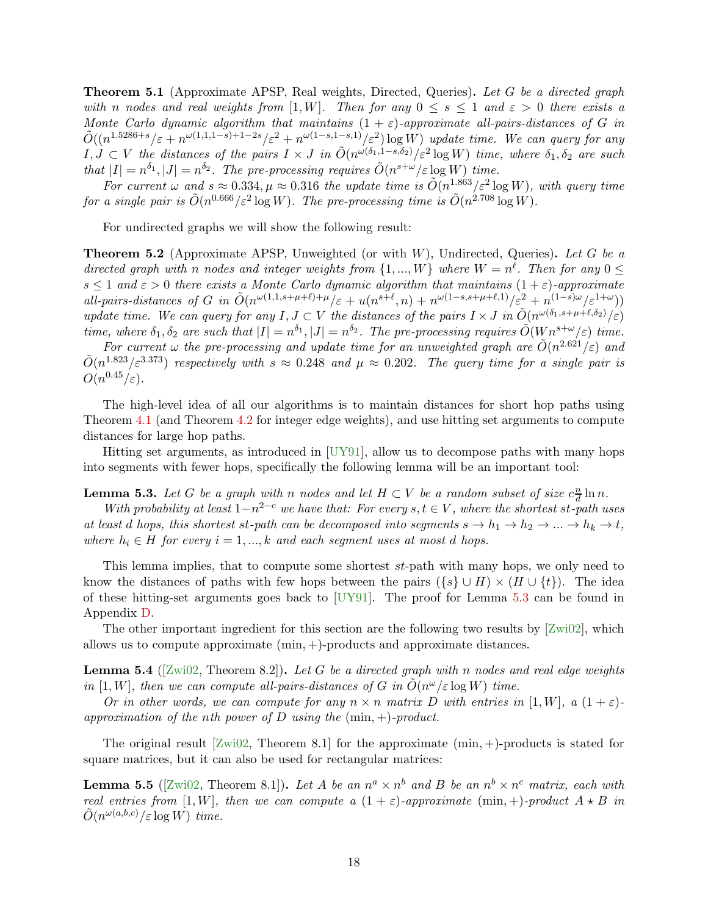<span id="page-19-4"></span>**Theorem 5.1** (Approximate APSP, Real weights, Directed, Queries). Let G be a directed graph with n nodes and real weights from [1,W]. Then for any  $0 \le s \le 1$  and  $\varepsilon > 0$  there exists a Monte Carlo dynamic algorithm that maintains  $(1 + \varepsilon)$ -approximate all-pairs-distances of G in  $\tilde{O}((n^{1.5286+s}/\varepsilon+n^{\omega(1,1,1-s)+1-2s}/\varepsilon^2+n^{\omega(1-s,1-s,1)}/\varepsilon^2)\log W)$  update time. We can query for any  $I, J \subset V$  the distances of the pairs  $I \times J$  in  $\tilde{O}(n^{\omega(\delta_1, 1 - s, \delta_2)}/\varepsilon^2 \log W)$  time, where  $\delta_1, \delta_2$  are such that  $|I| = n^{\delta_1}, |J| = n^{\delta_2}$ . The pre-processing requires  $\tilde{O}(n^{s+\omega}/\varepsilon \log W)$  time.

For current  $\omega$  and  $s \approx 0.334$ ,  $\mu \approx 0.316$  the update time is  $\tilde{O}(n^{1.863}/\varepsilon^2 \log W)$ , with query time for a single pair is  $\tilde{O}(n^{0.666}/\varepsilon^2 \log W)$ . The pre-processing time is  $\tilde{O}(n^{2.708} \log W)$ .

<span id="page-19-0"></span>For undirected graphs we will show the following result:

**Theorem 5.2** (Approximate APSP, Unweighted (or with  $W$ ), Undirected, Queries). Let G be a directed graph with n nodes and integer weights from  $\{1, ..., W\}$  where  $W = n^{\ell}$ . Then for any  $0 \leq$  $s \leq 1$  and  $\varepsilon > 0$  there exists a Monte Carlo dynamic algorithm that maintains  $(1 + \varepsilon)$ -approximate all-pairs-distances of G in  $\tilde{O}(n^{\omega(1,1,s+\mu+\ell)+\mu}/\varepsilon+u(n^{s+\ell},n)+n^{\omega(1-s,s+\mu+\ell,1)}/\varepsilon^2+n^{(1-s)\omega}/\varepsilon^{1+\omega})$ update time. We can query for any  $I, J \subset V$  the distances of the pairs  $I \times J$  in  $\tilde{O}(n^{\omega(\delta_1, s+\mu+\ell,\delta_2)}/\varepsilon)$ time, where  $\delta_1, \delta_2$  are such that  $|I| = n^{\delta_1}, |J| = n^{\delta_2}$ . The pre-processing requires  $\tilde{O}(W n^{s+\omega}/\varepsilon)$  time.

For current  $\omega$  the pre-processing and update time for an unweighted graph are  $\tilde{O}(n^{2.621}/\varepsilon)$  and  $\tilde{O}(n^{1.823}/\varepsilon^{3.373})$  respectively with  $s \approx 0.248$  and  $\mu \approx 0.202$ . The query time for a single pair is  $O(n^{0.45}/\varepsilon).$ 

The high-level idea of all our algorithms is to maintain distances for short hop paths using Theorem [4.1](#page-13-3) (and Theorem [4.2](#page-13-2) for integer edge weights), and use hitting set arguments to compute distances for large hop paths.

<span id="page-19-1"></span>Hitting set arguments, as introduced in [\[UY91\]](#page-33-11), allow us to decompose paths with many hops into segments with fewer hops, specifically the following lemma will be an important tool:

#### **Lemma 5.3.** Let G be a graph with n nodes and let  $H \subset V$  be a random subset of size  $c^{\frac{n}{d}}$  $\frac{n}{d}\ln n$ .

With probability at least  $1-n^{2-c}$  we have that: For every  $s, t \in V$ , where the shortest st-path uses at least d hops, this shortest st-path can be decomposed into segments  $s \to h_1 \to h_2 \to \ldots \to h_k \to t$ , where  $h_i \in H$  for every  $i = 1, ..., k$  and each segment uses at most d hops.

This lemma implies, that to compute some shortest st-path with many hops, we only need to know the distances of paths with few hops between the pairs  $({s} \cup H) \times (H \cup {t})$ . The idea of these hitting-set arguments goes back to [\[UY91\]](#page-33-11). The proof for Lemma [5.3](#page-19-1) can be found in Appendix [D.](#page-37-0)

<span id="page-19-2"></span>The other important ingredient for this section are the following two results by [\[Zwi02\]](#page-34-1), which allows us to compute approximate (min, +)-products and approximate distances.

**Lemma 5.4** ( $\lbrack Zw102,$  Theorem 8.2)). Let G be a directed graph with n nodes and real edge weights in [1, W], then we can compute all-pairs-distances of G in  $\tilde{O}(n^{\omega}/\varepsilon \log W)$  time.

Or in other words, we can compute for any  $n \times n$  matrix D with entries in [1, W], a  $(1 + \varepsilon)$ approximation of the nth power of D using the  $(\min, +)$ -product.

<span id="page-19-3"></span>The original result  $[Zwi02,$  Theorem 8.1 for the approximate  $(min, +)$ -products is stated for square matrices, but it can also be used for rectangular matrices:

**Lemma 5.5** ([\[Zwi02,](#page-34-1) Theorem 8.1]). Let A be an  $n^a \times n^b$  and B be an  $n^b \times n^c$  matrix, each with real entries from [1, W], then we can compute a  $(1 + \varepsilon)$ -approximate  $(\min, +)$ -product  $A \star B$  in  $\tilde{O}(n^{\omega(a,b,c)}/\varepsilon \log W)$  time.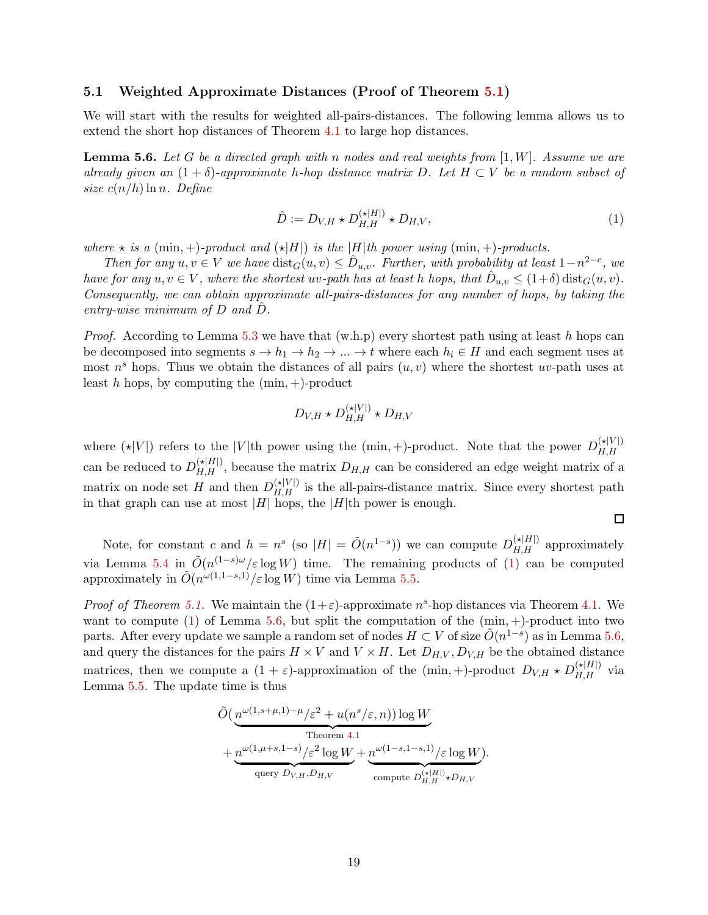#### <span id="page-20-0"></span>5.1 Weighted Approximate Distances (Proof of Theorem [5.1\)](#page-18-1)

<span id="page-20-2"></span>We will start with the results for weighted all-pairs-distances. The following lemma allows us to extend the short hop distances of Theorem [4.1](#page-13-3) to large hop distances.

**Lemma 5.6.** Let G be a directed graph with n nodes and real weights from  $[1, W]$ . Assume we are already given an  $(1 + \delta)$ -approximate h-hop distance matrix D. Let  $H \subset V$  be a random subset of size  $c(n/h) \ln n$ . Define

$$
\hat{D} := D_{V,H} \star D_{H,H}^{(\star|H|)} \star D_{H,V},\tag{1}
$$

<span id="page-20-1"></span> $\Box$ 

where  $\star$  is a (min, +)-product and  $(\star|H|)$  is the |H|th power using (min, +)-products.

Then for any  $u, v \in V$  we have  $dist_G(u, v) \leq \hat{D}_{u,v}$ . Further, with probability at least  $1-n^{2-c}$ , we have for any  $u, v \in V$ , where the shortest  $uv$ -path has at least h hops, that  $\hat{D}_{u,v} \leq (1+\delta) \text{dist}_{G}(u, v)$ . Consequently, we can obtain approximate all-pairs-distances for any number of hops, by taking the entry-wise minimum of  $D$  and  $D$ .

*Proof.* According to Lemma [5.3](#page-19-1) we have that  $(w.h.p)$  every shortest path using at least h hops can be decomposed into segments  $s \to h_1 \to h_2 \to \ldots \to t$  where each  $h_i \in H$  and each segment uses at most  $n<sup>s</sup>$  hops. Thus we obtain the distances of all pairs  $(u, v)$  where the shortest uv-path uses at least h hops, by computing the  $(\min, +)$ -product

$$
D_{V,H}\star D_{H,H}^{(\star|V|)}\star D_{H,V}
$$

where  $(\star|V|)$  refers to the |V|th power using the (min, +)-product. Note that the power  $D_{H,H}^{(\star|V|)}$ can be reduced to  $D_{H,H}^{(\star|H|)}$ , because the matrix  $D_{H,H}$  can be considered an edge weight matrix of a matrix on node set H and then  $D_{H,H}^{(\star|V|)}$  is the all-pairs-distance matrix. Since every shortest path in that graph can use at most  $|H|$  hops, the  $|H|$ th power is enough.

Note, for constant c and  $h = n^s$  (so  $|H| = \tilde{O}(n^{1-s})$ ) we can compute  $D_{H,H}^{(\star|H|)}$  approximately via Lemma [5.4](#page-19-2) in  $\tilde{O}(n^{(1-s)\omega}/\varepsilon \log W)$  time. The remaining products of [\(1\)](#page-20-1) can be computed approximately in  $\tilde{O}(n^{\omega(1,1-s,1)}/\varepsilon \log W)$  time via Lemma [5.5.](#page-19-3)

*Proof of Theorem [5.1.](#page-18-1)* We maintain the  $(1+\varepsilon)$ -approximate  $n^s$ -hop distances via Theorem [4.1.](#page-13-3) We want to compute [\(1\)](#page-20-1) of Lemma [5.6,](#page-20-2) but split the computation of the  $(\min, +)$ -product into two parts. After every update we sample a random set of nodes  $H \subset V$  of size  $\tilde{O}(n^{1-s})$  as in Lemma [5.6,](#page-20-2) and query the distances for the pairs  $H \times V$  and  $V \times H$ . Let  $D_{H,V}, D_{V,H}$  be the obtained distance matrices, then we compute a  $(1+\varepsilon)$ -approximation of the  $(\min, +)$ -product  $D_{V,H} \star D_{H,H}^{(\star|H|)}$  via Lemma [5.5.](#page-19-3) The update time is thus

$$
\tilde{O}\left(\underbrace{n^{\omega(1,s+\mu,1)-\mu}/\varepsilon^2 + u(n^s/\varepsilon,n)}_{\text{Theorem 4.1}}\right) \log W + \underbrace{n^{\omega(1,\mu+s,1-s)}/\varepsilon^2 \log W}_{\text{query } D_{V,H}, D_{H,V}} + \underbrace{n^{\omega(1-s,1-s,1)}/\varepsilon \log W}_{\text{compute } D_{H,H}^{(\star|H|)} \star D_{H,V}}.
$$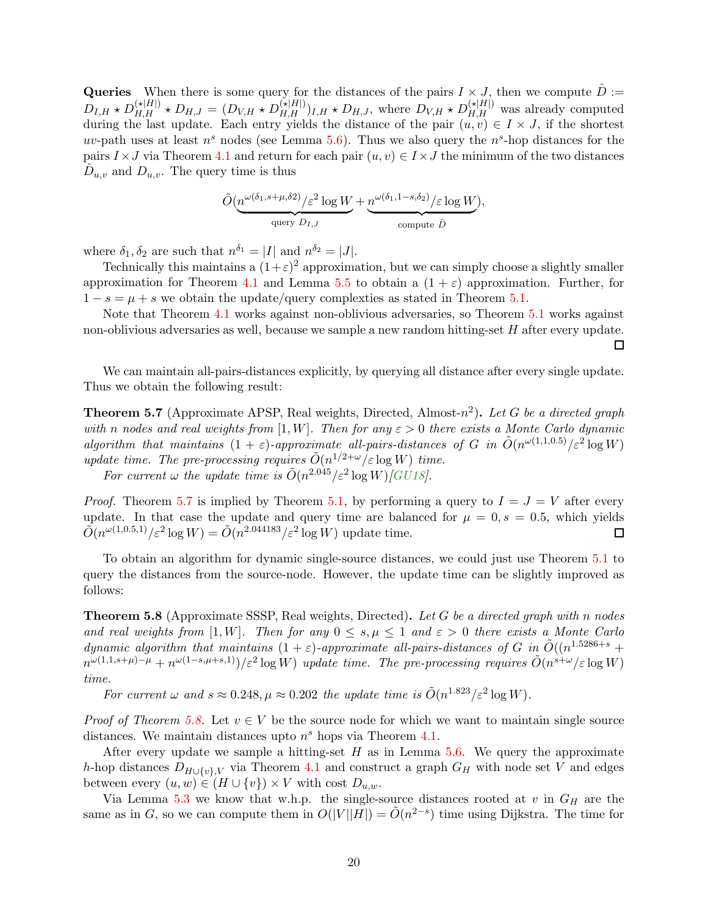<span id="page-21-2"></span>Queries When there is some query for the distances of the pairs  $I \times J$ , then we compute  $\hat{D}$  :=  $D_{I,H} \star D_{H,H}^{(\star|H|)} \star D_{H,J} = (D_{V,H} \star D_{H,H}^{(\star|H|)})_{I,H} \star D_{H,J}$ , where  $D_{V,H} \star D_{H,H}^{(\star|H|)}$  was already computed during the last update. Each entry yields the distance of the pair  $(u, v) \in I \times J$ , if the shortest uv-path uses at least  $n^s$  nodes (see Lemma [5.6\)](#page-20-2). Thus we also query the  $n^s$ -hop distances for the pairs  $I \times J$  via Theorem [4.1](#page-13-3) and return for each pair  $(u, v) \in I \times J$  the minimum of the two distances  $\hat{D}_{u,v}$  and  $D_{u,v}$ . The query time is thus

$$
\tilde{O}(\underbrace{n^{\omega(\delta_1,s+\mu,\delta2)}/\varepsilon^2 \log W}_{\text{query } D_{I,J}} + \underbrace{n^{\omega(\delta_1,1-s,\delta_2)}/\varepsilon \log W}_{\text{compute }\hat{D}},
$$

where  $\delta_1, \delta_2$  are such that  $n^{\delta_1} = |I|$  and  $n^{\delta_2} = |J|$ .

Technically this maintains a  $(1+\varepsilon)^2$  approximation, but we can simply choose a slightly smaller approximation for Theorem [4.1](#page-13-3) and Lemma [5.5](#page-19-3) to obtain a  $(1 + \varepsilon)$  approximation. Further, for  $1-s=\mu+s$  we obtain the update/query complexties as stated in Theorem [5.1.](#page-18-1)

Note that Theorem [4.1](#page-13-3) works against non-oblivious adversaries, so Theorem [5.1](#page-18-1) works against non-oblivious adversaries as well, because we sample a new random hitting-set H after every update.  $\Box$ 

<span id="page-21-1"></span>We can maintain all-pairs-distances explicitly, by querying all distance after every single update. Thus we obtain the following result:

**Theorem 5.7** (Approximate APSP, Real weights, Directed, Almost- $n^2$ ). Let G be a directed graph with n nodes and real weights from [1, W]. Then for any  $\varepsilon > 0$  there exists a Monte Carlo dynamic algorithm that maintains  $(1 + \varepsilon)$ -approximate all-pairs-distances of G in  $\tilde{O}(n^{\omega(1,1,0.5)}/\varepsilon^2 \log W)$ update time. The pre-processing requires  $\tilde{O}(n^{1/2+\omega}/\varepsilon \log W)$  time.

For current  $\omega$  the update time is  $\tilde{O}(n^{2.045}/\varepsilon^2 \log W)/GUI8$ .

*Proof.* Theorem [5.7](#page-21-1) is implied by Theorem [5.1,](#page-18-1) by performing a query to  $I = J = V$  after every update. In that case the update and query time are balanced for  $\mu = 0, s = 0.5$ , which yields  $\tilde{O}(n^{\omega(1,0.5,1)}/\varepsilon^2 \log W) = \tilde{O}(n^{2.044183}/\varepsilon^2 \log W)$  update time. □

<span id="page-21-0"></span>To obtain an algorithm for dynamic single-source distances, we could just use Theorem [5.1](#page-18-1) to query the distances from the source-node. However, the update time can be slightly improved as follows:

**Theorem 5.8** (Approximate SSSP, Real weights, Directed). Let G be a directed graph with n nodes and real weights from [1, W]. Then for any  $0 \leq s, \mu \leq 1$  and  $\varepsilon > 0$  there exists a Monte Carlo dynamic algorithm that maintains  $(1 + \varepsilon)$ -approximate all-pairs-distances of G in  $\tilde{O}((n^{1.5286+s} +$  $n^{\omega(1,1,s+\mu)-\mu}+n^{\omega(1-s,\mu+s,1)})/\varepsilon^2\log W$ ) update time. The pre-processing requires  $\tilde{O}(n^{s+\omega}/\varepsilon\log W)$ time.

For current  $\omega$  and  $s \approx 0.248$ ,  $\mu \approx 0.202$  the update time is  $\tilde{O}(n^{1.823}/\varepsilon^2 \log W)$ .

*Proof of Theorem [5.8.](#page-21-0)* Let  $v \in V$  be the source node for which we want to maintain single source distances. We maintain distances upto  $n<sup>s</sup>$  hops via Theorem [4.1.](#page-13-3)

After every update we sample a hitting-set  $H$  as in Lemma [5.6.](#page-20-2) We query the approximate h-hop distances  $D_{H\cup \{v\},V}$  via Theorem [4.1](#page-13-3) and construct a graph  $G_H$  with node set V and edges between every  $(u, w) \in (H \cup \{v\}) \times V$  with cost  $D_{u,w}$ .

Via Lemma [5.3](#page-19-1) we know that w.h.p. the single-source distances rooted at  $v$  in  $G_H$  are the same as in G, so we can compute them in  $O(|V||H|) = \tilde{O}(n^{2-s})$  time using Dijkstra. The time for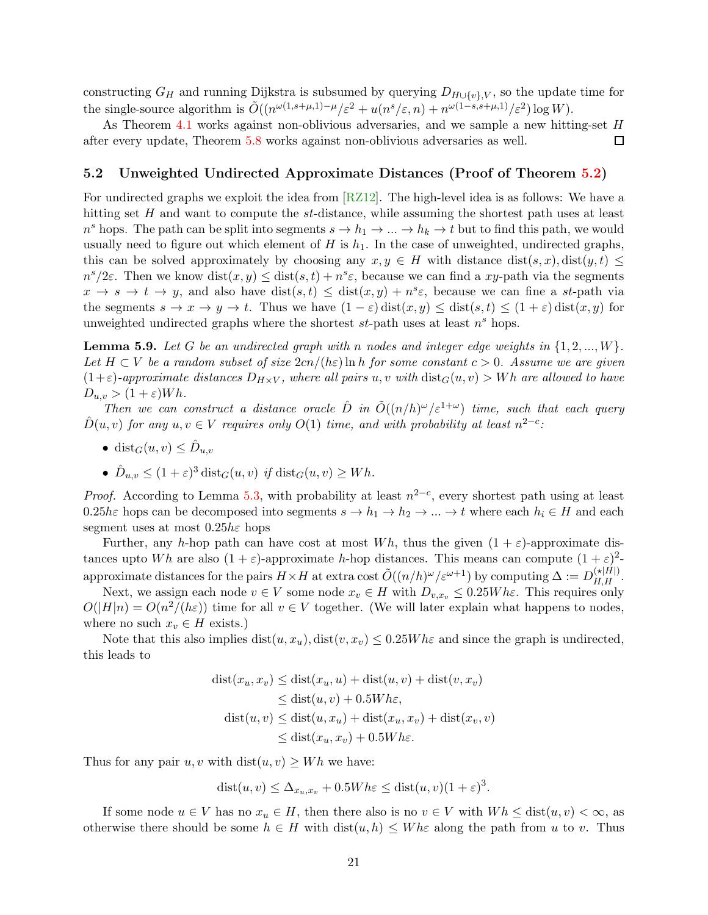<span id="page-22-2"></span>constructing  $G_H$  and running Dijkstra is subsumed by querying  $D_{H\cup\{v\},V}$ , so the update time for the single-source algorithm is  $\tilde{O}((n^{\omega(1,s+\mu,1)-\mu}/\varepsilon^2 + u(n^s/\varepsilon,n) + n^{\omega(1-s,s+\mu,1)}/\varepsilon^2) \log W).$ 

As Theorem [4.1](#page-13-3) works against non-oblivious adversaries, and we sample a new hitting-set H  $\Box$ after every update, Theorem [5.8](#page-21-0) works against non-oblivious adversaries as well.

#### <span id="page-22-0"></span>5.2 Unweighted Undirected Approximate Distances (Proof of Theorem [5.2\)](#page-19-0)

For undirected graphs we exploit the idea from  $\sqrt{RZ12}$ . The high-level idea is as follows: We have a hitting set H and want to compute the st-distance, while assuming the shortest path uses at least  $n^s$  hops. The path can be split into segments  $s \to h_1 \to \ldots \to h_k \to t$  but to find this path, we would usually need to figure out which element of H is  $h_1$ . In the case of unweighted, undirected graphs, this can be solved approximately by choosing any  $x, y \in H$  with distance  $dist(s, x)$ ,  $dist(y, t) \leq$  $n^{s}/2\varepsilon$ . Then we know  $dist(x, y) \leq dist(s, t) + n^{s}\varepsilon$ , because we can find a xy-path via the segments  $x \to s \to t \to y$ , and also have  $dist(s,t) \leq dist(x,y) + n^s \varepsilon$ , because we can fine a st-path via the segments  $s \to x \to y \to t$ . Thus we have  $(1 - \varepsilon)$  dist $(x, y) \leq$  dist $(s, t) \leq (1 + \varepsilon)$  dist $(x, y)$  for unweighted undirected graphs where the shortest  $st$ -path uses at least  $n<sup>s</sup>$  hops.

<span id="page-22-1"></span>**Lemma 5.9.** Let G be an undirected graph with n nodes and integer edge weights in  $\{1, 2, ..., W\}$ . Let  $H \subset V$  be a random subset of size  $2cn/(h\varepsilon) \ln h$  for some constant  $c > 0$ . Assume we are given  $(1+\varepsilon)$ -approximate distances  $D_{H\times V}$ , where all pairs u, v with  $dist_G(u, v) > Wh$  are allowed to have  $D_{u,v} > (1+\varepsilon)Wh.$ 

Then we can construct a distance oracle  $\hat{D}$  in  $\tilde{O}((n/h)^{\omega}/\varepsilon^{1+\omega})$  time, such that each query  $\hat{D}(u, v)$  for any  $u, v \in V$  requires only  $O(1)$  time, and with probability at least  $n^{2-c}$ :

- dist $_G(u, v) \leq \hat{D}_{u,v}$
- $\hat{D}_{u,v} \leq (1+\varepsilon)^3 \text{ dist}_G(u,v)$  if  $\text{dist}_G(u,v) \geq Wh$ .

*Proof.* According to Lemma [5.3,](#page-19-1) with probability at least  $n^{2-c}$ , every shortest path using at least 0.25hε hops can be decomposed into segments  $s \to h_1 \to h_2 \to \ldots \to t$  where each  $h_i \in H$  and each segment uses at most  $0.25h\varepsilon$  hops

Further, any h-hop path can have cost at most Wh, thus the given  $(1 + \varepsilon)$ -approximate distances upto Wh are also  $(1 + \varepsilon)$ -approximate h-hop distances. This means can compute  $(1 + \varepsilon)^2$ approximate distances for the pairs  $H \times H$  at extra cost  $\tilde{O}((n/h)^{\omega}/\varepsilon^{\omega+1})$  by computing  $\Delta := D_{H,H}^{(\star|H|)}$ .

Next, we assign each node  $v \in V$  some node  $x_v \in H$  with  $D_{v,x_v} \leq 0.25W$  hε. This requires only  $O(|H|n) = O(n^2/(h\varepsilon))$  time for all  $v \in V$  together. (We will later explain what happens to nodes, where no such  $x_v \in H$  exists.)

Note that this also implies  $dist(u, x_u)$ ,  $dist(v, x_v) \leq 0.25W$  he and since the graph is undirected, this leads to

$$
dist(x_u, x_v) \leq dist(x_u, u) + dist(u, v) + dist(v, x_v)
$$
  
\n
$$
\leq dist(u, v) + 0.5Wh\varepsilon,
$$
  
\n
$$
dist(u, v) \leq dist(u, x_u) + dist(x_u, x_v) + dist(x_v, v)
$$
  
\n
$$
\leq dist(x_u, x_v) + 0.5Wh\varepsilon.
$$

Thus for any pair u, v with  $dist(u, v) \geq Wh$  we have:

$$
dist(u, v) \le \Delta_{x_u, x_v} + 0.5Wh\varepsilon \le dist(u, v)(1 + \varepsilon)^3.
$$

If some node  $u \in V$  has no  $x_u \in H$ , then there also is no  $v \in V$  with  $Wh \leq \text{dist}(u, v) < \infty$ , as otherwise there should be some  $h \in H$  with  $dist(u, h) \leq W h \varepsilon$  along the path from u to v. Thus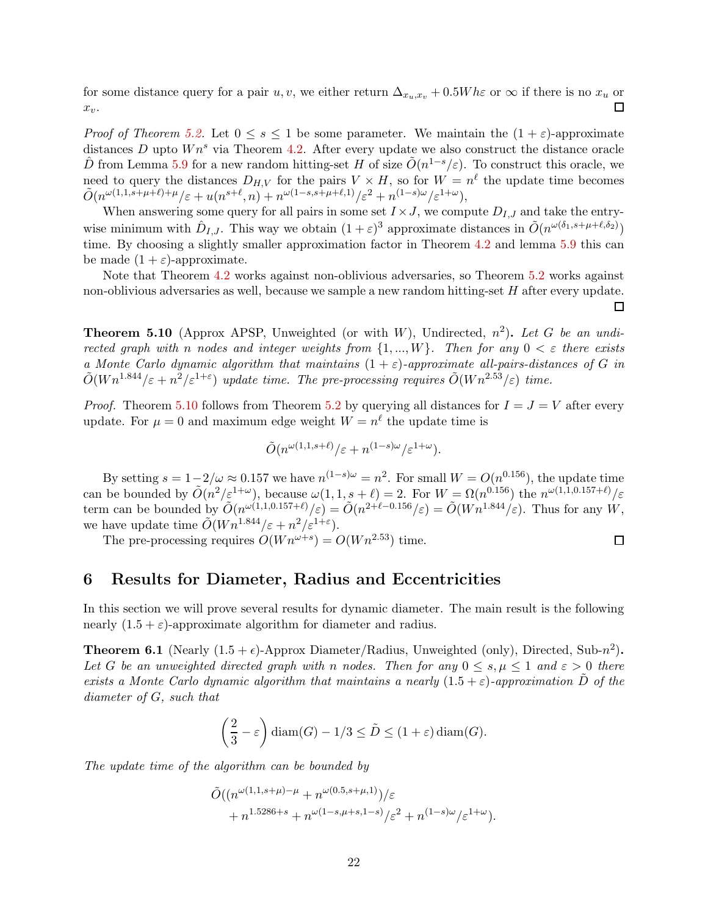for some distance query for a pair u, v, we either return  $\Delta_{x_u,x_v} + 0.5W h \varepsilon$  or  $\infty$  if there is no  $x_u$  or  $\Box$  $x_v$ .

*Proof of Theorem [5.2.](#page-19-0)* Let  $0 \le s \le 1$  be some parameter. We maintain the  $(1 + \varepsilon)$ -approximate distances D upto  $Wn^s$  via Theorem [4.2.](#page-13-2) After every update we also construct the distance oracle  $\hat{D}$  from Lemma [5.9](#page-22-1) for a new random hitting-set H of size  $\tilde{O}(n^{1-s}/\varepsilon)$ . To construct this oracle, we need to query the distances  $D_{H,V}$  for the pairs  $V \times H$ , so for  $W = n^{\ell}$  the update time becomes  $\tilde{O}(n^{\omega(1,1,s+\mu+\ell)+\mu}/\varepsilon+u(n^{s+\ell},n)+n^{\omega(1-s,s+\mu+\ell,1)}/\varepsilon^2+n^{(1-s)\omega}/\varepsilon^{1+\omega}),$ 

When answering some query for all pairs in some set  $I \times J$ , we compute  $D_{I,J}$  and take the entrywise minimum with  $\hat{D}_{I,J}$ . This way we obtain  $(1+\varepsilon)^3$  approximate distances in  $\tilde{O}(n^{\omega(\delta_1,s+\mu+\ell,\delta_2)})$ time. By choosing a slightly smaller approximation factor in Theorem [4.2](#page-13-2) and lemma [5.9](#page-22-1) this can be made  $(1 + \varepsilon)$ -approximate.

Note that Theorem [4.2](#page-13-2) works against non-oblivious adversaries, so Theorem [5.2](#page-19-0) works against non-oblivious adversaries as well, because we sample a new random hitting-set H after every update.  $\Box$ 

<span id="page-23-2"></span>**Theorem 5.10** (Approx APSP, Unweighted (or with W), Undirected,  $n^2$ ). Let G be an undirected graph with n nodes and integer weights from  $\{1, ..., W\}$ . Then for any  $0 < \varepsilon$  there exists a Monte Carlo dynamic algorithm that maintains  $(1 + \varepsilon)$ -approximate all-pairs-distances of G in  $\tilde{O}(W n^{1.844}/\varepsilon + n^2/\varepsilon^{1+\varepsilon})$  update time. The pre-processing requires  $\tilde{O}(W n^{2.53}/\varepsilon)$  time.

*Proof.* Theorem [5.10](#page-23-2) follows from Theorem [5.2](#page-19-0) by querying all distances for  $I = J = V$  after every update. For  $\mu = 0$  and maximum edge weight  $W = n^{\ell}$  the update time is

$$
\tilde{O}(n^{\omega(1,1,s+\ell)}/\varepsilon + n^{(1-s)\omega}/\varepsilon^{1+\omega}).
$$

By setting  $s = 1-2/\omega \approx 0.157$  we have  $n^{(1-s)\omega} = n^2$ . For small  $W = O(n^{0.156})$ , the update time can be bounded by  $\tilde{O}(n^2/\varepsilon^{1+\omega})$ , because  $\omega(1,1,s+\ell)=2$ . For  $W=\Omega(n^{0.156})$  the  $n^{\omega(1,1,0.157+\ell)}/\varepsilon$ term can be bounded by  $\tilde{O}(n^{\omega(1,1,0.157+\ell)}/\varepsilon) = \tilde{O}(n^{2+\ell-0.156}/\varepsilon) = \tilde{O}(Wn^{1.844}/\varepsilon)$ . Thus for any W, we have update time  $\tilde{O}(W n^{1.844}/\varepsilon + n^2/\varepsilon^{1+\varepsilon}).$ 

The pre-processing requires  $O(Wn^{\omega+s}) = O(Wn^{2.53})$  time.

### <span id="page-23-0"></span>6 Results for Diameter, Radius and Eccentricities

<span id="page-23-1"></span>In this section we will prove several results for dynamic diameter. The main result is the following nearly  $(1.5 + \varepsilon)$ -approximate algorithm for diameter and radius.

**Theorem 6.1** (Nearly  $(1.5 + \epsilon)$ -Approx Diameter/Radius, Unweighted (only), Directed, Sub- $n^2$ ). Let G be an unweighted directed graph with n nodes. Then for any  $0 \leq s, \mu \leq 1$  and  $\varepsilon > 0$  there exists a Monte Carlo dynamic algorithm that maintains a nearly  $(1.5 + \varepsilon)$ -approximation D of the diameter of G, such that

$$
\left(\frac{2}{3} - \varepsilon\right) \operatorname{diam}(G) - 1/3 \le \tilde{D} \le (1 + \varepsilon) \operatorname{diam}(G).
$$

The update time of the algorithm can be bounded by

$$
\tilde{O}((n^{\omega(1,1,s+\mu)-\mu}+n^{\omega(0.5,s+\mu,1)})/\varepsilon +n^{1.5286+s}+n^{\omega(1-s,\mu+s,1-s)}/\varepsilon^2+n^{(1-s)\omega}/\varepsilon^{1+\omega}).
$$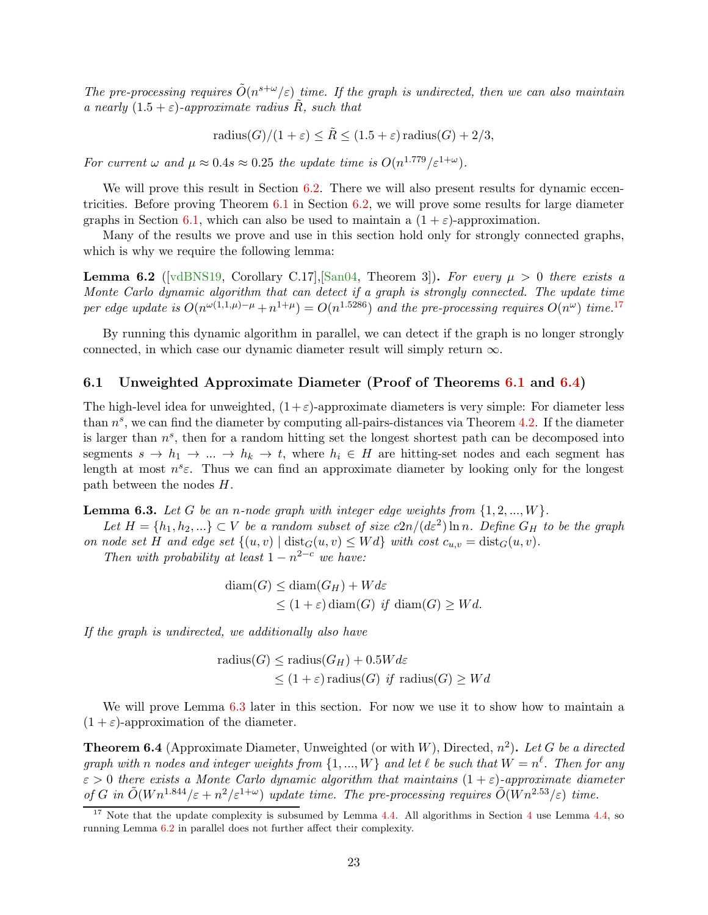<span id="page-24-5"></span>The pre-processing requires  $\tilde{O}(n^{s+\omega}/\varepsilon)$  time. If the graph is undirected, then we can also maintain a nearly  $(1.5 + \varepsilon)$ -approximate radius  $\ddot{R}$ , such that

radius
$$
(G)/(1 + \varepsilon) \le \tilde{R} \le (1.5 + \varepsilon)
$$
 radius $(G) + 2/3$ ,

For current  $\omega$  and  $\mu \approx 0.4s \approx 0.25$  the update time is  $O(n^{1.779}/\varepsilon^{1+\omega})$ .

We will prove this result in Section [6.2.](#page-26-0) There we will also present results for dynamic eccentricities. Before proving Theorem [6.1](#page-23-1) in Section [6.2,](#page-26-0) we will prove some results for large diameter graphs in Section [6.1,](#page-24-1) which can also be used to maintain a  $(1 + \varepsilon)$ -approximation.

<span id="page-24-4"></span>Many of the results we prove and use in this section hold only for strongly connected graphs, which is why we require the following lemma:

**Lemma 6.2** ([\[vdBNS19,](#page-33-9) Corollary C.17], [\[San04,](#page-33-1) Theorem 3]). For every  $\mu > 0$  there exists a Monte Carlo dynamic algorithm that can detect if a graph is strongly connected. The update time per edge update is  $O(n^{\omega(1,1,\mu)-\mu}+n^{1+\mu})=O(n^{1.5286})$  and the pre-processing requires  $O(n^{\omega})$  time.<sup>[17](#page-24-2)</sup>

By running this dynamic algorithm in parallel, we can detect if the graph is no longer strongly connected, in which case our dynamic diameter result will simply return  $\infty$ .

#### <span id="page-24-1"></span>6.1 Unweighted Approximate Diameter (Proof of Theorems [6.1](#page-23-1) and [6.4\)](#page-24-0)

The high-level idea for unweighted,  $(1+\varepsilon)$ -approximate diameters is very simple: For diameter less than  $n^s$ , we can find the diameter by computing all-pairs-distances via Theorem [4.2.](#page-13-2) If the diameter is larger than  $n^s$ , then for a random hitting set the longest shortest path can be decomposed into segments  $s \to h_1 \to \dots \to h_k \to t$ , where  $h_i \in H$  are hitting-set nodes and each segment has length at most  $n^s \varepsilon$ . Thus we can find an approximate diameter by looking only for the longest path between the nodes H.

<span id="page-24-3"></span>**Lemma 6.3.** Let G be an n-node graph with integer edge weights from  $\{1, 2, ..., W\}$ .

Let  $H = \{h_1, h_2, ...\} \subset V$  be a random subset of size  $c2n/(d\varepsilon^2) \ln n$ . Define  $G_H$  to be the graph on node set H and edge set  $\{(u, v) \mid \text{dist}_G(u, v) \leq W d\}$  with cost  $c_{u, v} = \text{dist}_G(u, v)$ .

Then with probability at least  $1 - n^{2-c}$  we have:

$$
diam(G) \leq diam(G_H) + Wd\varepsilon
$$
  
 
$$
\leq (1+\varepsilon) diam(G) \text{ if } diam(G) \geq Wd.
$$

If the graph is undirected, we additionally also have

radius
$$
(G)
$$
  $\leq$  radius $(G_H)$  + 0.5 $Wd\varepsilon$   
 $\leq (1 + \varepsilon)$  radius $(G)$  *if* radius $(G)$   $\geq Wd$ 

<span id="page-24-0"></span>We will prove Lemma [6.3](#page-24-3) later in this section. For now we use it to show how to maintain a  $(1 + \varepsilon)$ -approximation of the diameter.

**Theorem 6.4** (Approximate Diameter, Unweighted (or with W), Directed,  $n^2$ ). Let G be a directed graph with n nodes and integer weights from  $\{1, ..., W\}$  and let  $\ell$  be such that  $W = n^{\ell}$ . Then for any  $\varepsilon > 0$  there exists a Monte Carlo dynamic algorithm that maintains  $(1 + \varepsilon)$ -approximate diameter of G in  $\tilde{O}(W n^{1.844}/\varepsilon + n^2/\varepsilon^{1+\omega})$  update time. The pre-processing requires  $\tilde{O}(W n^{2.53}/\varepsilon)$  time.

<span id="page-24-2"></span><sup>&</sup>lt;sup>17</sup> Note that the update complexity is subsumed by Lemma [4.4.](#page-14-1) All algorithms in Section [4](#page-13-0) use Lemma [4.4,](#page-14-1) so running Lemma [6.2](#page-24-4) in parallel does not further affect their complexity.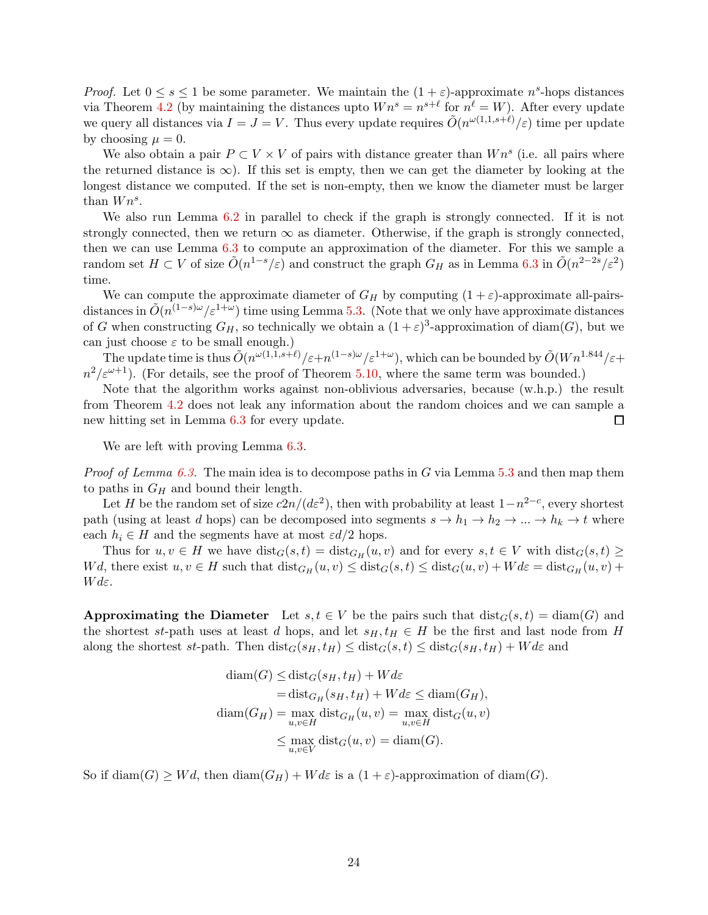*Proof.* Let  $0 \leq s \leq 1$  be some parameter. We maintain the  $(1 + \varepsilon)$ -approximate  $n<sup>s</sup>$ -hops distances via Theorem [4.2](#page-13-2) (by maintaining the distances upto  $Wn^s = n^{s+\ell}$  for  $n^{\ell} = W$ ). After every update we query all distances via  $I = J = V$ . Thus every update requires  $\tilde{O}(n^{\omega(1,1,s+\ell)}/\varepsilon)$  time per update by choosing  $\mu = 0$ .

We also obtain a pair  $P \subset V \times V$  of pairs with distance greater than  $Wn^s$  (i.e. all pairs where the returned distance is  $\infty$ ). If this set is empty, then we can get the diameter by looking at the longest distance we computed. If the set is non-empty, then we know the diameter must be larger than  $Wn^s$ .

We also run Lemma [6.2](#page-24-4) in parallel to check if the graph is strongly connected. If it is not strongly connected, then we return  $\infty$  as diameter. Otherwise, if the graph is strongly connected, then we can use Lemma [6.3](#page-24-3) to compute an approximation of the diameter. For this we sample a random set  $H \subset V$  of size  $\tilde{O}(n^{1-s}/\varepsilon)$  and construct the graph  $G_H$  as in Lemma [6.3](#page-24-3) in  $\tilde{O}(n^{2-2s}/\varepsilon^2)$ time.

We can compute the approximate diameter of  $G_H$  by computing  $(1 + \varepsilon)$ -approximate all-pairsdistances in  $\tilde{O}(n^{(1-s)\omega}/\varepsilon^{1+\omega})$  time using Lemma [5.3.](#page-19-1) (Note that we only have approximate distances of G when constructing  $G_H$ , so technically we obtain a  $(1+\varepsilon)^3$ -approximation of diam(G), but we can just choose  $\varepsilon$  to be small enough.)

The update time is thus  $O(n^{\omega(1,1,s+\ell)}/\varepsilon+n^{(1-s)\omega}/\varepsilon^{1+\omega})$ , which can be bounded by  $\tilde{O}(Wn^{1.844}/\varepsilon+n^{(1-s)\omega}/\varepsilon^{1+\omega})$  $n^2/\varepsilon^{\omega+1}$ ). (For details, see the proof of Theorem [5.10,](#page-23-2) where the same term was bounded.)

Note that the algorithm works against non-oblivious adversaries, because (w.h.p.) the result from Theorem [4.2](#page-13-2) does not leak any information about the random choices and we can sample a new hitting set in Lemma [6.3](#page-24-3) for every update.  $\Box$ 

We are left with proving Lemma [6.3.](#page-24-3)

*Proof of Lemma [6.3.](#page-24-3)* The main idea is to decompose paths in G via Lemma [5.3](#page-19-1) and then map them to paths in  $G_H$  and bound their length.

Let H be the random set of size  $c2n/(d\varepsilon^2)$ , then with probability at least  $1-n^{2-c}$ , every shortest path (using at least d hops) can be decomposed into segments  $s \to h_1 \to h_2 \to \ldots \to h_k \to t$  where each  $h_i \in H$  and the segments have at most  $\varepsilon d/2$  hops.

Thus for  $u, v \in H$  we have  $dist_G(s,t) = dist_{G_H}(u, v)$  and for every  $s, t \in V$  with  $dist_G(s,t) \ge$ Wd, there exist  $u, v \in H$  such that  $dist_{G_H}(u, v) \leq dist_G(s, t) \leq dist_G(u, v) + W d\varepsilon = dist_{G_H}(u, v) +$  $W d\varepsilon$ .

Approximating the Diameter Let  $s, t \in V$  be the pairs such that  $dist_G(s,t) = diam(G)$  and the shortest st-path uses at least d hops, and let  $s_H, t_H \in H$  be the first and last node from H along the shortest st-path. Then  $dist_G(s_H, t_H) \leq dist_G(s,t) \leq dist_G(s_H, t_H) + W d\varepsilon$  and

$$
\begin{aligned}\n\text{diam}(G) &\leq \text{dist}_G(s_H, t_H) + Wd\varepsilon \\
&= \text{dist}_{G_H}(s_H, t_H) + Wd\varepsilon \leq \text{diam}(G_H), \\
\text{diam}(G_H) &= \max_{u,v \in H} \text{dist}_{G_H}(u, v) = \max_{u,v \in H} \text{dist}_G(u, v) \\
&\leq \max_{u,v \in V} \text{dist}_G(u, v) = \text{diam}(G).\n\end{aligned}
$$

So if  $\text{diam}(G) \geq Wd$ , then  $\text{diam}(G_H) + Wd\varepsilon$  is a  $(1+\varepsilon)$ -approximation of  $\text{diam}(G)$ .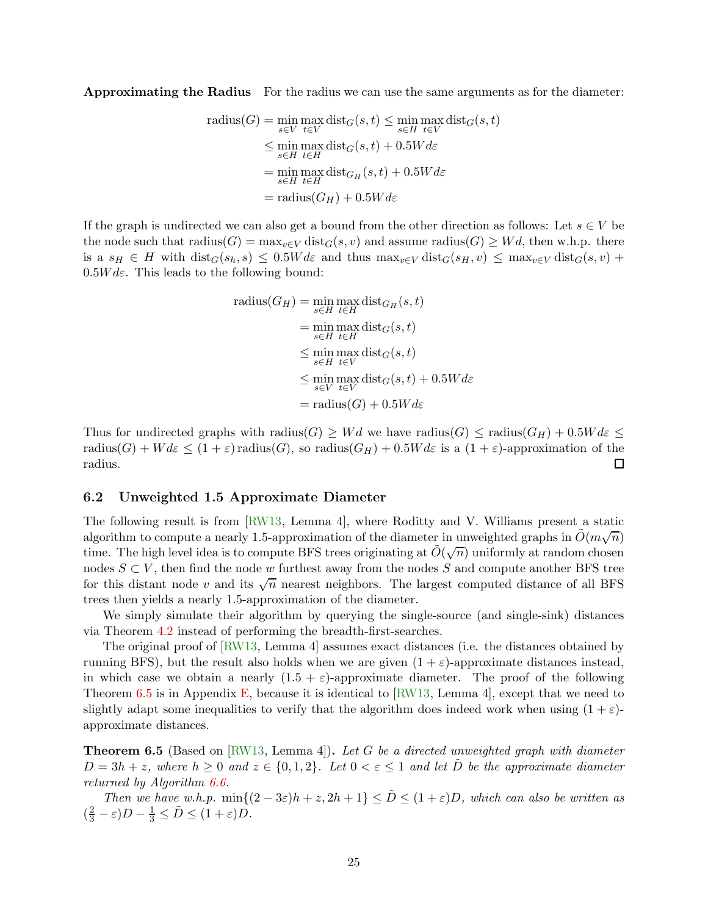<span id="page-26-3"></span>Approximating the Radius For the radius we can use the same arguments as for the diameter:

radius(G) = 
$$
\min_{s \in V} \max_{t \in V} \text{dist}_G(s, t) \leq \min_{s \in H} \max_{t \in V} \text{dist}_G(s, t)
$$
  
\n $\leq \min_{s \in H} \max_{t \in H} \text{dist}_G(s, t) + 0.5W d\varepsilon$   
\n $= \min_{s \in H} \max_{t \in H} \text{dist}_{G_H}(s, t) + 0.5W d\varepsilon$   
\n $= \text{radius}(G_H) + 0.5W d\varepsilon$ 

If the graph is undirected we can also get a bound from the other direction as follows: Let  $s \in V$  be the node such that radius( $G$ ) =  $\max_{v \in V} \text{dist}_G(s, v)$  and assume radius( $G$ )  $\geq Wd$ , then w.h.p. there is a  $s_H \in H$  with  $dist_G(s_h, s) \leq 0.5W d\varepsilon$  and thus  $max_{v \in V} dist_G(s_H, v) \leq max_{v \in V} dist_G(s, v) +$  $0.5Wd\varepsilon$ . This leads to the following bound:

radius
$$
(G_H)
$$
 = min max dist<sub>G<sub>H</sub></sub> (s, t)  
\n= min max dist<sub>G</sub> (s, t)  
\n= min max dist<sub>G</sub> (s, t)  
\n $\leq$  min max dist<sub>G</sub> (s, t)  
\n $\leq$  min max dist<sub>G</sub> (s, t) + 0.5W d<sub>E</sub>  
\n $\leq$  min max dist<sub>G</sub> (s, t) + 0.5W d<sub>E</sub>  
\n= radius $(G)$  + 0.5W d<sub>E</sub>

Thus for undirected graphs with radius( $G \geq Wd$  we have radius( $G \leq$  radius( $G_H$ ) + 0.5W  $d\varepsilon \leq$ radius(G) +  $Wd\varepsilon \leq (1+\varepsilon)$  radius(G), so radius(G<sub>H</sub>) + 0.5W d $\varepsilon$  is a  $(1+\varepsilon)$ -approximation of the radius.  $\Box$ 

#### <span id="page-26-0"></span>6.2 Unweighted 1.5 Approximate Diameter

The following result is from [\[RW13,](#page-33-6) Lemma 4], where Roditty and V. Williams present a static algorithm to compute a nearly 1.5-approximation of the diameter in unweighted graphs in  $\tilde{O}(m\sqrt{n})$ time. The high level idea is to compute BFS trees originating at  $\tilde{O}(\sqrt{n})$  uniformly at random chosen nodes  $S \subset V$ , then find the node w furthest away from the nodes S and compute another BFS tree for this distant node v and its  $\sqrt{n}$  nearest neighbors. The largest computed distance of all BFS trees then yields a nearly 1.5-approximation of the diameter.

We simply simulate their algorithm by querying the single-source (and single-sink) distances via Theorem [4.2](#page-13-2) instead of performing the breadth-first-searches.

The original proof of [\[RW13,](#page-33-6) Lemma 4] assumes exact distances (i.e. the distances obtained by running BFS), but the result also holds when we are given  $(1 + \varepsilon)$ -approximate distances instead, in which case we obtain a nearly  $(1.5 + \varepsilon)$ -approximate diameter. The proof of the following Theorem [6.5](#page-26-1) is in Appendix [E,](#page-37-1) because it is identical to  $\overline{RW13}$ , Lemma 4, except that we need to slightly adapt some inequalities to verify that the algorithm does indeed work when using  $(1 + \varepsilon)$ approximate distances.

<span id="page-26-1"></span>**Theorem 6.5** (Based on [\[RW13,](#page-33-6) Lemma 4]). Let G be a directed unweighted graph with diameter  $D = 3h + z$ , where  $h \geq 0$  and  $z \in \{0, 1, 2\}$ . Let  $0 < \varepsilon \leq 1$  and let  $\tilde{D}$  be the approximate diameter returned by Algorithm [6.6.](#page-26-2)

<span id="page-26-2"></span>Then we have w.h.p.  $\min\{(2-3\varepsilon)h + z, 2h+1\} \leq \tilde{D} \leq (1+\varepsilon)D$ , which can also be written as  $(\frac{2}{3} - \varepsilon)D - \frac{1}{3} \leq \tilde{D} \leq (1 + \varepsilon)D.$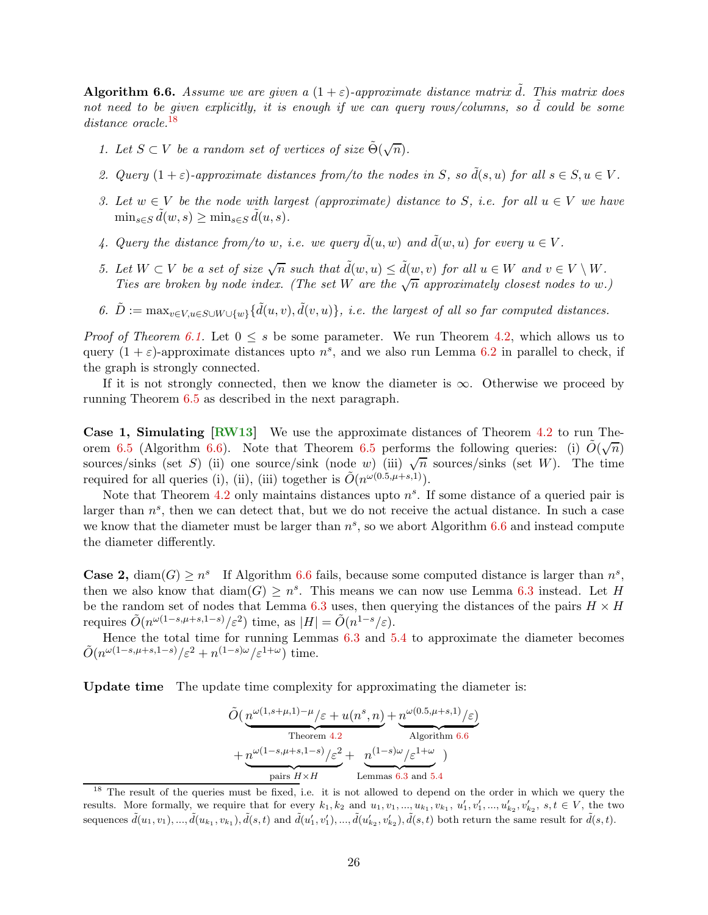<span id="page-27-1"></span>**Algorithm 6.6.** Assume we are given a  $(1 + \varepsilon)$ -approximate distance matrix  $\tilde{d}$ . This matrix does not need to be given explicitly, it is enough if we can query rows/columns, so  $\tilde{d}$  could be some distance oracle.<sup>[18](#page-27-0)</sup>

- 1. Let  $S \subset V$  be a random set of vertices of size  $\tilde{\Theta}(\sqrt{n})$ .
- 2. Query  $(1 + \varepsilon)$ -approximate distances from/to the nodes in S, so  $\tilde{d}(s, u)$  for all  $s \in S, u \in V$ .
- 3. Let  $w \in V$  be the node with largest (approximate) distance to S, i.e. for all  $u \in V$  we have  $\min_{s \in S} \tilde{d}(w, s) \geq \min_{s \in S} \tilde{d}(u, s).$
- 4. Query the distance from/to w, i.e. we query  $\tilde{d}(u, w)$  and  $\tilde{d}(w, u)$  for every  $u \in V$ .
- 5. Let  $W \subset V$  be a set of size  $\sqrt{n}$  such that  $\tilde{d}(w, u) \leq \tilde{d}(\underline{w}, v)$  for all  $u \in W$  and  $v \in V \setminus W$ . Ties are broken by node index. (The set W are the  $\sqrt{n}$  approximately closest nodes to w.)
- 6.  $\tilde{D} := \max_{v \in V, u \in S \cup W \cup \{w\}} {\{\tilde{d}(u, v), \tilde{d}(v, u)\}},$  i.e. the largest of all so far computed distances.

*Proof of Theorem [6.1.](#page-23-1)* Let  $0 \leq s$  be some parameter. We run Theorem [4.2,](#page-13-2) which allows us to query  $(1 + \varepsilon)$ -approximate distances upto  $n^s$ , and we also run Lemma [6.2](#page-24-4) in parallel to check, if the graph is strongly connected.

If it is not strongly connected, then we know the diameter is  $\infty$ . Otherwise we proceed by running Theorem [6.5](#page-26-1) as described in the next paragraph.

Case 1, Simulating [\[RW13\]](#page-33-6) We use the approximate distances of Theorem [4.2](#page-13-2) to run The-orem [6.5](#page-26-1) (Algorithm [6.6\)](#page-26-2). Note that Theorem 6.5 performs the following queries: (i)  $\tilde{O}(\sqrt{n})$ sources/sinks (set S) (ii) one source/sink (node w) (iii)  $\sqrt{n}$  sources/sinks (set W). The time required for all queries (i), (ii), (iii) together is  $\tilde{O}(n^{\omega(0.5,\mu+s,1)})$ .

Note that Theorem [4.2](#page-13-2) only maintains distances upto  $n<sup>s</sup>$ . If some distance of a queried pair is larger than  $n^s$ , then we can detect that, but we do not receive the actual distance. In such a case we know that the diameter must be larger than  $n^s$ , so we abort Algorithm [6.6](#page-26-2) and instead compute the diameter differently.

**Case 2,** diam(G)  $\geq n^s$  If Algorithm [6.6](#page-26-2) fails, because some computed distance is larger than  $n^s$ , then we also know that  $\text{diam}(G) \geq n^s$ . This means we can now use Lemma [6.3](#page-24-3) instead. Let H be the random set of nodes that Lemma [6.3](#page-24-3) uses, then querying the distances of the pairs  $H \times H$ requires  $\tilde{O}(n^{\omega(1-s,\mu+s,1-s)}/\varepsilon^2)$  time, as  $|H| = \tilde{O}(n^{1-s}/\varepsilon)$ .

Hence the total time for running Lemmas [6.3](#page-24-3) and [5.4](#page-19-2) to approximate the diameter becomes  $\tilde{O}(n^{\omega(1-s,\mu+s,1-s)}/\varepsilon^2+n^{(1-s)\omega}/\varepsilon^{1+\omega})$  time.

Update time The update time complexity for approximating the diameter is:

$$
\tilde{O}\left(\underbrace{n^{\omega(1,s+\mu,1)-\mu}/\varepsilon+u(n^s,n)}_{\text{Theorem 4.2}}+\underbrace{n^{\omega(0.5,\mu+s,1)}/\varepsilon}_{\text{Algorithm 6.6}}\right) \newline +\underbrace{n^{\omega(1-s,\mu+s,1-s)}/\varepsilon^2}_{\text{pairs }H\times H}+\underbrace{n^{(1-s)\omega}/\varepsilon^{1+\omega}}_{\text{Lemma 6.3 and 5.4}}\right)
$$

<span id="page-27-0"></span><sup>&</sup>lt;sup>18</sup> The result of the queries must be fixed, i.e. it is not allowed to depend on the order in which we query the results. More formally, we require that for every  $k_1, k_2$  and  $u_1, v_1, ..., u_{k_1}, v_{k_1}, u'_1, v'_1, ..., u'_{k_2}, v'_{k_2}, s, t \in V$ , the two sequences  $\tilde{d}(u_1, v_1), ..., \tilde{d}(u_{k_1}, v_{k_1}), \tilde{d}(s, t)$  and  $\tilde{d}(u'_1, v'_1), ..., \tilde{d}(u'_{k_2}, v'_{k_2}), \tilde{d}(s, t)$  both return the same result for  $\tilde{d}(s, t)$ .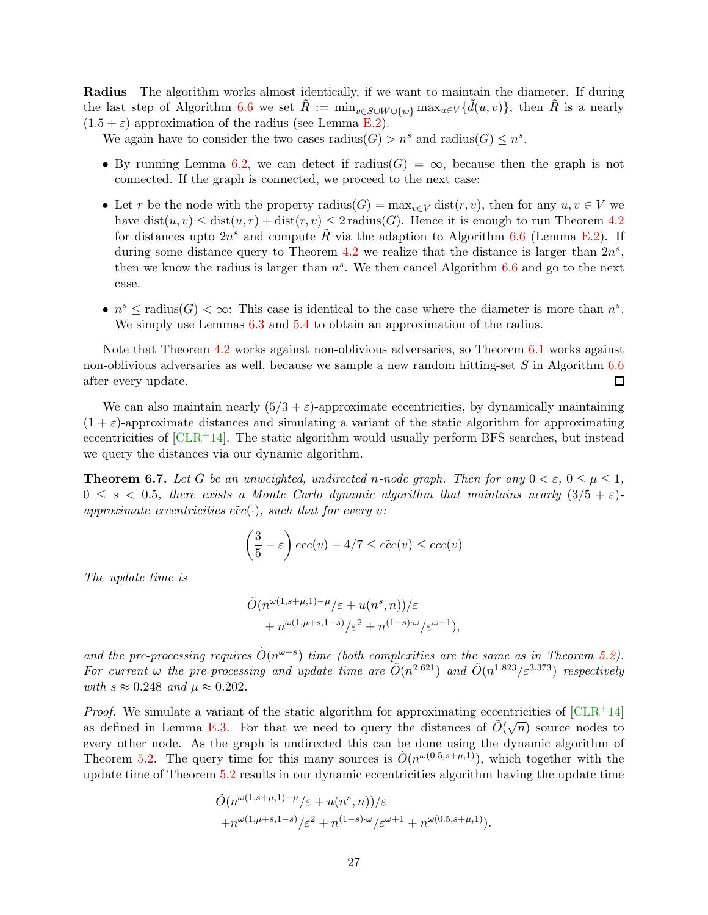<span id="page-28-1"></span>Radius The algorithm works almost identically, if we want to maintain the diameter. If during the last step of Algorithm [6.6](#page-26-2) we set  $\tilde{R} := \min_{v \in S \cup W \cup \{w\}} \max_{u \in V} {\{\tilde{d}(u, v)\}}$ , then  $\tilde{R}$  is a nearly  $(1.5 + \varepsilon)$ -approximation of the radius (see Lemma [E.2\)](#page-38-0).

We again have to consider the two cases  $\text{radius}(G) > n^s$  and  $\text{radius}(G) \leq n^s$ .

- By running Lemma [6.2,](#page-24-4) we can detect if radius( $G$ ) =  $\infty$ , because then the graph is not connected. If the graph is connected, we proceed to the next case:
- Let r be the node with the property radius( $G$ ) =  $\max_{v \in V} \text{dist}(r, v)$ , then for any  $u, v \in V$  we have  $dist(u, v) \leq dist(u, r) + dist(r, v) \leq 2$  radius(G). Hence it is enough to run Theorem [4.2](#page-13-2) for distances upto  $2n^s$  and compute  $\tilde{R}$  via the adaption to Algorithm [6.6](#page-26-2) (Lemma [E.2\)](#page-38-0). If during some distance query to Theorem [4.2](#page-13-2) we realize that the distance is larger than  $2n^s$ , then we know the radius is larger than  $n<sup>s</sup>$ . We then cancel Algorithm [6.6](#page-26-2) and go to the next case.
- $n^s \leq$  radius(*G*)  $< \infty$ : This case is identical to the case where the diameter is more than  $n^s$ . We simply use Lemmas  $6.3$  and  $5.4$  to obtain an approximation of the radius.

Note that Theorem [4.2](#page-13-2) works against non-oblivious adversaries, so Theorem [6.1](#page-23-1) works against non-oblivious adversaries as well, because we sample a new random hitting-set S in Algorithm [6.6](#page-26-2) after every update.  $\Box$ 

We can also maintain nearly  $(5/3 + \varepsilon)$ -approximate eccentricities, by dynamically maintaining  $(1 + \varepsilon)$ -approximate distances and simulating a variant of the static algorithm for approximating eccentricities of  $[CLR+14]$ . The static algorithm would usually perform BFS searches, but instead we query the distances via our dynamic algorithm.

<span id="page-28-0"></span>**Theorem 6.7.** Let G be an unweighted, undirected n-node graph. Then for any  $0 < \varepsilon$ ,  $0 \leq \mu \leq 1$ ,  $0 \leq s < 0.5$ , there exists a Monte Carlo dynamic algorithm that maintains nearly  $(3/5 + \varepsilon)$ approximate eccentricities  $\tilde{ecc}(\cdot)$ , such that for every v:

$$
\left(\frac{3}{5} - \varepsilon\right) \operatorname{ecc}(v) - 4/7 \le \tilde{ecc}(v) \le \operatorname{ecc}(v)
$$

The update time is

$$
\tilde{O}(n^{\omega(1,s+\mu,1)-\mu}/\varepsilon+u(n^s,n))/\varepsilon +n^{\omega(1,\mu+s,1-s)}/\varepsilon^2+n^{(1-s)\cdot\omega}/\varepsilon^{\omega+1}),
$$

and the pre-processing requires  $\tilde{O}(n^{\omega+s})$  time (both complexities are the same as in Theorem [5.2\)](#page-19-0). For current  $\omega$  the pre-processing and update time are  $\tilde{O}(n^{2.621})$  and  $\tilde{O}(n^{1.823}/\varepsilon^{3.373})$  respectively with  $s \approx 0.248$  and  $\mu \approx 0.202$ .

*Proof.* We simulate a variant of the static algorithm for approximating eccentricities of  $\text{[CLR+14]}$ as defined in Lemma [E.3.](#page-39-0) For that we need to query the distances of  $\tilde{O}(\sqrt{n})$  source nodes to every other node. As the graph is undirected this can be done using the dynamic algorithm of Theorem [5.2.](#page-19-0) The query time for this many sources is  $\tilde{O}(n^{\omega(0.5,s+\mu,1)})$ , which together with the update time of Theorem [5.2](#page-19-0) results in our dynamic eccentricities algorithm having the update time

$$
\tilde{O}(n^{\omega(1,s+\mu,1)-\mu}/\varepsilon+u(n^s,n))/\varepsilon
$$
  
+ $n^{\omega(1,\mu+s,1-s)}/\varepsilon^2+n^{(1-s)\cdot\omega}/\varepsilon^{\omega+1}+n^{\omega(0.5,s+\mu,1)}).$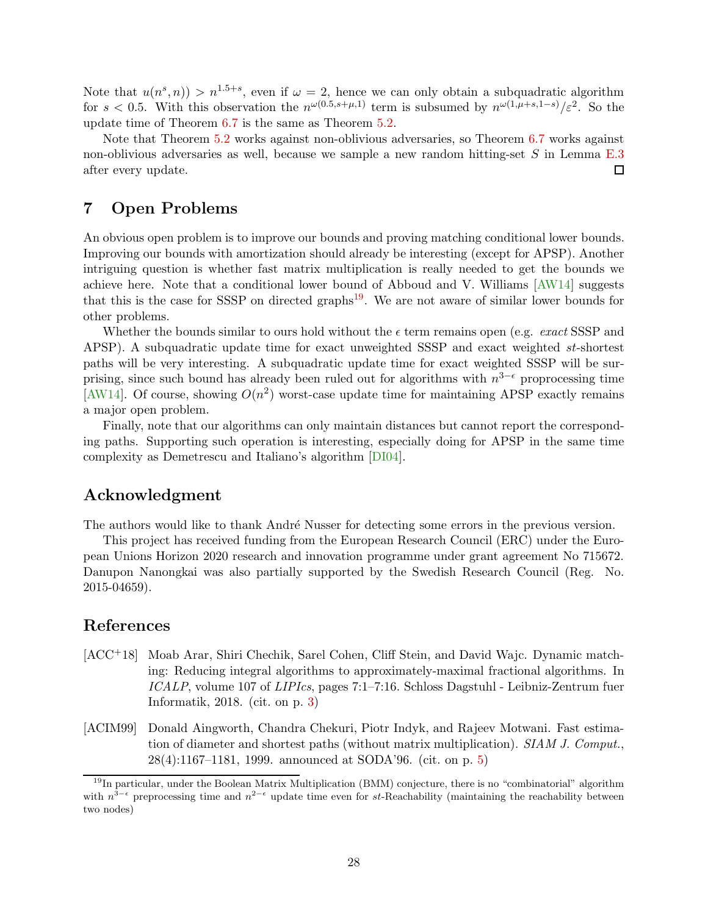<span id="page-29-4"></span>Note that  $u(n^s, n) > n^{1.5+s}$ , even if  $\omega = 2$ , hence we can only obtain a subquadratic algorithm for  $s < 0.5$ . With this observation the  $n^{\omega(0.5, s+\mu, 1)}$  term is subsumed by  $n^{\omega(1,\mu+s,1-s)}/\varepsilon^2$ . So the update time of Theorem [6.7](#page-28-0) is the same as Theorem [5.2.](#page-19-0)

Note that Theorem [5.2](#page-19-0) works against non-oblivious adversaries, so Theorem [6.7](#page-28-0) works against non-oblivious adversaries as well, because we sample a new random hitting-set S in Lemma [E.3](#page-39-0) after every update.  $\Box$ 

### <span id="page-29-0"></span>7 Open Problems

An obvious open problem is to improve our bounds and proving matching conditional lower bounds. Improving our bounds with amortization should already be interesting (except for APSP). Another intriguing question is whether fast matrix multiplication is really needed to get the bounds we achieve here. Note that a conditional lower bound of Abboud and V. Williams [\[AW14\]](#page-30-5) suggests that this is the case for SSSP on directed graphs<sup>[19](#page-29-3)</sup>. We are not aware of similar lower bounds for other problems.

Whether the bounds similar to ours hold without the  $\epsilon$  term remains open (e.g. exact SSSP and APSP). A subquadratic update time for exact unweighted SSSP and exact weighted st-shortest paths will be very interesting. A subquadratic update time for exact weighted SSSP will be surprising, since such bound has already been ruled out for algorithms with  $n^{3-\epsilon}$  proprocessing time [\[AW14\]](#page-30-5). Of course, showing  $O(n^2)$  worst-case update time for maintaining APSP exactly remains a major open problem.

Finally, note that our algorithms can only maintain distances but cannot report the corresponding paths. Supporting such operation is interesting, especially doing for APSP in the same time complexity as Demetrescu and Italiano's algorithm [\[DI04\]](#page-31-1).

### Acknowledgment

The authors would like to thank André Nusser for detecting some errors in the previous version.

This project has received funding from the European Research Council (ERC) under the European Unions Horizon 2020 research and innovation programme under grant agreement No 715672. Danupon Nanongkai was also partially supported by the Swedish Research Council (Reg. No. 2015-04659).

### References

- <span id="page-29-1"></span>[ACC+18] Moab Arar, Shiri Chechik, Sarel Cohen, Cliff Stein, and David Wajc. Dynamic matching: Reducing integral algorithms to approximately-maximal fractional algorithms. In ICALP, volume 107 of LIPIcs, pages 7:1–7:16. Schloss Dagstuhl - Leibniz-Zentrum fuer Informatik, 2018. (cit. on p. [3\)](#page-4-3)
- <span id="page-29-2"></span>[ACIM99] Donald Aingworth, Chandra Chekuri, Piotr Indyk, and Rajeev Motwani. Fast estimation of diameter and shortest paths (without matrix multiplication). SIAM J. Comput., 28(4):1167–1181, 1999. announced at SODA'96. (cit. on p. [5\)](#page-6-1)

<span id="page-29-3"></span> $19$ In particular, under the Boolean Matrix Multiplication (BMM) conjecture, there is no "combinatorial" algorithm with  $n^{3-\epsilon}$  preprocessing time and  $n^{2-\epsilon}$  update time even for st-Reachability (maintaining the reachability between two nodes)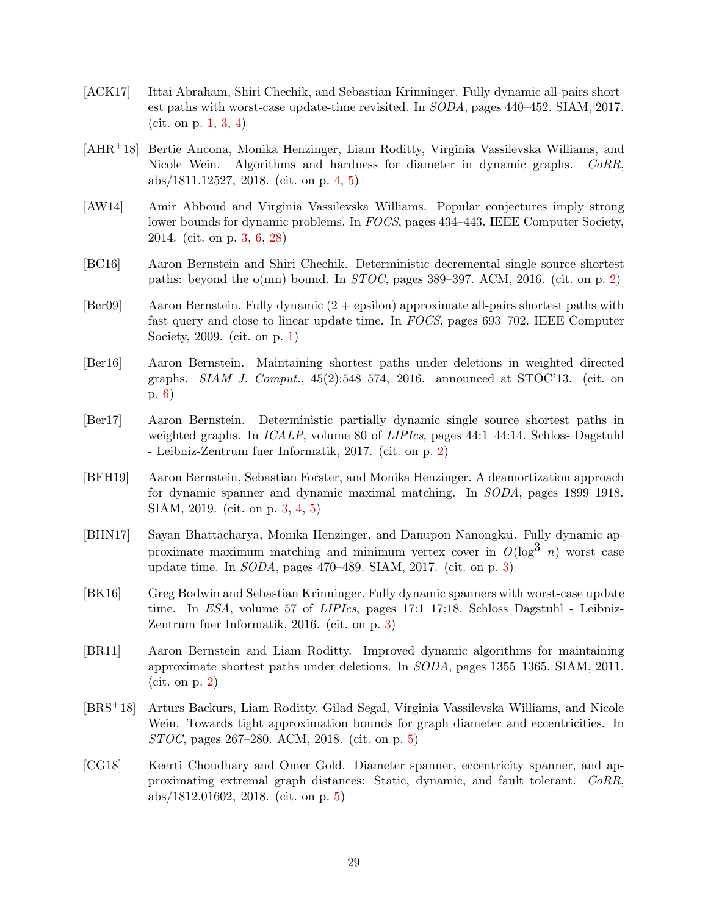- <span id="page-30-1"></span>[ACK17] Ittai Abraham, Shiri Chechik, and Sebastian Krinninger. Fully dynamic all-pairs shortest paths with worst-case update-time revisited. In SODA, pages 440–452. SIAM, 2017. (cit. on p. [1,](#page-2-6) [3,](#page-4-3) [4\)](#page-5-1)
- <span id="page-30-9"></span>[AHR+18] Bertie Ancona, Monika Henzinger, Liam Roditty, Virginia Vassilevska Williams, and Nicole Wein. Algorithms and hardness for diameter in dynamic graphs. CoRR, abs/1811.12527, 2018. (cit. on p. [4,](#page-5-1) [5\)](#page-6-1)
- <span id="page-30-5"></span>[AW14] Amir Abboud and Virginia Vassilevska Williams. Popular conjectures imply strong lower bounds for dynamic problems. In FOCS, pages 434–443. IEEE Computer Society, 2014. (cit. on p. [3,](#page-4-3) [6,](#page-7-3) [28\)](#page-29-4)
- <span id="page-30-2"></span>[BC16] Aaron Bernstein and Shiri Chechik. Deterministic decremental single source shortest paths: beyond the o(mn) bound. In  $STOC$ , pages 389–397. ACM, 2016. (cit. on p. [2\)](#page-3-5)
- <span id="page-30-0"></span>[Ber09] Aaron Bernstein. Fully dynamic (2 + epsilon) approximate all-pairs shortest paths with fast query and close to linear update time. In FOCS, pages 693–702. IEEE Computer Society, 2009. (cit. on p. [1\)](#page-2-6)
- <span id="page-30-12"></span>[Ber16] Aaron Bernstein. Maintaining shortest paths under deletions in weighted directed graphs.  $SIAM$  J. Comput.,  $45(2):548-574$ , 2016. announced at STOC'13. (cit. on p. [6\)](#page-7-3)
- <span id="page-30-3"></span>[Ber17] Aaron Bernstein. Deterministic partially dynamic single source shortest paths in weighted graphs. In *ICALP*, volume 80 of *LIPIcs*, pages 44:1–44:14. Schloss Dagstuhl - Leibniz-Zentrum fuer Informatik, 2017. (cit. on p. [2\)](#page-3-5)
- <span id="page-30-6"></span>[BFH19] Aaron Bernstein, Sebastian Forster, and Monika Henzinger. A deamortization approach for dynamic spanner and dynamic maximal matching. In SODA, pages 1899–1918. SIAM, 2019. (cit. on p. [3,](#page-4-3) [4,](#page-5-1) [5\)](#page-6-1)
- <span id="page-30-7"></span>[BHN17] Sayan Bhattacharya, Monika Henzinger, and Danupon Nanongkai. Fully dynamic approximate maximum matching and minimum vertex cover in  $O(\log^3 n)$  worst case update time. In SODA, pages 470–489. SIAM, 2017. (cit. on p. [3\)](#page-4-3)
- <span id="page-30-8"></span>[BK16] Greg Bodwin and Sebastian Krinninger. Fully dynamic spanners with worst-case update time. In ESA, volume 57 of LIPIcs, pages 17:1–17:18. Schloss Dagstuhl - Leibniz-Zentrum fuer Informatik, 2016. (cit. on p. [3\)](#page-4-3)
- <span id="page-30-4"></span>[BR11] Aaron Bernstein and Liam Roditty. Improved dynamic algorithms for maintaining approximate shortest paths under deletions. In SODA, pages 1355–1365. SIAM, 2011. (cit. on p. [2\)](#page-3-5)
- <span id="page-30-10"></span>[BRS+18] Arturs Backurs, Liam Roditty, Gilad Segal, Virginia Vassilevska Williams, and Nicole Wein. Towards tight approximation bounds for graph diameter and eccentricities. In STOC, pages 267–280. ACM, 2018. (cit. on p. [5\)](#page-6-1)
- <span id="page-30-11"></span>[CG18] Keerti Choudhary and Omer Gold. Diameter spanner, eccentricity spanner, and approximating extremal graph distances: Static, dynamic, and fault tolerant. CoRR, abs/1812.01602, 2018. (cit. on p. [5\)](#page-6-1)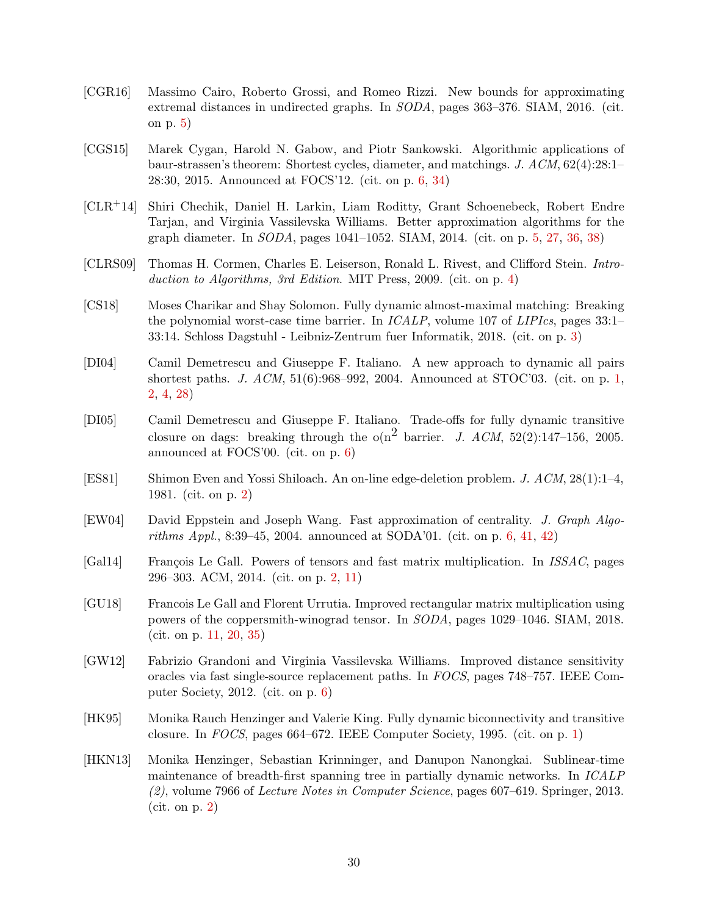- <span id="page-31-8"></span>[CGR16] Massimo Cairo, Roberto Grossi, and Romeo Rizzi. New bounds for approximating extremal distances in undirected graphs. In SODA, pages 363–376. SIAM, 2016. (cit. on p. [5\)](#page-6-1)
- <span id="page-31-9"></span>[CGS15] Marek Cygan, Harold N. Gabow, and Piotr Sankowski. Algorithmic applications of baur-strassen's theorem: Shortest cycles, diameter, and matchings. J. ACM, 62(4):28:1– 28:30, 2015. Announced at FOCS'12. (cit. on p. [6,](#page-7-3) [34\)](#page-35-2)
- <span id="page-31-7"></span>[CLR+14] Shiri Chechik, Daniel H. Larkin, Liam Roditty, Grant Schoenebeck, Robert Endre Tarjan, and Virginia Vassilevska Williams. Better approximation algorithms for the graph diameter. In SODA, pages 1041–1052. SIAM, 2014. (cit. on p. [5,](#page-6-1) [27,](#page-28-1) [36,](#page-37-2) [38\)](#page-39-1)
- <span id="page-31-6"></span>[CLRS09] Thomas H. Cormen, Charles E. Leiserson, Ronald L. Rivest, and Clifford Stein. Intro-duction to Algorithms, 3rd Edition. MIT Press, 2009. (cit. on p. [4\)](#page-5-1)
- <span id="page-31-5"></span>[CS18] Moses Charikar and Shay Solomon. Fully dynamic almost-maximal matching: Breaking the polynomial worst-case time barrier. In *ICALP*, volume 107 of *LIPIcs*, pages 33:1– 33:14. Schloss Dagstuhl - Leibniz-Zentrum fuer Informatik, 2018. (cit. on p. [3\)](#page-4-3)
- <span id="page-31-1"></span>[DI04] Camil Demetrescu and Giuseppe F. Italiano. A new approach to dynamic all pairs shortest paths. J.  $ACM$ ,  $51(6):968-992$ , 2004. Announced at STOC'03. (cit. on p. [1,](#page-2-6) [2,](#page-3-5) [4,](#page-5-1) [28\)](#page-29-4)
- <span id="page-31-11"></span>[DI05] Camil Demetrescu and Giuseppe F. Italiano. Trade-offs for fully dynamic transitive closure on dags: breaking through the  $o(n^2)$  barrier. J. ACM, 52(2):147-156, 2005. announced at FOCS'00. (cit. on p. [6\)](#page-7-3)
- <span id="page-31-3"></span>[ES81] Shimon Even and Yossi Shiloach. An on-line edge-deletion problem. J. ACM, 28(1):1–4, 1981. (cit. on p. [2\)](#page-3-5)
- <span id="page-31-10"></span>[EW04] David Eppstein and Joseph Wang. Fast approximation of centrality. J. Graph Algo-rithms Appl., 8:39–45, 2004. announced at SODA'01. (cit. on p. [6,](#page-7-3) [41,](#page-42-1) [42\)](#page-43-0)
- <span id="page-31-2"></span>[Gal14] François Le Gall. Powers of tensors and fast matrix multiplication. In *ISSAC*, pages 296–303. ACM, 2014. (cit. on p. [2,](#page-3-5) [11\)](#page-12-2)
- <span id="page-31-13"></span>[GU18] Francois Le Gall and Florent Urrutia. Improved rectangular matrix multiplication using powers of the coppersmith-winograd tensor. In SODA, pages 1029–1046. SIAM, 2018. (cit. on p. [11,](#page-12-2) [20,](#page-21-2) [35\)](#page-36-1)
- <span id="page-31-12"></span>[GW12] Fabrizio Grandoni and Virginia Vassilevska Williams. Improved distance sensitivity oracles via fast single-source replacement paths. In FOCS, pages 748–757. IEEE Computer Society, 2012. (cit. on p. [6\)](#page-7-3)
- <span id="page-31-0"></span>[HK95] Monika Rauch Henzinger and Valerie King. Fully dynamic biconnectivity and transitive closure. In FOCS, pages 664–672. IEEE Computer Society, 1995. (cit. on p. [1\)](#page-2-6)
- <span id="page-31-4"></span>[HKN13] Monika Henzinger, Sebastian Krinninger, and Danupon Nanongkai. Sublinear-time maintenance of breadth-first spanning tree in partially dynamic networks. In ICALP (2), volume 7966 of Lecture Notes in Computer Science, pages 607–619. Springer, 2013. (cit. on p. [2\)](#page-3-5)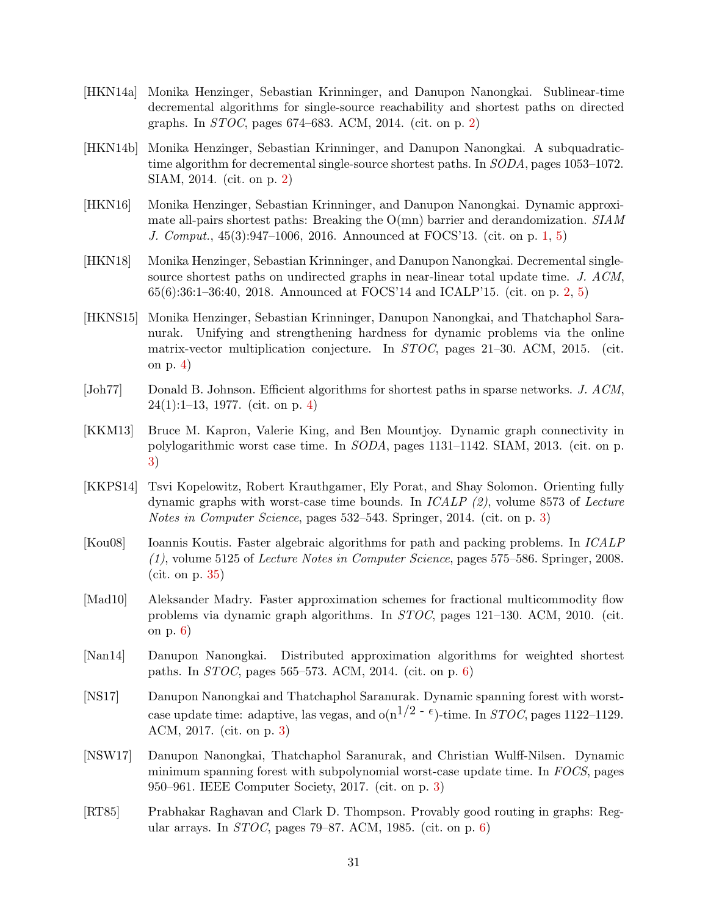- <span id="page-32-2"></span>[HKN14a] Monika Henzinger, Sebastian Krinninger, and Danupon Nanongkai. Sublinear-time decremental algorithms for single-source reachability and shortest paths on directed graphs. In STOC, pages 674–683. ACM, 2014. (cit. on p. [2\)](#page-3-5)
- <span id="page-32-3"></span>[HKN14b] Monika Henzinger, Sebastian Krinninger, and Danupon Nanongkai. A subquadratictime algorithm for decremental single-source shortest paths. In  $SODA$ , pages 1053–1072. SIAM, 2014. (cit. on p. [2\)](#page-3-5)
- <span id="page-32-0"></span>[HKN16] Monika Henzinger, Sebastian Krinninger, and Danupon Nanongkai. Dynamic approximate all-pairs shortest paths: Breaking the  $O(mn)$  barrier and derandomization.  $SIAM$ J. Comput., 45(3):947–1006, 2016. Announced at FOCS'13. (cit. on p. [1,](#page-2-6) [5\)](#page-6-1)
- <span id="page-32-1"></span>[HKN18] Monika Henzinger, Sebastian Krinninger, and Danupon Nanongkai. Decremental singlesource shortest paths on undirected graphs in near-linear total update time. J. ACM, 65(6):36:1–36:40, 2018. Announced at FOCS'14 and ICALP'15. (cit. on p. [2,](#page-3-5) [5\)](#page-6-1)
- <span id="page-32-9"></span>[HKNS15] Monika Henzinger, Sebastian Krinninger, Danupon Nanongkai, and Thatchaphol Saranurak. Unifying and strengthening hardness for dynamic problems via the online matrix-vector multiplication conjecture. In STOC, pages 21–30. ACM, 2015. (cit. on p. [4\)](#page-5-1)
- <span id="page-32-8"></span>[Joh77] Donald B. Johnson. Efficient algorithms for shortest paths in sparse networks. J. ACM, 24(1):1–13, 1977. (cit. on p. [4\)](#page-5-1)
- <span id="page-32-6"></span>[KKM13] Bruce M. Kapron, Valerie King, and Ben Mountjoy. Dynamic graph connectivity in polylogarithmic worst case time. In SODA, pages 1131–1142. SIAM, 2013. (cit. on p. [3\)](#page-4-3)
- <span id="page-32-7"></span>[KKPS14] Tsvi Kopelowitz, Robert Krauthgamer, Ely Porat, and Shay Solomon. Orienting fully dynamic graphs with worst-case time bounds. In  $ICALP$  (2), volume 8573 of Lecture Notes in Computer Science, pages 532–543. Springer, 2014. (cit. on p. [3\)](#page-4-3)
- <span id="page-32-13"></span>[Kou08] Ioannis Koutis. Faster algebraic algorithms for path and packing problems. In ICALP (1), volume 5125 of Lecture Notes in Computer Science, pages 575–586. Springer, 2008. (cit. on p. [35\)](#page-36-1)
- <span id="page-32-10"></span>[Mad10] Aleksander Madry. Faster approximation schemes for fractional multicommodity flow problems via dynamic graph algorithms. In STOC, pages 121–130. ACM, 2010. (cit. on p. [6\)](#page-7-3)
- <span id="page-32-12"></span>[Nan14] Danupon Nanongkai. Distributed approximation algorithms for weighted shortest paths. In STOC, pages 565–573. ACM, 2014. (cit. on p. [6\)](#page-7-3)
- <span id="page-32-5"></span>[NS17] Danupon Nanongkai and Thatchaphol Saranurak. Dynamic spanning forest with worstcase update time: adaptive, las vegas, and  $o(n^{1/2 - \epsilon})$ -time. In *STOC*, pages 1122–1129. ACM, 2017. (cit. on p. [3\)](#page-4-3)
- <span id="page-32-4"></span>[NSW17] Danupon Nanongkai, Thatchaphol Saranurak, and Christian Wulff-Nilsen. Dynamic minimum spanning forest with subpolynomial worst-case update time. In FOCS, pages 950–961. IEEE Computer Society, 2017. (cit. on p. [3\)](#page-4-3)
- <span id="page-32-11"></span>[RT85] Prabhakar Raghavan and Clark D. Thompson. Provably good routing in graphs: Regular arrays. In  $STOC$ , pages 79–87. ACM, 1985. (cit. on p. [6\)](#page-7-3)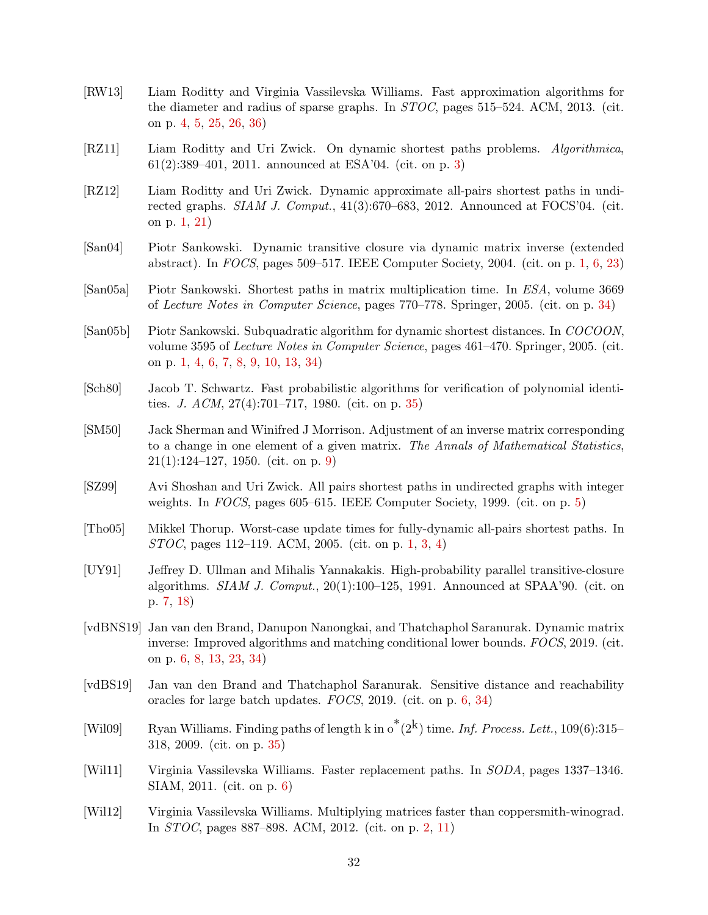- <span id="page-33-6"></span>[RW13] Liam Roditty and Virginia Vassilevska Williams. Fast approximation algorithms for the diameter and radius of sparse graphs. In STOC, pages 515–524. ACM, 2013. (cit. on p. [4,](#page-5-1) [5,](#page-6-1) [25,](#page-26-3) [26,](#page-27-1) [36\)](#page-37-2)
- <span id="page-33-5"></span>[RZ11] Liam Roditty and Uri Zwick. On dynamic shortest paths problems. Algorithmica, 61(2):389–401, 2011. announced at ESA'04. (cit. on p. [3\)](#page-4-3)
- <span id="page-33-0"></span>[RZ12] Liam Roditty and Uri Zwick. Dynamic approximate all-pairs shortest paths in undirected graphs.  $SIAM$  J. Comput., 41(3):670–683, 2012. Announced at FOCS'04. (cit. on p. [1,](#page-2-6) [21\)](#page-22-2)
- <span id="page-33-1"></span>[San04] Piotr Sankowski. Dynamic transitive closure via dynamic matrix inverse (extended abstract). In FOCS, pages 509–517. IEEE Computer Society, 2004. (cit. on p. [1,](#page-2-6) [6,](#page-7-3) [23\)](#page-24-5)
- <span id="page-33-13"></span>[San05a] Piotr Sankowski. Shortest paths in matrix multiplication time. In ESA, volume 3669 of Lecture Notes in Computer Science, pages 770–778. Springer, 2005. (cit. on p. [34\)](#page-35-2)
- <span id="page-33-2"></span>[San05b] Piotr Sankowski. Subquadratic algorithm for dynamic shortest distances. In COCOON, volume 3595 of *Lecture Notes in Computer Science*, pages 461–470. Springer, 2005. (cit. on p. [1,](#page-2-6) [4,](#page-5-1) [6,](#page-7-3) [7,](#page-8-3) [8,](#page-9-5) [9,](#page-10-1) [10,](#page-11-0) [13,](#page-14-5) [34\)](#page-35-2)
- <span id="page-33-14"></span>[Sch80] Jacob T. Schwartz. Fast probabilistic algorithms for verification of polynomial identities. J.  $ACM$ ,  $27(4)$ :701–717, 1980. (cit. on p. [35\)](#page-36-1)
- <span id="page-33-12"></span>[SM50] Jack Sherman and Winifred J Morrison. Adjustment of an inverse matrix corresponding to a change in one element of a given matrix. The Annals of Mathematical Statistics, 21(1):124–127, 1950. (cit. on p. [9\)](#page-10-1)
- <span id="page-33-7"></span>[SZ99] Avi Shoshan and Uri Zwick. All pairs shortest paths in undirected graphs with integer weights. In FOCS, pages 605–615. IEEE Computer Society, 1999. (cit. on p. [5\)](#page-6-1)
- <span id="page-33-3"></span>[Tho05] Mikkel Thorup. Worst-case update times for fully-dynamic all-pairs shortest paths. In STOC, pages 112–119. ACM, 2005. (cit. on p. [1,](#page-2-6) [3,](#page-4-3) [4\)](#page-5-1)
- <span id="page-33-11"></span>[UY91] Jeffrey D. Ullman and Mihalis Yannakakis. High-probability parallel transitive-closure algorithms.  $SIAM$  J. Comput.,  $20(1):100-125$ , 1991. Announced at SPAA'90. (cit. on p. [7,](#page-8-3) [18\)](#page-19-4)
- <span id="page-33-9"></span>[vdBNS19] Jan van den Brand, Danupon Nanongkai, and Thatchaphol Saranurak. Dynamic matrix inverse: Improved algorithms and matching conditional lower bounds. FOCS, 2019. (cit. on p. [6,](#page-7-3) [8,](#page-9-5) [13,](#page-14-5) [23,](#page-24-5) [34\)](#page-35-2)
- <span id="page-33-10"></span>[vdBS19] Jan van den Brand and Thatchaphol Saranurak. Sensitive distance and reachability oracles for large batch updates. FOCS, 2019. (cit. on p. [6,](#page-7-3) [34\)](#page-35-2)
- <span id="page-33-15"></span>[Wil09] Ryan Williams. Finding paths of length k in  $\sigma^*(2^k)$  time. Inf. Process. Lett., 109(6):315– 318, 2009. (cit. on p. [35\)](#page-36-1)
- <span id="page-33-8"></span>[Wil11] Virginia Vassilevska Williams. Faster replacement paths. In SODA, pages 1337–1346. SIAM, 2011. (cit. on p. [6\)](#page-7-3)
- <span id="page-33-4"></span>[Wil12] Virginia Vassilevska Williams. Multiplying matrices faster than coppersmith-winograd. In STOC, pages 887–898. ACM, 2012. (cit. on p. [2,](#page-3-5) [11\)](#page-12-2)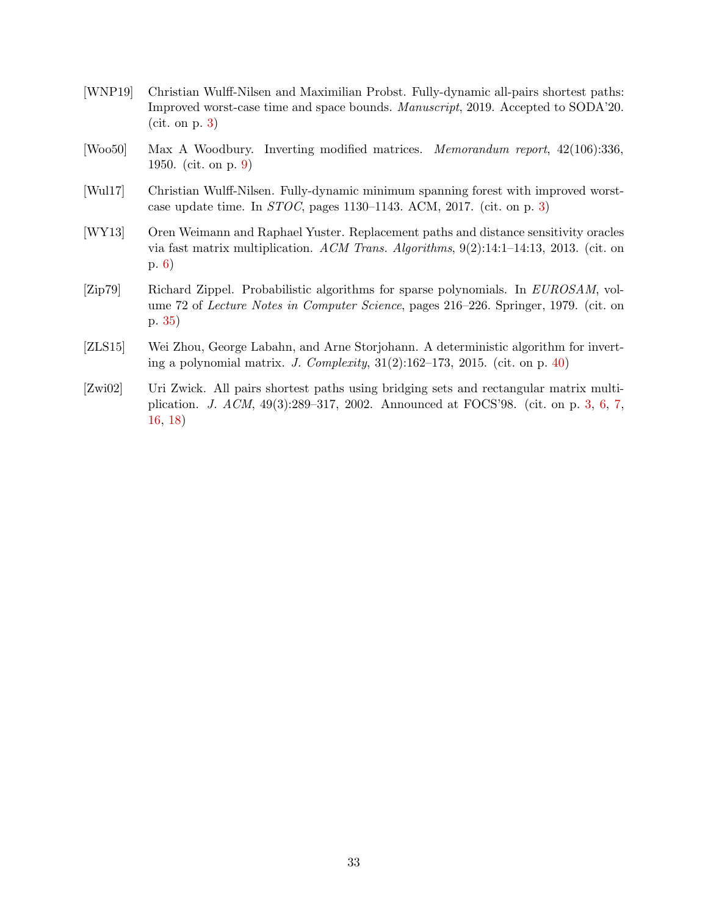- <span id="page-34-0"></span>[WNP19] Christian Wulff-Nilsen and Maximilian Probst. Fully-dynamic all-pairs shortest paths: Improved worst-case time and space bounds. Manuscript, 2019. Accepted to SODA'20. (cit. on p. [3\)](#page-4-3)
- <span id="page-34-4"></span>[Woo50] Max A Woodbury. Inverting modified matrices. Memorandum report, 42(106):336, 1950. (cit. on p. [9\)](#page-10-1)
- <span id="page-34-2"></span>[Wul17] Christian Wulff-Nilsen. Fully-dynamic minimum spanning forest with improved worstcase update time. In  $STOC$ , pages 1130–1143. ACM, 2017. (cit. on p. [3\)](#page-4-3)
- <span id="page-34-3"></span>[WY13] Oren Weimann and Raphael Yuster. Replacement paths and distance sensitivity oracles via fast matrix multiplication. ACM Trans. Algorithms,  $9(2):14:1-14:13$ , 2013. (cit. on p. [6\)](#page-7-3)
- <span id="page-34-5"></span>[Zip79] Richard Zippel. Probabilistic algorithms for sparse polynomials. In EUROSAM, volume 72 of Lecture Notes in Computer Science, pages 216–226. Springer, 1979. (cit. on p. [35\)](#page-36-1)
- <span id="page-34-6"></span>[ZLS15] Wei Zhou, George Labahn, and Arne Storjohann. A deterministic algorithm for inverting a polynomial matrix. J. Complexity,  $31(2):162-173$ ,  $2015$ . (cit. on p. [40\)](#page-41-0)
- <span id="page-34-1"></span>[Zwi02] Uri Zwick. All pairs shortest paths using bridging sets and rectangular matrix multiplication. J. ACM, 49(3):289–317, 2002. Announced at FOCS'98. (cit. on p. [3,](#page-4-3) [6,](#page-7-3) [7,](#page-8-3) [16,](#page-17-4) [18\)](#page-19-4)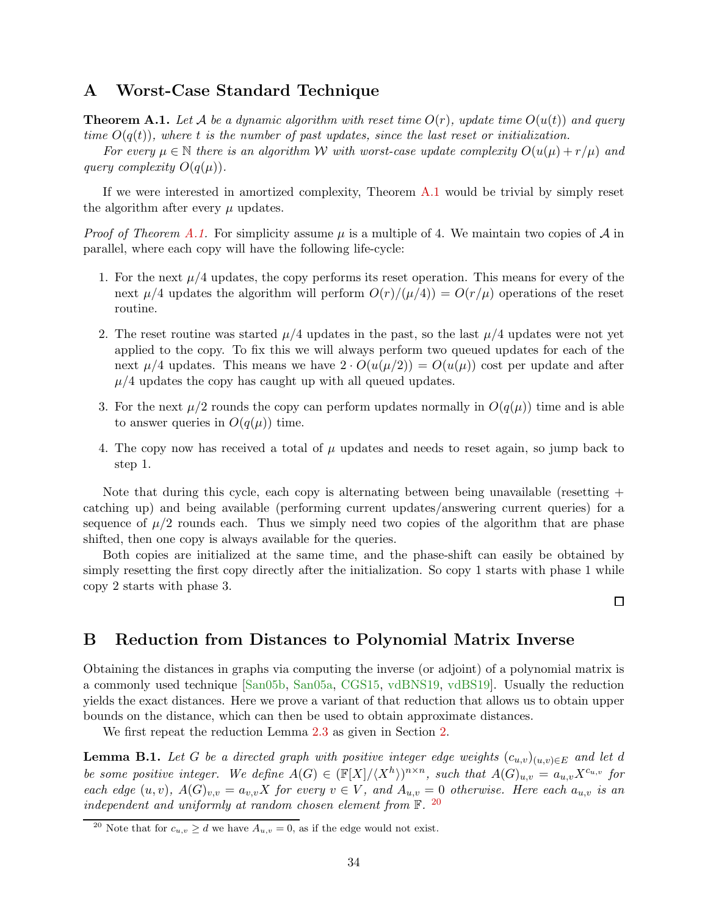### <span id="page-35-3"></span><span id="page-35-2"></span><span id="page-35-0"></span>A Worst-Case Standard Technique

**Theorem A.1.** Let A be a dynamic algorithm with reset time  $O(r)$ , update time  $O(u(t))$  and query time  $O(q(t))$ , where t is the number of past updates, since the last reset or initialization.

For every  $\mu \in \mathbb{N}$  there is an algorithm W with worst-case update complexity  $O(u(\mu) + r/\mu)$  and query complexity  $O(q(\mu))$ .

If we were interested in amortized complexity, Theorem [A.1](#page-35-3) would be trivial by simply reset the algorithm after every  $\mu$  updates.

*Proof of Theorem [A.1.](#page-35-3)* For simplicity assume  $\mu$  is a multiple of 4. We maintain two copies of A in parallel, where each copy will have the following life-cycle:

- 1. For the next  $\mu/4$  updates, the copy performs its reset operation. This means for every of the next  $\mu/4$  updates the algorithm will perform  $O(r)/(\mu/4) = O(r/\mu)$  operations of the reset routine.
- 2. The reset routine was started  $\mu/4$  updates in the past, so the last  $\mu/4$  updates were not yet applied to the copy. To fix this we will always perform two queued updates for each of the next  $\mu/4$  updates. This means we have  $2 \cdot O(u(\mu/2)) = O(u(\mu))$  cost per update and after  $\mu/4$  updates the copy has caught up with all queued updates.
- 3. For the next  $\mu/2$  rounds the copy can perform updates normally in  $O(q(\mu))$  time and is able to answer queries in  $O(q(\mu))$  time.
- 4. The copy now has received a total of  $\mu$  updates and needs to reset again, so jump back to step 1.

Note that during this cycle, each copy is alternating between being unavailable (resetting + catching up) and being available (performing current updates/answering current queries) for a sequence of  $\mu/2$  rounds each. Thus we simply need two copies of the algorithm that are phase shifted, then one copy is always available for the queries.

Both copies are initialized at the same time, and the phase-shift can easily be obtained by simply resetting the first copy directly after the initialization. So copy 1 starts with phase 1 while copy 2 starts with phase 3.

口

### <span id="page-35-1"></span>B Reduction from Distances to Polynomial Matrix Inverse

Obtaining the distances in graphs via computing the inverse (or adjoint) of a polynomial matrix is a commonly used technique [\[San05b,](#page-33-2) [San05a,](#page-33-13) [CGS15,](#page-31-9) [vdBNS19,](#page-33-9) [vdBS19\]](#page-33-10). Usually the reduction yields the exact distances. Here we prove a variant of that reduction that allows us to obtain upper bounds on the distance, which can then be used to obtain approximate distances.

We first repeat the reduction Lemma [2.3](#page-9-2) as given in Section [2.](#page-7-0)

**Lemma B.1.** Let G be a directed graph with positive integer edge weights  $(c_{u,v})_{(u,v)\in E}$  and let d be some positive integer. We define  $A(G) \in (\mathbb{F}[X]/\langle X^h \rangle)^{n \times n}$ , such that  $A(G)_{u,v} = a_{u,v} X^{c_{u,v}}$  for each edge  $(u, v)$ ,  $A(G)_{v, v} = a_{v, v} X$  for every  $v \in V$ , and  $A_{u, v} = 0$  otherwise. Here each  $a_{u, v}$  is an independent and uniformly at random chosen element from  $\mathbb{F}$ . <sup>[20](#page-35-4)</sup>

<span id="page-35-4"></span><sup>&</sup>lt;sup>20</sup> Note that for  $c_{u,v} \ge d$  we have  $A_{u,v} = 0$ , as if the edge would not exist.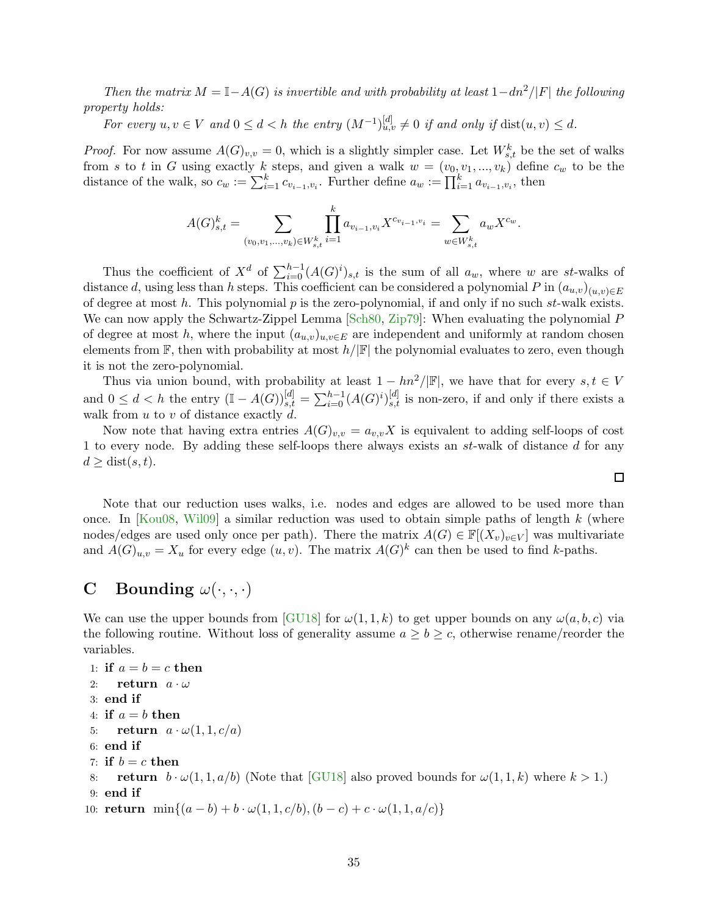<span id="page-36-1"></span>Then the matrix  $M = \mathbb{I} - A(G)$  is invertible and with probability at least  $1 - dn^2/|F|$  the following property holds:

For every  $u, v \in V$  and  $0 \le d < h$  the entry  $(M^{-1})_{u, v}^{[d]} \ne 0$  if and only if  $dist(u, v) \le d$ .

*Proof.* For now assume  $A(G)_{v,v} = 0$ , which is a slightly simpler case. Let  $W_{s,t}^k$  be the set of walks from s to t in G using exactly k steps, and given a walk  $w = (v_0, v_1, ..., v_k)$  define  $c_w$  to be the distance of the walk, so  $c_w := \sum_{i=1}^k c_{v_{i-1}, v_i}$ . Further define  $a_w := \prod_{i=1}^k a_{v_{i-1}, v_i}$ , then

$$
A(G)_{s,t}^k = \sum_{(v_0, v_1, \dots, v_k) \in W_{s,t}^k} \prod_{i=1}^k a_{v_{i-1}, v_i} X^{c_{v_{i-1}, v_i}} = \sum_{w \in W_{s,t}^k} a_w X^{c_w}.
$$

Thus the coefficient of  $X^d$  of  $\sum_{i=0}^{h-1} (A(G)^i)_{s,t}$  is the sum of all  $a_w$ , where w are st-walks of distance d, using less than h steps. This coefficient can be considered a polynomial P in  $(a_{u,v})_{(u,v)\in E}$ of degree at most  $h$ . This polynomial  $p$  is the zero-polynomial, if and only if no such  $st$ -walk exists. We can now apply the Schwartz-Zippel Lemma [\[Sch80,](#page-33-14) [Zip79\]](#page-34-5): When evaluating the polynomial P of degree at most h, where the input  $(a_{u,v})_{u,v\in E}$  are independent and uniformly at random chosen elements from  $\mathbb F$ , then with probability at most  $h/|\mathbb F|$  the polynomial evaluates to zero, even though it is not the zero-polynomial.

Thus via union bound, with probability at least  $1 - \frac{hn^2}{\mathbb{F}}$ , we have that for every  $s, t \in V$ and  $0 \leq d < h$  the entry  $(\mathbb{I} - A(G))_{s,t}^{[d]} = \sum_{i=0}^{h-1} (A(G)^i)_{s,t}^{[d]}$  is non-zero, if and only if there exists a walk from  $u$  to  $v$  of distance exactly  $\ddot{d}$ .

Now note that having extra entries  $A(G)_{v,v} = a_{v,v}X$  is equivalent to adding self-loops of cost 1 to every node. By adding these self-loops there always exists an st-walk of distance d for any  $d \geq \text{dist}(s, t).$ 

Note that our reduction uses walks, i.e. nodes and edges are allowed to be used more than once. In [\[Kou08,](#page-32-13) [Wil09\]](#page-33-15) a similar reduction was used to obtain simple paths of length  $k$  (where nodes/edges are used only once per path). There the matrix  $A(G) \in \mathbb{F}[(X_v)_{v \in V}]$  was multivariate and  $A(G)_{u,v} = X_u$  for every edge  $(u, v)$ . The matrix  $A(G)^k$  can then be used to find k-paths.

## <span id="page-36-0"></span>C Bounding  $\omega(\cdot,\cdot,\cdot)$

We can use the upper bounds from [\[GU18\]](#page-31-13) for  $\omega(1,1,k)$  to get upper bounds on any  $\omega(a,b,c)$  via the following routine. Without loss of generality assume  $a \geq b \geq c$ , otherwise rename/reorder the variables.

```
1: if a = b = c then
2: return a \cdot \omega3: end if
4: if a = b then
5: return a \cdot \omega(1, 1, c/a)6: end if
7: if b = c then
8: return b \cdot \omega(1, 1, a/b) [GU18] also proved bounds for \omega(1, 1, k) where k > 1.)
9: end if
10: return \min\{(a-b)+b\cdot\omega(1,1,c/b), (b-c)+c\cdot\omega(1,1,a/c)\}
```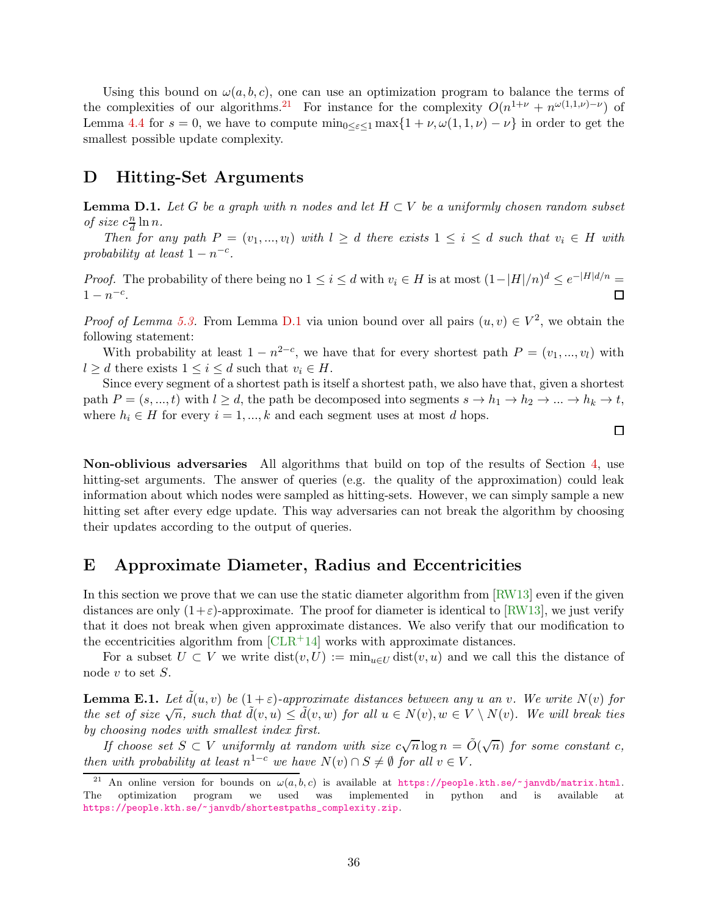<span id="page-37-2"></span>Using this bound on  $\omega(a, b, c)$ , one can use an optimization program to balance the terms of the complexities of our algorithms.<sup>[21](#page-37-3)</sup> For instance for the complexity  $O(n^{1+\nu} + n^{\omega(1,1,\nu)-\nu})$  of Lemma [4.4](#page-14-1) for  $s = 0$ , we have to compute  $\min_{0 \leq \varepsilon \leq 1} \max\{1 + \nu, \omega(1, 1, \nu) - \nu\}$  in order to get the smallest possible update complexity.

### <span id="page-37-4"></span><span id="page-37-0"></span>D Hitting-Set Arguments

**Lemma D.1.** Let G be a graph with n nodes and let  $H \subset V$  be a uniformly chosen random subset of size  $c \frac{n}{d}$  $\frac{n}{d}\ln n$ .

Then for any path  $P = (v_1, ..., v_l)$  with  $l \geq d$  there exists  $1 \leq i \leq d$  such that  $v_i \in H$  with probability at least  $1 - n^{-c}$ .

*Proof.* The probability of there being no  $1 \leq i \leq d$  with  $v_i \in H$  is at most  $(1-|H|/n)^d \leq e^{-|H|d/n} =$  $1 - n^{-c}$ .  $\Box$ 

*Proof of Lemma [5.3.](#page-19-1)* From Lemma [D.1](#page-37-4) via union bound over all pairs  $(u, v) \in V^2$ , we obtain the following statement:

With probability at least  $1 - n^{2-c}$ , we have that for every shortest path  $P = (v_1, ..., v_l)$  with  $l \geq d$  there exists  $1 \leq i \leq d$  such that  $v_i \in H$ .

Since every segment of a shortest path is itself a shortest path, we also have that, given a shortest path  $P = (s, ..., t)$  with  $l \geq d$ , the path be decomposed into segments  $s \to h_1 \to h_2 \to ... \to h_k \to t$ , where  $h_i \in H$  for every  $i = 1, ..., k$  and each segment uses at most d hops.

 $\Box$ 

Non-oblivious adversaries All algorithms that build on top of the results of Section [4,](#page-13-0) use hitting-set arguments. The answer of queries (e.g. the quality of the approximation) could leak information about which nodes were sampled as hitting-sets. However, we can simply sample a new hitting set after every edge update. This way adversaries can not break the algorithm by choosing their updates according to the output of queries.

### <span id="page-37-1"></span>E Approximate Diameter, Radius and Eccentricities

In this section we prove that we can use the static diameter algorithm from  $\lfloor \text{RW13} \rfloor$  even if the given distances are only  $(1+\varepsilon)$ -approximate. The proof for diameter is identical to [\[RW13\]](#page-33-6), we just verify that it does not break when given approximate distances. We also verify that our modification to the eccentricities algorithm from  $\text{[CLR+14]}$  works with approximate distances.

<span id="page-37-5"></span>For a subset  $U \subset V$  we write  $dist(v, U) := min_{u \in U} dist(v, u)$  and we call this the distance of node  $v$  to set  $S$ .

**Lemma E.1.** Let  $\tilde{d}(u, v)$  be  $(1 + \varepsilon)$ -approximate distances between any u an v. We write  $N(v)$  for the set of size  $\sqrt{n}$ , such that  $\tilde{d}(v, u) \leq \tilde{d}(v, w)$  for all  $u \in N(v)$ ,  $w \in V \setminus N(v)$ . We will break ties by choosing nodes with smallest index first.

If choose set  $S \subset V$  uniformly at random with size  $c\sqrt{n}\log n = \tilde{O}(\sqrt{n})$  for some constant c, then with probability at least  $n^{1-c}$  we have  $N(v) \cap S \neq \emptyset$  for all  $v \in V$ .

<span id="page-37-3"></span><sup>&</sup>lt;sup>21</sup> An online version for bounds on  $\omega(a, b, c)$  is available at <https://people.kth.se/~janvdb/matrix.html>.<br>he optimization program we used was implemented in python and is available at The optimization program we used was implemented in python and is available at [https://people.kth.se/~janvdb/shortestpaths\\_complexity.zip](https://people.kth.se/~janvdb/shortestpaths_complexity.zip).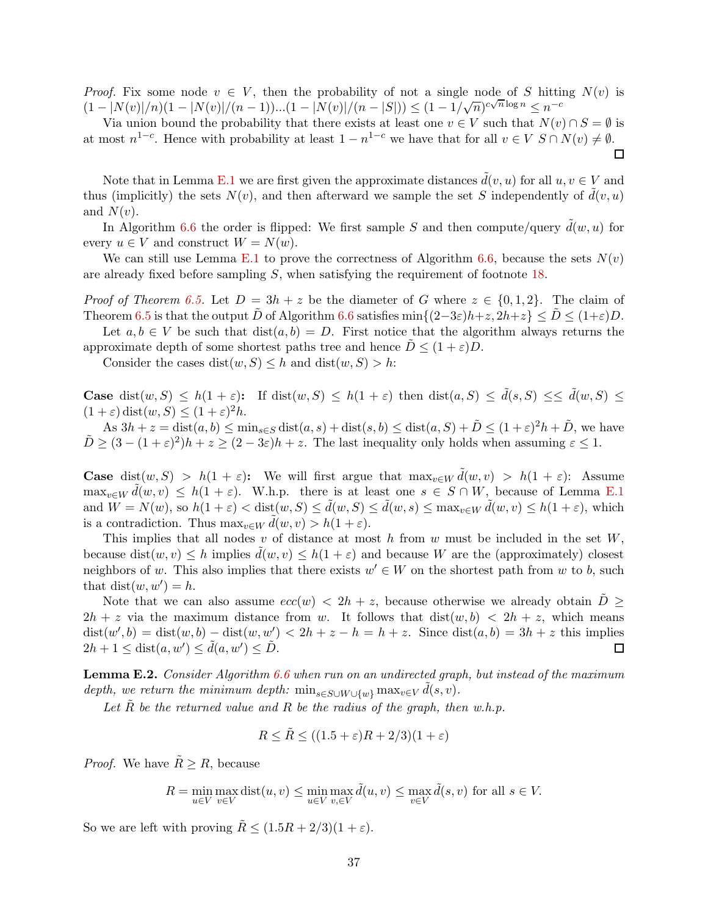*Proof.* Fix some node  $v \in V$ , then the probability of not a single node of S hitting  $N(v)$  is  $(1 - |N(v)|/n)(1 - |N(v)|/(n-1))...(1 - |N(v)|/(n-|S|)) \leq (1 - 1/\sqrt{n})^{c\sqrt{n}\log n} \leq n^{-c}$ 

Via union bound the probability that there exists at least one  $v \in V$  such that  $N(v) \cap S = \emptyset$  is at most  $n^{1-c}$ . Hence with probability at least  $1 - n^{1-c}$  we have that for all  $v \in V$   $S \cap N(v) \neq \emptyset$ .

Note that in Lemma [E.1](#page-37-5) we are first given the approximate distances  $\tilde{d}(v, u)$  for all  $u, v \in V$  and thus (implicitly) the sets  $N(v)$ , and then afterward we sample the set S independently of  $d(v, u)$ and  $N(v)$ .

In Algorithm [6.6](#page-26-2) the order is flipped: We first sample S and then compute/query  $d(w, u)$  for every  $u \in V$  and construct  $W = N(w)$ .

We can still use Lemma [E.1](#page-37-5) to prove the correctness of Algorithm [6.6,](#page-26-2) because the sets  $N(v)$ are already fixed before sampling S, when satisfying the requirement of footnote [18.](#page-27-0)

*Proof of Theorem [6.5.](#page-26-1)* Let  $D = 3h + z$  be the diameter of G where  $z \in \{0, 1, 2\}$ . The claim of Theorem [6.5](#page-26-1) is that the output D of Algorithm [6.6](#page-26-2) satisfies min $\{(2-3\varepsilon)h+z, 2h+z\}\leq D\leq (1+\varepsilon)D$ .

Let  $a, b \in V$  be such that  $dist(a, b) = D$ . First notice that the algorithm always returns the approximate depth of some shortest paths tree and hence  $\tilde{D} \leq (1 + \varepsilon)D$ .

Consider the cases dist $(w, S) \leq h$  and dist $(w, S) > h$ :

**Case** dist $(w, S) \leq h(1 + \varepsilon)$ : If dist $(w, S) \leq h(1 + \varepsilon)$  then dist $(a, S) \leq \tilde{d}(s, S) \leq \tilde{d}(w, S) \leq$  $(1+\varepsilon)\operatorname{dist}(w, S) \le (1+\varepsilon)^2 h.$ 

As  $3h + z = \text{dist}(a, b) \le \min_{s \in S} \text{dist}(a, s) + \text{dist}(s, b) \le \text{dist}(a, S) + \tilde{D} \le (1 + \varepsilon)^2 h + \tilde{D}$ , we have  $\tilde{D} \geq (3 - (1 + \varepsilon)^2)h + z \geq (2 - 3\varepsilon)h + z$ . The last inequality only holds when assuming  $\varepsilon \leq 1$ .

**Case** dist $(w, S) > h(1 + \varepsilon)$ : We will first argue that  $\max_{v \in W} d(w, v) > h(1 + \varepsilon)$ : Assume  $\max_{v \in W} \tilde{d}(w, v) \leq h(1 + \varepsilon)$ . W.h.p. there is at least one  $s \in S \cap W$ , because of Lemma [E.1](#page-37-5) and  $W = N(w)$ , so  $h(1+\varepsilon) < \text{dist}(w, S) \le \tilde{d}(w, S) \le \tilde{d}(w, s) \le \max_{v \in W} \tilde{d}(w, v) \le h(1+\varepsilon)$ , which is a contradiction. Thus  $\max_{v \in W} \tilde{d}(w, v) > h(1 + \varepsilon)$ .

This implies that all nodes  $v$  of distance at most  $h$  from  $w$  must be included in the set  $W$ , because dist $(w, v) \leq h$  implies  $d(w, v) \leq h(1 + \varepsilon)$  and because W are the (approximately) closest neighbors of w. This also implies that there exists  $w' \in W$  on the shortest path from w to b, such that  $dist(w, w') = h$ .

Note that we can also assume  $ecc(w) < 2h + z$ , because otherwise we already obtain  $D \geq$  $2h + z$  via the maximum distance from w. It follows that  $dist(w, b) < 2h + z$ , which means  $dist(w', b) = dist(w, b) - dist(w, w') < 2h + z - h = h + z$ . Since  $dist(a, b) = 3h + z$  this implies  $2h + 1 \leq \text{dist}(a, w') \leq \tilde{d}(a, w') \leq \tilde{D}.$ 

<span id="page-38-0"></span>Lemma E.2. Consider Algorithm [6.6](#page-26-2) when run on an undirected graph, but instead of the maximum depth, we return the minimum depth:  $\min_{s \in S \cup W \cup \{w\}} \max_{v \in V} \tilde{d}(s, v)$ .

Let  $\tilde{R}$  be the returned value and R be the radius of the graph, then w.h.p.

$$
R \le R \le ((1.5 + \varepsilon)R + 2/3)(1 + \varepsilon)
$$

*Proof.* We have  $\tilde{R} \geq R$ , because

$$
R = \min_{u \in V} \max_{v \in V} \text{dist}(u, v) \le \min_{u \in V} \max_{v, \in V} \tilde{d}(u, v) \le \max_{v \in V} \tilde{d}(s, v) \text{ for all } s \in V.
$$

So we are left with proving  $\tilde{R} \leq (1.5R + 2/3)(1 + \varepsilon)$ .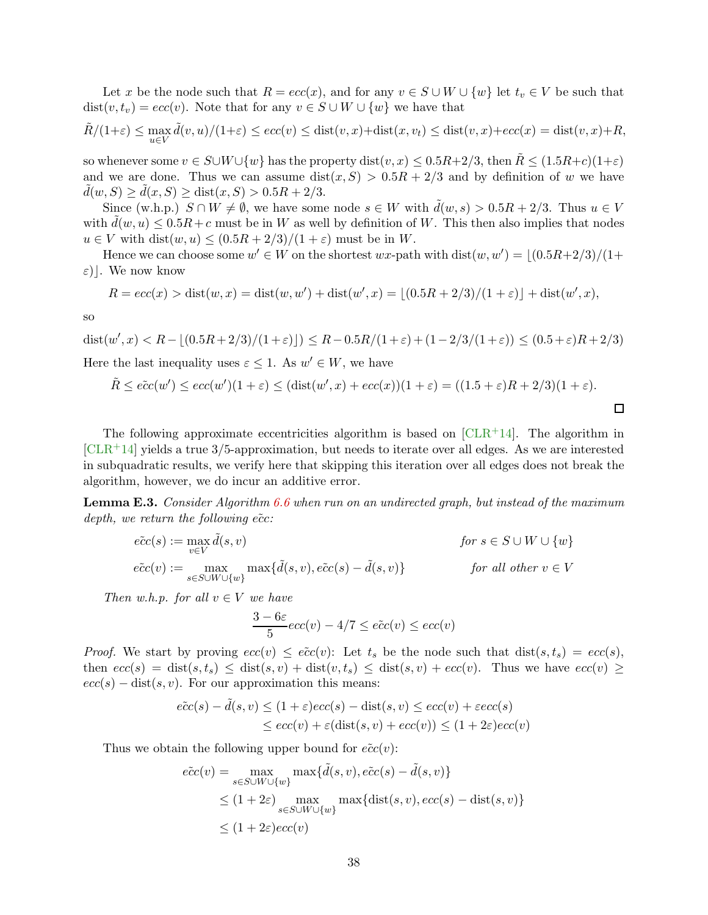<span id="page-39-1"></span>Let x be the node such that  $R = ecc(x)$ , and for any  $v \in S \cup W \cup \{w\}$  let  $t_v \in V$  be such that  $dist(v, t_v) = ecc(v)$ . Note that for any  $v \in S \cup W \cup \{w\}$  we have that

$$
\tilde{R}/(1+\varepsilon) \le \max_{u \in V} \tilde{d}(v, u)/(1+\varepsilon) \le \operatorname{ecc}(v) \le \operatorname{dist}(v, x) + \operatorname{dist}(x, v_t) \le \operatorname{dist}(v, x) + \operatorname{ecc}(x) = \operatorname{dist}(v, x) + R,
$$

so whenever some  $v \in S \cup W \cup \{w\}$  has the property dist $(v, x) \leq 0.5R+2/3$ , then  $\tilde{R} \leq (1.5R+c)(1+\varepsilon)$ and we are done. Thus we can assume  $dist(x, S) > 0.5R + 2/3$  and by definition of w we have  $d(w, S) \geq d(x, S) \geq \text{dist}(x, S) > 0.5R + 2/3.$ 

Since (w.h.p.)  $S \cap W \neq \emptyset$ , we have some node  $s \in W$  with  $d(w, s) > 0.5R + 2/3$ . Thus  $u \in V$ with  $d(w, u) \leq 0.5R + c$  must be in W as well by definition of W. This then also implies that nodes  $u \in V$  with  $dist(w, u) \leq (0.5R + 2/3)/(1 + \varepsilon)$  must be in W.

Hence we can choose some  $w' \in W$  on the shortest  $wx$ -path with  $dist(w, w') = \lfloor (0.5R + 2/3)/(1 +$  $\varepsilon$ ). We now know

$$
R = ecc(x) > dist(w, x) = dist(w, w') + dist(w', x) = \lfloor (0.5R + 2/3)/(1 + \varepsilon) \rfloor + dist(w', x),
$$

so

dist(w', x) < R -  $\lfloor (0.5R + 2/3)/(1 + \varepsilon) \rfloor$ )  $\le R - 0.5R/(1 + \varepsilon) + (1 - 2/3/(1 + \varepsilon)) \le (0.5 + \varepsilon)R + 2/3$ ) Here the last inequality uses  $\varepsilon \leq 1$ . As  $w' \in W$ , we have

$$
\tilde{R} \le \tilde{ecc}(w') \le \tilde{ecc}(w')(1+\varepsilon) \le (\text{dist}(w',x) + \text{ecc}(x))(1+\varepsilon) = ((1.5+\varepsilon)R + 2/3)(1+\varepsilon).
$$

The following approximate eccentricities algorithm is based on  $[CLR<sup>+</sup>14]$ . The algorithm in  $[CLR+14]$  $[CLR+14]$  yields a true 3/5-approximation, but needs to iterate over all edges. As we are interested in subquadratic results, we verify here that skipping this iteration over all edges does not break the algorithm, however, we do incur an additive error.

<span id="page-39-0"></span>**Lemma E.3.** Consider Algorithm [6.6](#page-26-2) when run on an undirected graph, but instead of the maximum depth, we return the following  $\tilde{ecc}$ :

$$
\begin{aligned}\n\tilde{ecc}(s) &:= \max_{v \in V} \tilde{d}(s, v) & \text{for } s \in S \cup W \cup \{w\} \\
\tilde{ecc}(v) &:= \max_{s \in S \cup W \cup \{w\}} \max\{\tilde{d}(s, v), e\tilde{c}c(s) - \tilde{d}(s, v)\} & \text{for all other } v \in V\n\end{aligned}
$$

Then w.h.p. for all  $v \in V$  we have

$$
\frac{3-6\varepsilon}{5}ecc(v) - 4/7 \leq \tilde{ecc}(v) \leq ecc(v)
$$

*Proof.* We start by proving  $ecc(v) \leq \tilde{ecc}(v)$ : Let  $t_s$  be the node such that  $dist(s, t_s) = ecc(s)$ , then  $ecc(s) = dist(s, t_s) \leq dist(s, v) + dist(v, t_s) \leq dist(s, v) + ecc(v)$ . Thus we have  $ecc(v) \geq$  $ecc(s) - dist(s, v)$ . For our approximation this means:

$$
\tilde{ecc}(s) - \tilde{d}(s, v) \le (1 + \varepsilon)ecc(s) - \text{dist}(s, v) \le ecc(v) + \varepsilon ecc(s)
$$
  

$$
\le ecc(v) + \varepsilon(\text{dist}(s, v) + ecc(v)) \le (1 + 2\varepsilon)ecc(v)
$$

Thus we obtain the following upper bound for  $\tilde{ecc}(v)$ :

$$
\begin{aligned}\n\tilde{ecc}(v) &= \max_{s \in S \cup W \cup \{w\}} \max\{\tilde{d}(s,v), \tilde{ecc}(s) - \tilde{d}(s,v)\} \\
&\le (1 + 2\varepsilon) \max_{s \in S \cup W \cup \{w\}} \max\{\text{dist}(s,v), \text{ecc}(s) - \text{dist}(s,v)\} \\
&\le (1 + 2\varepsilon)\text{ecc}(v)\n\end{aligned}
$$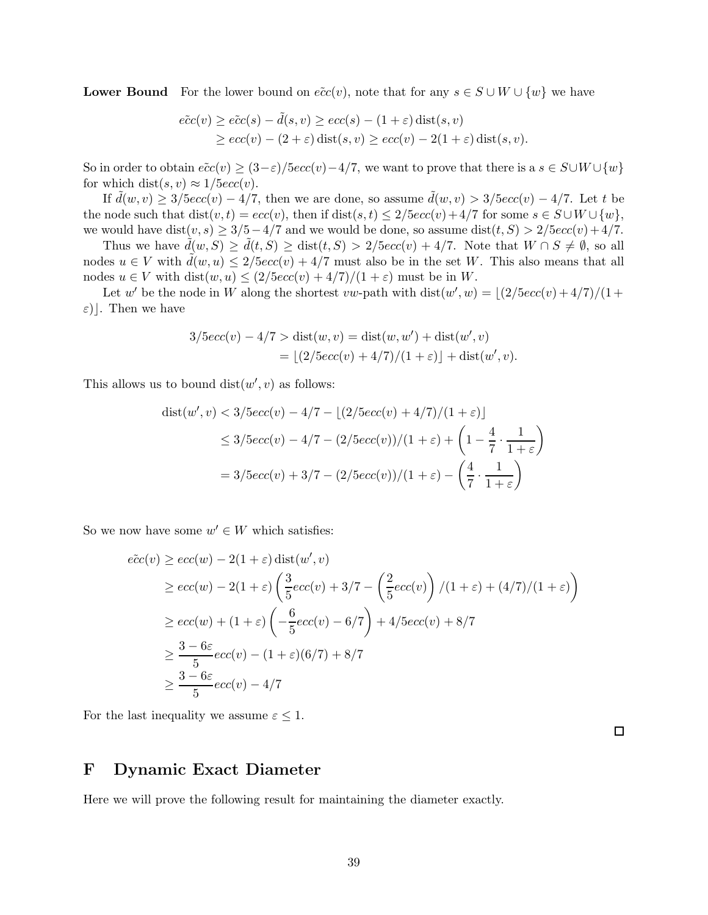**Lower Bound** For the lower bound on  $\tilde{ecc}(v)$ , note that for any  $s \in S \cup W \cup \{w\}$  we have

$$
\begin{aligned} \tilde{ecc}(v) &\ge \tilde{ecc}(s) - \tilde{d}(s, v) \ge \tilde{ecc}(s) - (1 + \varepsilon) \operatorname{dist}(s, v) \\ &\ge \tilde{ecc}(v) - (2 + \varepsilon) \operatorname{dist}(s, v) \ge \tilde{ecc}(v) - 2(1 + \varepsilon) \operatorname{dist}(s, v). \end{aligned}
$$

So in order to obtain  $\tilde{ecc}(v) \geq (3-\varepsilon)/5ecc(v)-4/7$ , we want to prove that there is a  $s \in S \cup W \cup \{w\}$ for which dist $(s, v) \approx 1/5$ ecc $(v)$ .

If  $\tilde{d}(w, v) \geq 3/5ecc(v) - 4/7$ , then we are done, so assume  $\tilde{d}(w, v) > 3/5ecc(v) - 4/7$ . Let t be the node such that dist $(v, t) = ecc(v)$ , then if  $dist(s, t) \leq 2/5ecc(v) + 4/7$  for some  $s \in S \cup W \cup \{w\}$ , we would have dist $(v, s) \geq 3/5 - 4/7$  and we would be done, so assume dist $(t, S) > 2/5$ ecc $(v) + 4/7$ .

Thus we have  $d(w, S) \geq d(t, S) \geq \text{dist}(t, S) > 2/5\epsilon c(c(v) + 4/7)$ . Note that  $W \cap S \neq \emptyset$ , so all nodes  $u \in V$  with  $\tilde{d}(w, u) \leq 2/5ecc(v) + 4/7$  must also be in the set W. This also means that all nodes  $u \in V$  with  $dist(w, u) \leq (2/5ecc(v) + 4/7)/(1 + \varepsilon)$  must be in W.

Let w' be the node in W along the shortest vw-path with  $dist(w', w) = \lfloor (2/5ecc(v) + 4/7)/(1 +$  $\varepsilon)$ . Then we have

$$
3/5ecc(v) - 4/7 > dist(w, v) = dist(w, w') + dist(w', v)
$$
  
=  $\lfloor (2/5ecc(v) + 4/7)/(1 + \varepsilon) \rfloor + dist(w', v).$ 

This allows us to bound  $dist(w', v)$  as follows:

$$
dist(w', v) < 3/5ecc(v) - 4/7 - \lfloor (2/5ecc(v) + 4/7)/(1 + \varepsilon) \rfloor
$$
\n
$$
\leq 3/5ecc(v) - 4/7 - (2/5ecc(v))/(1 + \varepsilon) + \left(1 - \frac{4}{7} \cdot \frac{1}{1 + \varepsilon}\right)
$$
\n
$$
= 3/5ecc(v) + 3/7 - (2/5ecc(v))/(1 + \varepsilon) - \left(\frac{4}{7} \cdot \frac{1}{1 + \varepsilon}\right)
$$

So we now have some  $w' \in W$  which satisfies:

$$
\begin{aligned}\n\tilde{c}c(v) &\geq \epsilon c(c(w) - 2(1+\varepsilon)\operatorname{dist}(w', v) \\
&\geq \epsilon c(c(w) - 2(1+\varepsilon)\left(\frac{3}{5}\epsilon c(c(v) + 3/7 - \left(\frac{2}{5}\epsilon c(c(v)\right)/(1+\varepsilon) + (4/7)/(1+\varepsilon)\right)\right) \\
&\geq \epsilon c(c(w) + (1+\varepsilon)\left(-\frac{6}{5}\epsilon c(c(v) - 6/7\right) + 4/5\epsilon c(c(v) + 8/7)\right. \\
&\geq \frac{3 - 6\varepsilon}{5}\epsilon c(c(v) - (1+\varepsilon)(6/7) + 8/7 \\
&\geq \frac{3 - 6\varepsilon}{5}\epsilon c(c(v) - 4/7\n\end{aligned}
$$

For the last inequality we assume  $\varepsilon \leq 1$ .

 $\Box$ 

### <span id="page-40-0"></span>F Dynamic Exact Diameter

<span id="page-40-1"></span>Here we will prove the following result for maintaining the diameter exactly.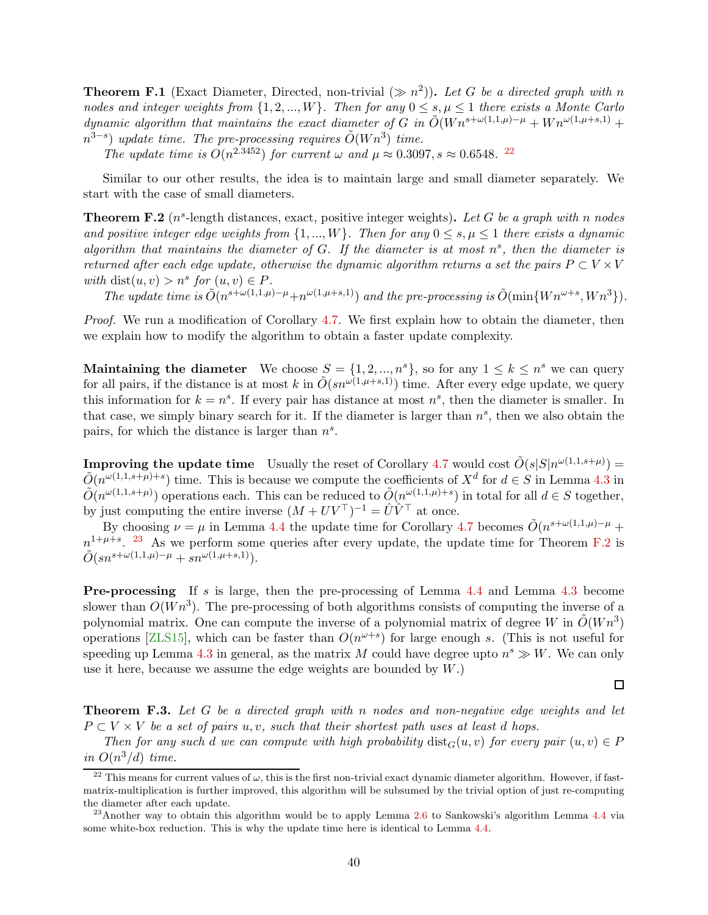<span id="page-41-0"></span>**Theorem F.1** (Exact Diameter, Directed, non-trivial  $(\gg n^2)$ ). Let G be a directed graph with n nodes and integer weights from  $\{1, 2, ..., W\}$ . Then for any  $0 \le s, \mu \le 1$  there exists a Monte Carlo dynamic algorithm that maintains the exact diameter of G in  $\tilde{O}(W n^{s+\omega(1,1,\mu)-\mu} + W n^{\omega(1,\mu+s,1)} +$  $n^{3-s}$ ) update time. The pre-processing requires  $\tilde{O}(Wn^3)$  time.

The update time is  $O(n^{2.3452})$  for current  $\omega$  and  $\mu \approx 0.3097$ ,  $s \approx 0.6548$ . <sup>[22](#page-41-1)</sup>

<span id="page-41-3"></span>Similar to our other results, the idea is to maintain large and small diameter separately. We start with the case of small diameters.

**Theorem F.2** ( $n^s$ -length distances, exact, positive integer weights). Let G be a graph with n nodes and positive integer edge weights from  $\{1, ..., W\}$ . Then for any  $0 \le s, \mu \le 1$  there exists a dynamic algorithm that maintains the diameter of  $G$ . If the diameter is at most  $n^s$ , then the diameter is returned after each edge update, otherwise the dynamic algorithm returns a set the pairs  $P \subset V \times V$ with dist $(u, v) > n^s$  for  $(u, v) \in P$ .

The update time is  $\tilde{O}(n^{s+\omega(1,1,\mu)-\mu}+n^{\omega(1,\mu+s,1)})$  and the pre-processing is  $\tilde{O}(\min\{Wn^{\omega+s}, Wn^3\})$ .

Proof. We run a modification of Corollary [4.7.](#page-17-1) We first explain how to obtain the diameter, then we explain how to modify the algorithm to obtain a faster update complexity.

Maintaining the diameter We choose  $S = \{1, 2, ..., n^s\}$ , so for any  $1 \leq k \leq n^s$  we can query for all pairs, if the distance is at most k in  $\tilde{O}(sn^{\omega(1,\mu+s,1)})$  time. After every edge update, we query this information for  $k = n<sup>s</sup>$ . If every pair has distance at most  $n<sup>s</sup>$ , then the diameter is smaller. In that case, we simply binary search for it. If the diameter is larger than  $n<sup>s</sup>$ , then we also obtain the pairs, for which the distance is larger than  $n<sup>s</sup>$ .

**Improving the update time** Usually the reset of Corollary [4.7](#page-17-1) would cost  $\tilde{O}(s|S|n^{\omega(1,1,s+\mu)}) =$  $\tilde{O}(n^{\omega(1,1,s+\mu)+s})$  time. This is because we compute the coefficients of  $X^d$  for  $d \in S$  in Lemma [4.3](#page-14-2) in  $\tilde{O}(n^{\omega(1,1,s+\mu)})$  operations each. This can be reduced to  $\tilde{O}(n^{\omega(1,1,\mu)+s})$  in total for all  $d \in S$  together, by just computing the entire inverse  $(M + UV^{\top})^{-1} = \hat{U}\hat{V}^{\top}$  at once.

By choosing  $\nu = \mu$  in Lemma [4.4](#page-14-1) the update time for Corollary [4.7](#page-17-1) becomes  $\tilde{O}(n^{s+\omega(1,1,\mu)-\mu} +$  $n^{1+\mu+s}$ . <sup>[23](#page-41-2)</sup> As we perform some queries after every update, the update time for Theorem [F.2](#page-41-3) is  $\tilde{O}(sn^{s+\omega(1,1,\mu)-\mu}+sn^{\omega(1,\mu+s,1)}).$ 

Pre-processing If s is large, then the pre-processing of Lemma [4.4](#page-14-1) and Lemma [4.3](#page-14-2) become slower than  $O(Wn^3)$ . The pre-processing of both algorithms consists of computing the inverse of a polynomial matrix. One can compute the inverse of a polynomial matrix of degree W in  $\tilde{O}(Wn^3)$ operations [\[ZLS15\]](#page-34-6), which can be faster than  $O(n^{\omega+s})$  for large enough s. (This is not useful for speeding up Lemma [4.3](#page-14-2) in general, as the matrix M could have degree upto  $n^s \gg W$ . We can only use it here, because we assume the edge weights are bounded by  $W$ .)

 $\Box$ 

<span id="page-41-4"></span>Theorem F.3. Let G be a directed graph with n nodes and non-negative edge weights and let  $P \subset V \times V$  be a set of pairs u, v, such that their shortest path uses at least d hops.

Then for any such d we can compute with high probability  $dist_G(u, v)$  for every pair  $(u, v) \in P$ in  $O(n^3/d)$  time.

<span id="page-41-1"></span><sup>&</sup>lt;sup>22</sup> This means for current values of  $\omega$ , this is the first non-trivial exact dynamic diameter algorithm. However, if fastmatrix-multiplication is further improved, this algorithm will be subsumed by the trivial option of just re-computing the diameter after each update.

<span id="page-41-2"></span> $^{23}$ Another way to obtain this algorithm would be to apply Lemma [2.6](#page-10-0) to Sankowski's algorithm Lemma [4.4](#page-14-1) via some white-box reduction. This is why the update time here is identical to Lemma [4.4.](#page-14-1)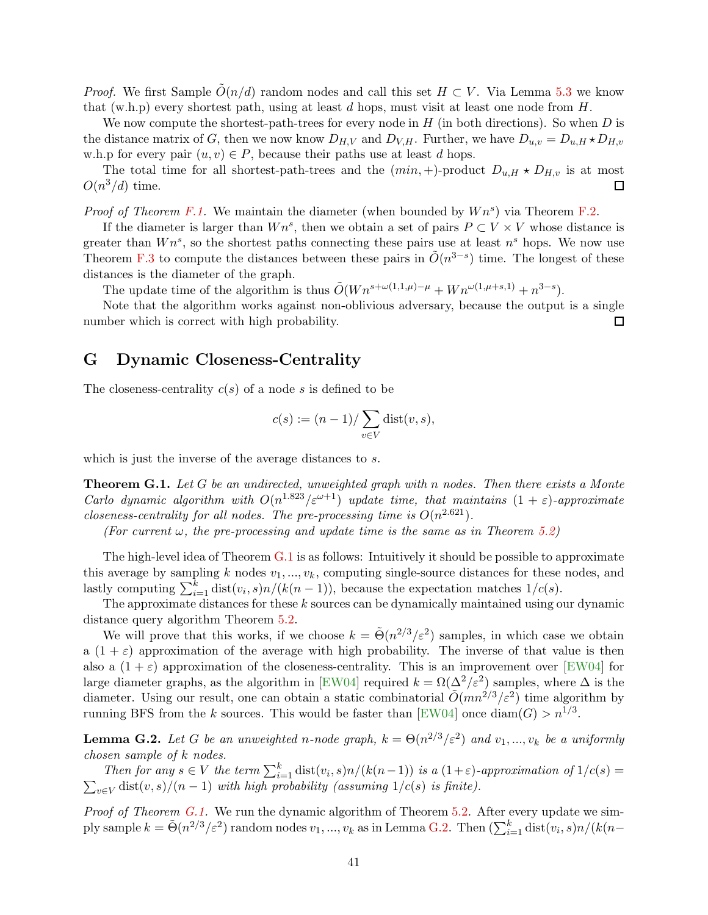<span id="page-42-1"></span>*Proof.* We first Sample  $O(n/d)$  random nodes and call this set  $H \subset V$ . Via Lemma [5.3](#page-19-1) we know that (w.h.p) every shortest path, using at least d hops, must visit at least one node from  $H$ .

We now compute the shortest-path-trees for every node in  $H$  (in both directions). So when  $D$  is the distance matrix of G, then we now know  $D_{H,V}$  and  $D_{V,H}$ . Further, we have  $D_{u,v} = D_{u,H} \star D_{H,v}$ w.h.p for every pair  $(u, v) \in P$ , because their paths use at least d hops.

The total time for all shortest-path-trees and the  $(min, +)$ -product  $D_{u,H} \star D_{H,v}$  is at most  $O(n^3/d)$  time. □

*Proof of Theorem [F.1.](#page-40-1)* We maintain the diameter (when bounded by  $Wn^s$ ) via Theorem [F.2.](#page-41-3)

If the diameter is larger than  $Wn^s$ , then we obtain a set of pairs  $P \subset V \times V$  whose distance is greater than  $Wn^s$ , so the shortest paths connecting these pairs use at least  $n^s$  hops. We now use Theorem [F.3](#page-41-4) to compute the distances between these pairs in  $\tilde{O}(n^{3-s})$  time. The longest of these distances is the diameter of the graph.

The update time of the algorithm is thus  $\tilde{O}(W n^{s+\omega(1,1,\mu)-\mu} + W n^{\omega(1,\mu+s,1)} + n^{3-s}).$ 

Note that the algorithm works against non-oblivious adversary, because the output is a single number which is correct with high probability. □

### <span id="page-42-0"></span>G Dynamic Closeness-Centrality

The closeness-centrality  $c(s)$  of a node s is defined to be

$$
c(s) := (n-1)/\sum_{v \in V} \text{dist}(v, s),
$$

<span id="page-42-2"></span>which is just the inverse of the average distances to s.

**Theorem G.1.** Let G be an undirected, unweighted graph with n nodes. Then there exists a Monte Carlo dynamic algorithm with  $O(n^{1.823}/\varepsilon^{\omega+1})$  update time, that maintains  $(1+\varepsilon)$ -approximate closeness-centrality for all nodes. The pre-processing time is  $O(n^{2.621})$ .

(For current  $\omega$ , the pre-processing and update time is the same as in Theorem [5.2\)](#page-19-0)

The high-level idea of Theorem  $G.1$  is as follows: Intuitively it should be possible to approximate this average by sampling k nodes  $v_1, ..., v_k$ , computing single-source distances for these nodes, and lastly computing  $\sum_{i=1}^{k} \text{dist}(v_i, s) n/(k(n-1))$ , because the expectation matches  $1/c(s)$ .

The approximate distances for these k sources can be dynamically maintained using our dynamic distance query algorithm Theorem [5.2.](#page-19-0)

We will prove that this works, if we choose  $k = \tilde{\Theta}(n^{2/3}/\varepsilon^2)$  samples, in which case we obtain a  $(1 + \varepsilon)$  approximation of the average with high probability. The inverse of that value is then also a  $(1 + \varepsilon)$  approximation of the closeness-centrality. This is an improvement over [\[EW04\]](#page-31-10) for large diameter graphs, as the algorithm in [\[EW04\]](#page-31-10) required  $k = \Omega(\Delta^2/\varepsilon^2)$  samples, where  $\Delta$  is the diameter. Using our result, one can obtain a static combinatorial  $\tilde{O}(mn^{2/3}/\varepsilon^2)$  time algorithm by running BFS from the k sources. This would be faster than [\[EW04\]](#page-31-10) once  $\text{diam}(G) > n^{1/3}$ .

<span id="page-42-3"></span>**Lemma G.2.** Let G be an unweighted n-node graph,  $k = \Theta(n^{2/3}/\varepsilon^2)$  and  $v_1, ..., v_k$  be a uniformly chosen sample of k nodes.

Then for any  $s \in V$  the term  $\sum_{i=1}^{k} dist(v_i, s)n/(k(n-1))$  is a  $(1+\varepsilon)$ -approximation of  $1/c(s)$  =  $\sum_{v \in V}$  dist $(v, s)/(n - 1)$  with high probability (assuming  $1/c(s)$  is finite).

*Proof of Theorem [G.1.](#page-42-2)* We run the dynamic algorithm of Theorem [5.2.](#page-19-0) After every update we simply sample  $k = \tilde{\Theta}(n^{2/3}/\varepsilon^2)$  random nodes  $v_1, ..., v_k$  as in Lemma [G.2.](#page-42-3) Then  $(\sum_{i=1}^k \text{dist}(v_i, s)n/(k(n-1)))$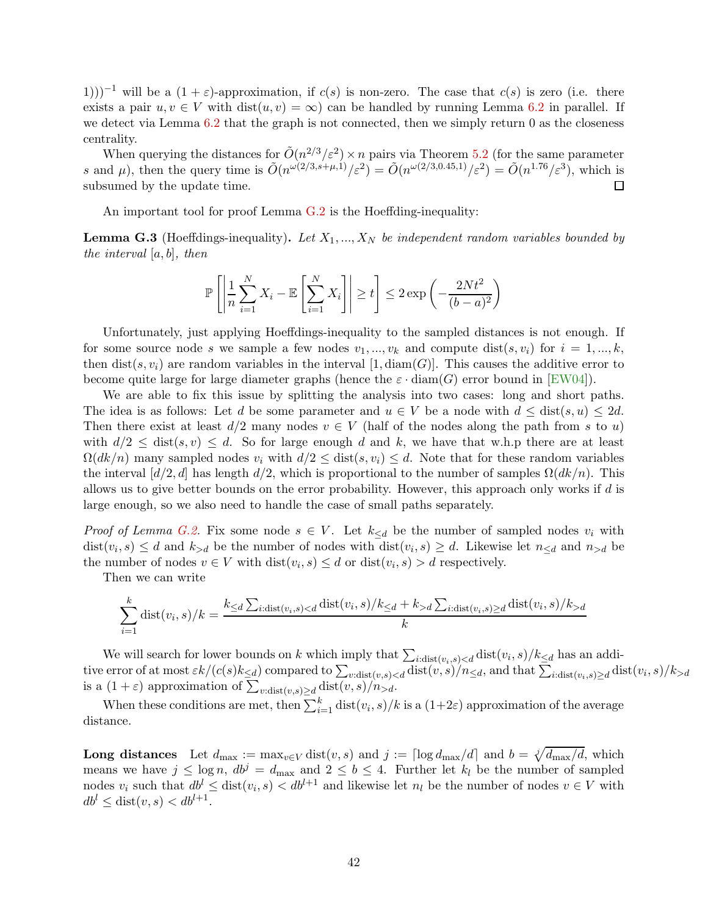<span id="page-43-0"></span>1)))<sup>-1</sup> will be a  $(1 + \varepsilon)$ -approximation, if  $c(s)$  is non-zero. The case that  $c(s)$  is zero (i.e. there exists a pair  $u, v \in V$  with  $dist(u, v) = \infty$  can be handled by running Lemma [6.2](#page-24-4) in parallel. If we detect via Lemma [6.2](#page-24-4) that the graph is not connected, then we simply return 0 as the closeness centrality.

When querying the distances for  $\tilde{O}(n^{2/3}/\varepsilon^2) \times n$  pairs via Theorem [5.2](#page-19-0) (for the same parameter s and  $\mu$ ), then the query time is  $\tilde{O}(n^{\omega(2/3,s+\mu,1)}/\varepsilon^2) = \tilde{O}(n^{\omega(2/3,0.45,1)}/\varepsilon^2) = \tilde{O}(n^{1.76}/\varepsilon^3)$ , which is subsumed by the update time. □

An important tool for proof Lemma [G.2](#page-42-3) is the Hoeffding-inequality:

**Lemma G.3** (Hoeffdings-inequality). Let  $X_1, ..., X_N$  be independent random variables bounded by the interval  $[a, b]$ , then

$$
\mathbb{P}\left[\left|\frac{1}{n}\sum_{i=1}^{N}X_i - \mathbb{E}\left[\sum_{i=1}^{N}X_i\right]\right| \ge t\right] \le 2\exp\left(-\frac{2Nt^2}{(b-a)^2}\right)
$$

Unfortunately, just applying Hoeffdings-inequality to the sampled distances is not enough. If for some source node s we sample a few nodes  $v_1, ..., v_k$  and compute  $dist(s, v_i)$  for  $i = 1, ..., k$ , then dist(s,  $v_i$ ) are random variables in the interval [1, diam(G)]. This causes the additive error to become quite large for large diameter graphs (hence the  $\varepsilon \cdot \text{diam}(G)$  error bound in [\[EW04\]](#page-31-10)).

We are able to fix this issue by splitting the analysis into two cases: long and short paths. The idea is as follows: Let d be some parameter and  $u \in V$  be a node with  $d \leq \text{dist}(s, u) \leq 2d$ . Then there exist at least  $d/2$  many nodes  $v \in V$  (half of the nodes along the path from s to u) with  $d/2 \leq \text{dist}(s, v) \leq d$ . So for large enough d and k, we have that w.h.p there are at least  $\Omega(dk/n)$  many sampled nodes  $v_i$  with  $d/2 \leq \text{dist}(s, v_i) \leq d$ . Note that for these random variables the interval  $\left[\frac{d}{2}, d\right]$  has length  $d/2$ , which is proportional to the number of samples  $\Omega(dk/n)$ . This allows us to give better bounds on the error probability. However, this approach only works if d is large enough, so we also need to handle the case of small paths separately.

*Proof of Lemma [G.2.](#page-42-3)* Fix some node  $s \in V$ . Let  $k_{\leq d}$  be the number of sampled nodes  $v_i$  with  $dist(v_i, s) \leq d$  and  $k_{> d}$  be the number of nodes with  $dist(v_i, s) \geq d$ . Likewise let  $n_{\leq d}$  and  $n_{> d}$  be the number of nodes  $v \in V$  with  $dist(v_i, s) \leq d$  or  $dist(v_i, s) > d$  respectively.

Then we can write

$$
\sum_{i=1}^k \text{dist}(v_i, s)/k = \frac{k_{\leq d} \sum_{i:\text{dist}(v_i, s) < d} \text{dist}(v_i, s)/k_{\leq d} + k_{>d} \sum_{i:\text{dist}(v_i, s) \geq d} \text{dist}(v_i, s)/k_{>d}}{k}
$$

We will search for lower bounds on k which imply that  $\sum_{i:\text{dist}(v_i,s) has an addi$ tive error of at most  $\varepsilon k/(c(s)k_{\leq d})$  compared to  $\sum_{v:\text{dist}(v,s), and that  $\sum_{i:\text{dist}(v_i,s)\geq d} \text{dist}(v_i,s)/k_{>d}$$ is a  $(1+\varepsilon)$  approximation of  $\sum_{v:\text{dist}(v,s)\geq d} \text{dist}(v,s)/n_{>d}$ .

When these conditions are met, then  $\sum_{i=1}^{k} \text{dist}(v_i, s)/k$  is a  $(1+2\varepsilon)$  approximation of the average distance.

**Long distances** Let  $d_{\max} := \max_{v \in V} \text{dist}(v, s)$  and  $j := \lceil \log d_{\max}/d \rceil$  and  $b = \sqrt[d]{d_{\max}/d}$ , which means we have  $j \leq \log n$ ,  $db^j = d_{\text{max}}$  and  $2 \leq b \leq 4$ . Further let  $k_l$  be the number of sampled nodes  $v_i$  such that  $db^l \leq dist(v_i, s) < db^{l+1}$  and likewise let  $n_l$  be the number of nodes  $v \in V$  with  $db^{l} \leq \text{dist}(v, s) < db^{l+1}.$